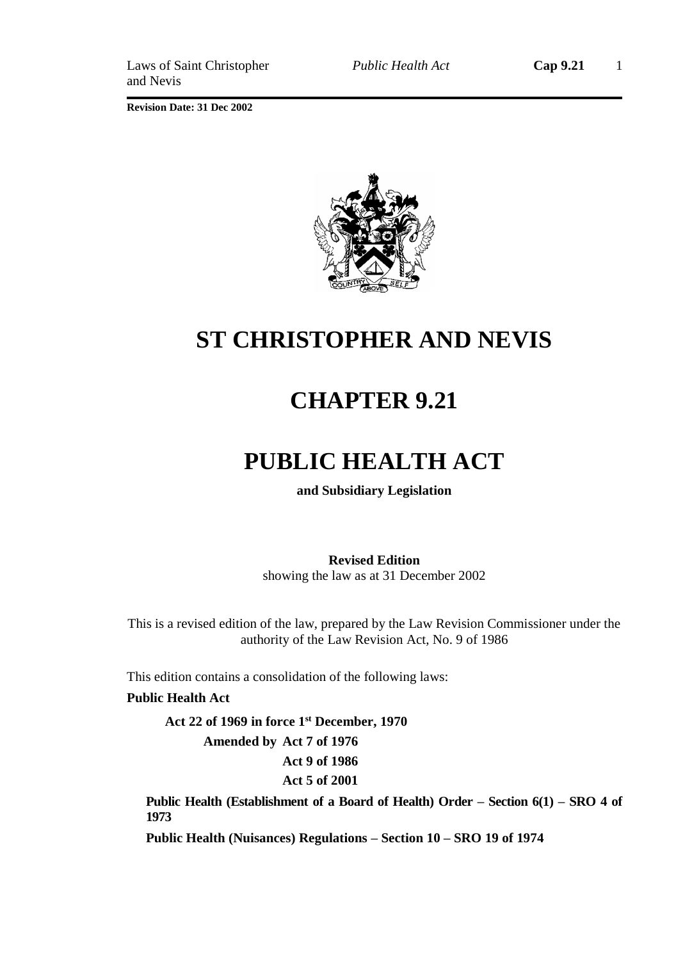

# **ST CHRISTOPHER AND NEVIS**

# **CHAPTER 9.21**

# **PUBLIC HEALTH ACT**

**and Subsidiary Legislation**

**Revised Edition** showing the law as at 31 December 2002

This is a revised edition of the law, prepared by the Law Revision Commissioner under the authority of the Law Revision Act, No. 9 of 1986

This edition contains a consolidation of the following laws:

### **Public Health Act**

**Act 22 of 1969 in force 1st December, 1970 Amended by Act 7 of 1976 Act 9 of 1986 Act 5 of 2001**

**Public Health (Establishment of a Board of Health) Order – Section 6(1) – SRO 4 of 1973**

**Public Health (Nuisances) Regulations – Section 10 – SRO 19 of 1974**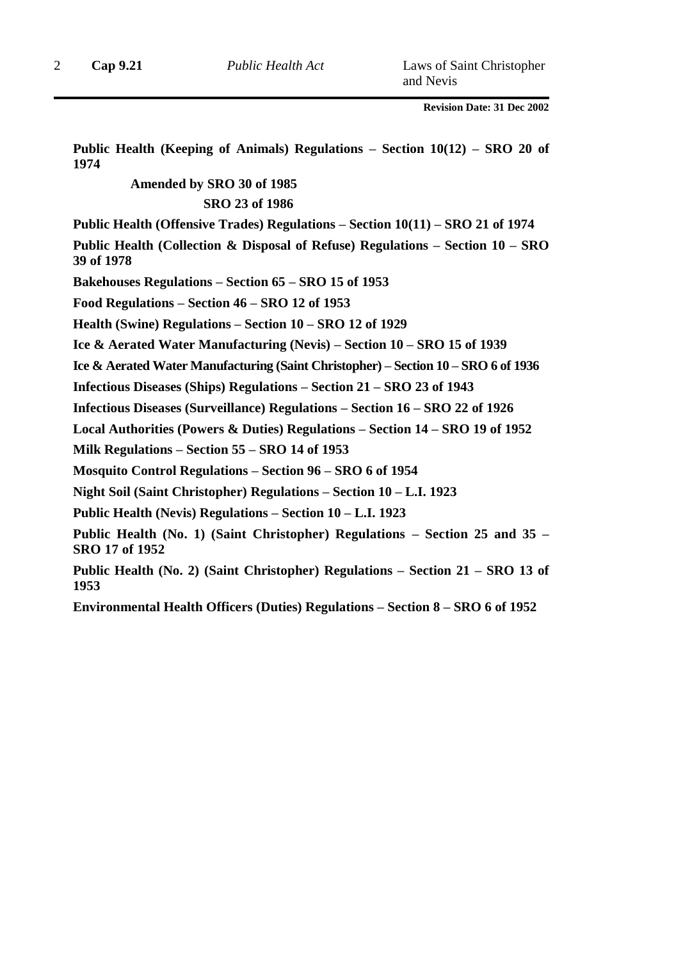**Public Health (Keeping of Animals) Regulations – Section 10(12) – SRO 20 of 1974**

### **Amended by SRO 30 of 1985 SRO 23 of 1986**

**Public Health (Offensive Trades) Regulations – Section 10(11) – SRO 21 of 1974**

**Public Health (Collection & Disposal of Refuse) Regulations – Section 10 – SRO 39 of 1978**

**Bakehouses Regulations – Section 65 – SRO 15 of 1953**

**Food Regulations – Section 46 – SRO 12 of 1953**

**Health (Swine) Regulations – Section 10 – SRO 12 of 1929**

**Ice & Aerated Water Manufacturing (Nevis) – Section 10 – SRO 15 of 1939**

**Ice & Aerated Water Manufacturing (Saint Christopher) – Section 10 – SRO 6 of 1936**

**Infectious Diseases (Ships) Regulations – Section 21 – SRO 23 of 1943**

**Infectious Diseases (Surveillance) Regulations – Section 16 – SRO 22 of 1926**

**Local Authorities (Powers & Duties) Regulations – Section 14 – SRO 19 of 1952**

**Milk Regulations – Section 55 – SRO 14 of 1953** 

**Mosquito Control Regulations – Section 96 – SRO 6 of 1954** 

**Night Soil (Saint Christopher) Regulations – Section 10 – L.I. 1923**

**Public Health (Nevis) Regulations – Section 10 – L.I. 1923**

**Public Health (No. 1) (Saint Christopher) Regulations – Section 25 and 35 – SRO 17 of 1952**

**Public Health (No. 2) (Saint Christopher) Regulations – Section 21 – SRO 13 of 1953**

**Environmental Health Officers (Duties) Regulations – Section 8 – SRO 6 of 1952**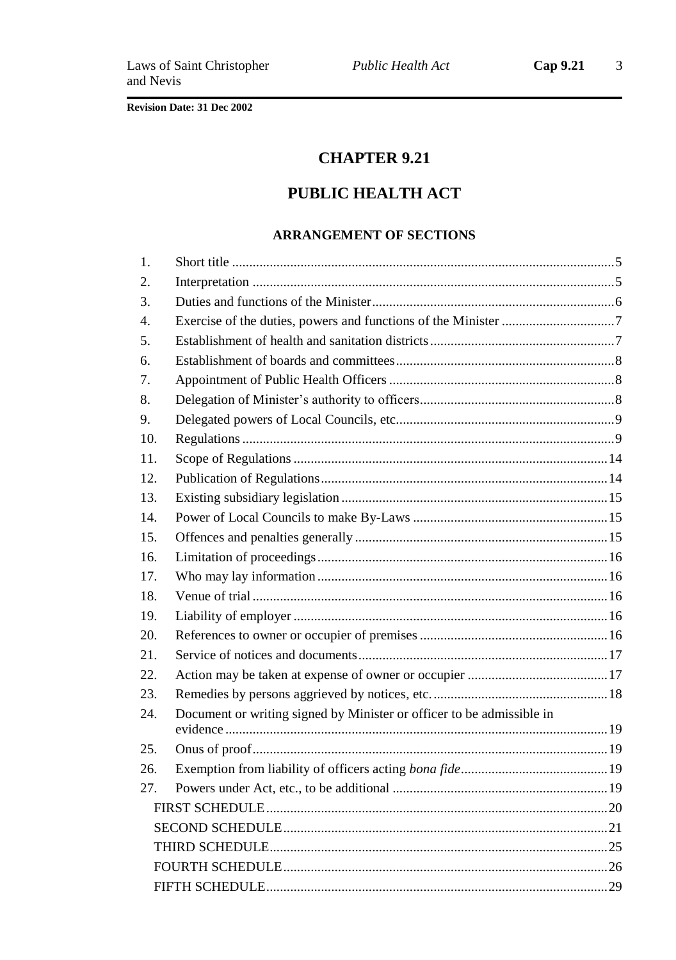# **CHAPTER 9.21**

# PUBLIC HEALTH ACT

### **ARRANGEMENT OF SECTIONS**

| 1.               |                                                                       |  |
|------------------|-----------------------------------------------------------------------|--|
| 2.               |                                                                       |  |
| 3.               |                                                                       |  |
| $\overline{4}$ . |                                                                       |  |
| 5.               |                                                                       |  |
| 6.               |                                                                       |  |
| 7.               |                                                                       |  |
| 8.               |                                                                       |  |
| 9.               |                                                                       |  |
| 10.              |                                                                       |  |
| 11.              |                                                                       |  |
| 12.              |                                                                       |  |
| 13.              |                                                                       |  |
| 14.              |                                                                       |  |
| 15.              |                                                                       |  |
| 16.              |                                                                       |  |
| 17.              |                                                                       |  |
| 18.              |                                                                       |  |
| 19.              |                                                                       |  |
| 20.              |                                                                       |  |
| 21.              |                                                                       |  |
| 22.              |                                                                       |  |
| 23.              |                                                                       |  |
| 24.              | Document or writing signed by Minister or officer to be admissible in |  |
|                  |                                                                       |  |
| 25.              |                                                                       |  |
| 26.              |                                                                       |  |
| 27.              |                                                                       |  |
|                  |                                                                       |  |
|                  |                                                                       |  |
|                  |                                                                       |  |
|                  |                                                                       |  |
|                  |                                                                       |  |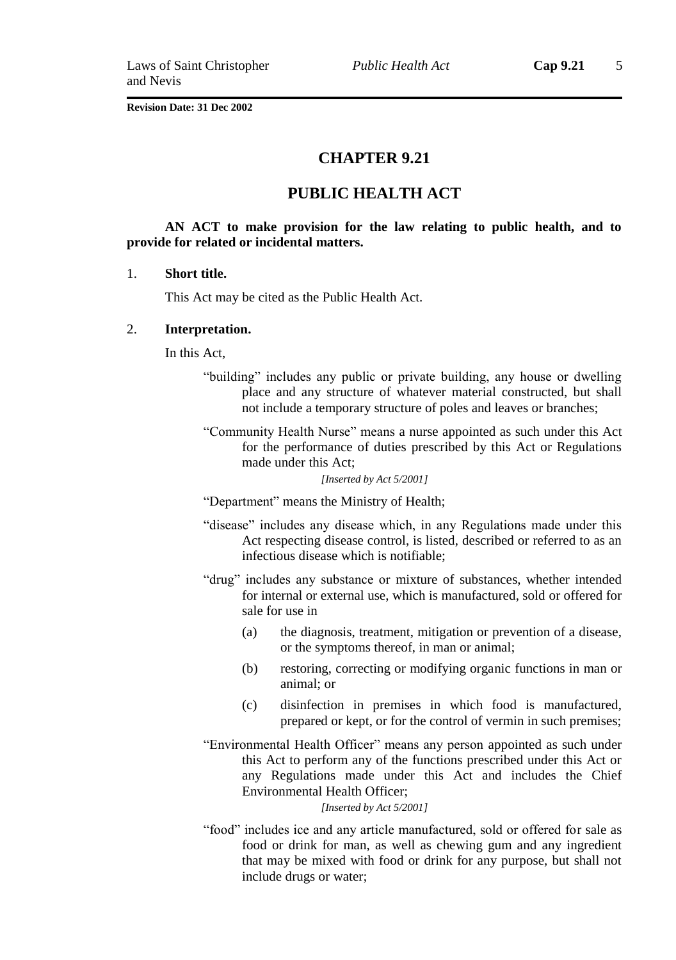### **CHAPTER 9.21**

### **PUBLIC HEALTH ACT**

### **AN ACT to make provision for the law relating to public health, and to provide for related or incidental matters.**

#### 1. **Short title.**

This Act may be cited as the Public Health Act.

#### 2. **Interpretation.**

In this Act,

- "building" includes any public or private building, any house or dwelling place and any structure of whatever material constructed, but shall not include a temporary structure of poles and leaves or branches;
- "Community Health Nurse" means a nurse appointed as such under this Act for the performance of duties prescribed by this Act or Regulations made under this Act;

*[Inserted by Act 5/2001]*

"Department" means the Ministry of Health;

- "disease" includes any disease which, in any Regulations made under this Act respecting disease control, is listed, described or referred to as an infectious disease which is notifiable;
- "drug" includes any substance or mixture of substances, whether intended for internal or external use, which is manufactured, sold or offered for sale for use in
	- (a) the diagnosis, treatment, mitigation or prevention of a disease, or the symptoms thereof, in man or animal;
	- (b) restoring, correcting or modifying organic functions in man or animal; or
	- (c) disinfection in premises in which food is manufactured, prepared or kept, or for the control of vermin in such premises;
- "Environmental Health Officer" means any person appointed as such under this Act to perform any of the functions prescribed under this Act or any Regulations made under this Act and includes the Chief Environmental Health Officer;

*[Inserted by Act 5/2001]*

"food" includes ice and any article manufactured, sold or offered for sale as food or drink for man, as well as chewing gum and any ingredient that may be mixed with food or drink for any purpose, but shall not include drugs or water;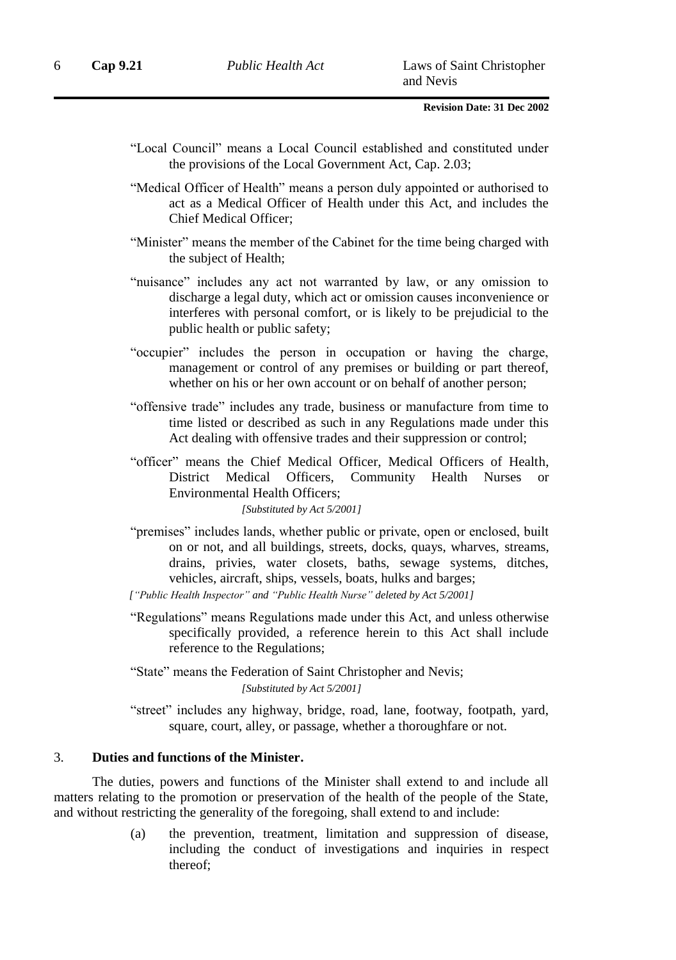- "Local Council" means a Local Council established and constituted under the provisions of the Local Government Act, Cap. 2.03;
- "Medical Officer of Health" means a person duly appointed or authorised to act as a Medical Officer of Health under this Act, and includes the Chief Medical Officer;
- "Minister" means the member of the Cabinet for the time being charged with the subject of Health;
- "nuisance" includes any act not warranted by law, or any omission to discharge a legal duty, which act or omission causes inconvenience or interferes with personal comfort, or is likely to be prejudicial to the public health or public safety;
- "occupier" includes the person in occupation or having the charge, management or control of any premises or building or part thereof, whether on his or her own account or on behalf of another person;
- "offensive trade" includes any trade, business or manufacture from time to time listed or described as such in any Regulations made under this Act dealing with offensive trades and their suppression or control;

"officer" means the Chief Medical Officer, Medical Officers of Health, District Medical Officers, Community Health Nurses or Environmental Health Officers;

*[Substituted by Act 5/2001]*

"premises" includes lands, whether public or private, open or enclosed, built on or not, and all buildings, streets, docks, quays, wharves, streams, drains, privies, water closets, baths, sewage systems, ditches, vehicles, aircraft, ships, vessels, boats, hulks and barges;

*["Public Health Inspector" and "Public Health Nurse" deleted by Act 5/2001]*

- "Regulations" means Regulations made under this Act, and unless otherwise specifically provided, a reference herein to this Act shall include reference to the Regulations;
- "State" means the Federation of Saint Christopher and Nevis; *[Substituted by Act 5/2001]*
- "street" includes any highway, bridge, road, lane, footway, footpath, yard, square, court, alley, or passage, whether a thoroughfare or not.

### 3. **Duties and functions of the Minister.**

The duties, powers and functions of the Minister shall extend to and include all matters relating to the promotion or preservation of the health of the people of the State, and without restricting the generality of the foregoing, shall extend to and include:

> (a) the prevention, treatment, limitation and suppression of disease, including the conduct of investigations and inquiries in respect thereof;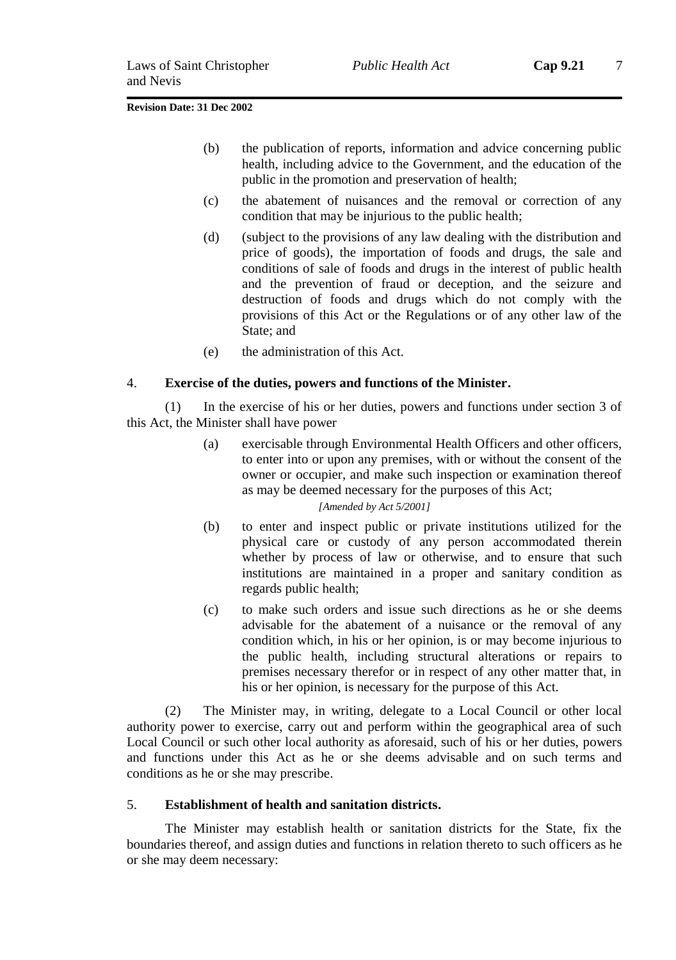- (b) the publication of reports, information and advice concerning public health, including advice to the Government, and the education of the public in the promotion and preservation of health;
- (c) the abatement of nuisances and the removal or correction of any condition that may be injurious to the public health;
- (d) (subject to the provisions of any law dealing with the distribution and price of goods), the importation of foods and drugs, the sale and conditions of sale of foods and drugs in the interest of public health and the prevention of fraud or deception, and the seizure and destruction of foods and drugs which do not comply with the provisions of this Act or the Regulations or of any other law of the State; and
- (e) the administration of this Act.

### 4. **Exercise of the duties, powers and functions of the Minister.**

(1) In the exercise of his or her duties, powers and functions under section 3 of this Act, the Minister shall have power

> (a) exercisable through Environmental Health Officers and other officers, to enter into or upon any premises, with or without the consent of the owner or occupier, and make such inspection or examination thereof as may be deemed necessary for the purposes of this Act;

### *[Amended by Act 5/2001]*

- (b) to enter and inspect public or private institutions utilized for the physical care or custody of any person accommodated therein whether by process of law or otherwise, and to ensure that such institutions are maintained in a proper and sanitary condition as regards public health;
- (c) to make such orders and issue such directions as he or she deems advisable for the abatement of a nuisance or the removal of any condition which, in his or her opinion, is or may become injurious to the public health, including structural alterations or repairs to premises necessary therefor or in respect of any other matter that, in his or her opinion, is necessary for the purpose of this Act.

(2) The Minister may, in writing, delegate to a Local Council or other local authority power to exercise, carry out and perform within the geographical area of such Local Council or such other local authority as aforesaid, such of his or her duties, powers and functions under this Act as he or she deems advisable and on such terms and conditions as he or she may prescribe.

### 5. **Establishment of health and sanitation districts.**

The Minister may establish health or sanitation districts for the State, fix the boundaries thereof, and assign duties and functions in relation thereto to such officers as he or she may deem necessary: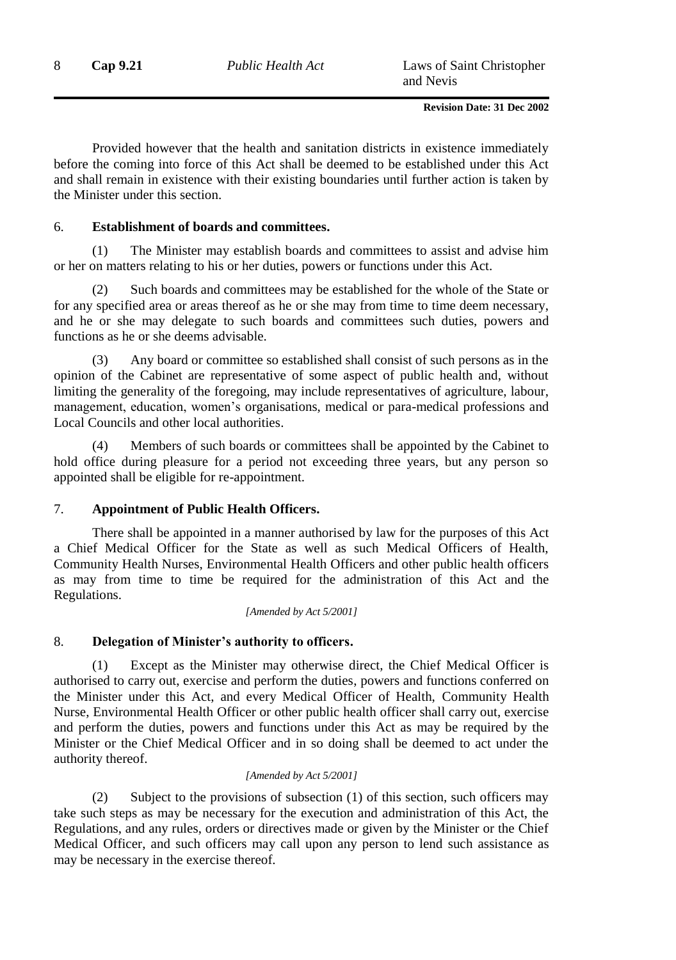Provided however that the health and sanitation districts in existence immediately before the coming into force of this Act shall be deemed to be established under this Act and shall remain in existence with their existing boundaries until further action is taken by the Minister under this section.

### 6. **Establishment of boards and committees.**

(1) The Minister may establish boards and committees to assist and advise him or her on matters relating to his or her duties, powers or functions under this Act.

(2) Such boards and committees may be established for the whole of the State or for any specified area or areas thereof as he or she may from time to time deem necessary, and he or she may delegate to such boards and committees such duties, powers and functions as he or she deems advisable.

(3) Any board or committee so established shall consist of such persons as in the opinion of the Cabinet are representative of some aspect of public health and, without limiting the generality of the foregoing, may include representatives of agriculture, labour, management, education, women's organisations, medical or para-medical professions and Local Councils and other local authorities.

(4) Members of such boards or committees shall be appointed by the Cabinet to hold office during pleasure for a period not exceeding three years, but any person so appointed shall be eligible for re-appointment.

### 7. **Appointment of Public Health Officers.**

There shall be appointed in a manner authorised by law for the purposes of this Act a Chief Medical Officer for the State as well as such Medical Officers of Health, Community Health Nurses, Environmental Health Officers and other public health officers as may from time to time be required for the administration of this Act and the Regulations.

*[Amended by Act 5/2001]*

### 8. **Delegation of Minister's authority to officers.**

(1) Except as the Minister may otherwise direct, the Chief Medical Officer is authorised to carry out, exercise and perform the duties, powers and functions conferred on the Minister under this Act, and every Medical Officer of Health, Community Health Nurse, Environmental Health Officer or other public health officer shall carry out, exercise and perform the duties, powers and functions under this Act as may be required by the Minister or the Chief Medical Officer and in so doing shall be deemed to act under the authority thereof.

### *[Amended by Act 5/2001]*

(2) Subject to the provisions of subsection (1) of this section, such officers may take such steps as may be necessary for the execution and administration of this Act, the Regulations, and any rules, orders or directives made or given by the Minister or the Chief Medical Officer, and such officers may call upon any person to lend such assistance as may be necessary in the exercise thereof.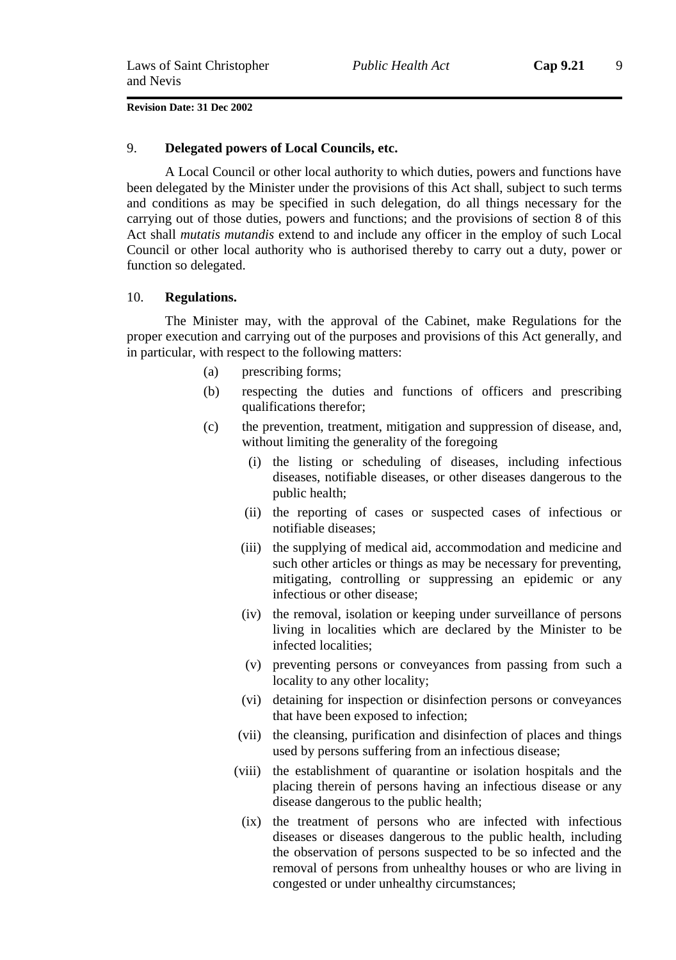#### 9. **Delegated powers of Local Councils, etc.**

A Local Council or other local authority to which duties, powers and functions have been delegated by the Minister under the provisions of this Act shall, subject to such terms and conditions as may be specified in such delegation, do all things necessary for the carrying out of those duties, powers and functions; and the provisions of section 8 of this Act shall *mutatis mutandis* extend to and include any officer in the employ of such Local Council or other local authority who is authorised thereby to carry out a duty, power or function so delegated.

#### 10. **Regulations.**

The Minister may, with the approval of the Cabinet, make Regulations for the proper execution and carrying out of the purposes and provisions of this Act generally, and in particular, with respect to the following matters:

- (a) prescribing forms;
- (b) respecting the duties and functions of officers and prescribing qualifications therefor;
- (c) the prevention, treatment, mitigation and suppression of disease, and, without limiting the generality of the foregoing
	- (i) the listing or scheduling of diseases, including infectious diseases, notifiable diseases, or other diseases dangerous to the public health;
	- (ii) the reporting of cases or suspected cases of infectious or notifiable diseases;
	- (iii) the supplying of medical aid, accommodation and medicine and such other articles or things as may be necessary for preventing, mitigating, controlling or suppressing an epidemic or any infectious or other disease;
	- (iv) the removal, isolation or keeping under surveillance of persons living in localities which are declared by the Minister to be infected localities;
	- (v) preventing persons or conveyances from passing from such a locality to any other locality;
	- (vi) detaining for inspection or disinfection persons or conveyances that have been exposed to infection;
	- (vii) the cleansing, purification and disinfection of places and things used by persons suffering from an infectious disease;
	- (viii) the establishment of quarantine or isolation hospitals and the placing therein of persons having an infectious disease or any disease dangerous to the public health;
		- (ix) the treatment of persons who are infected with infectious diseases or diseases dangerous to the public health, including the observation of persons suspected to be so infected and the removal of persons from unhealthy houses or who are living in congested or under unhealthy circumstances;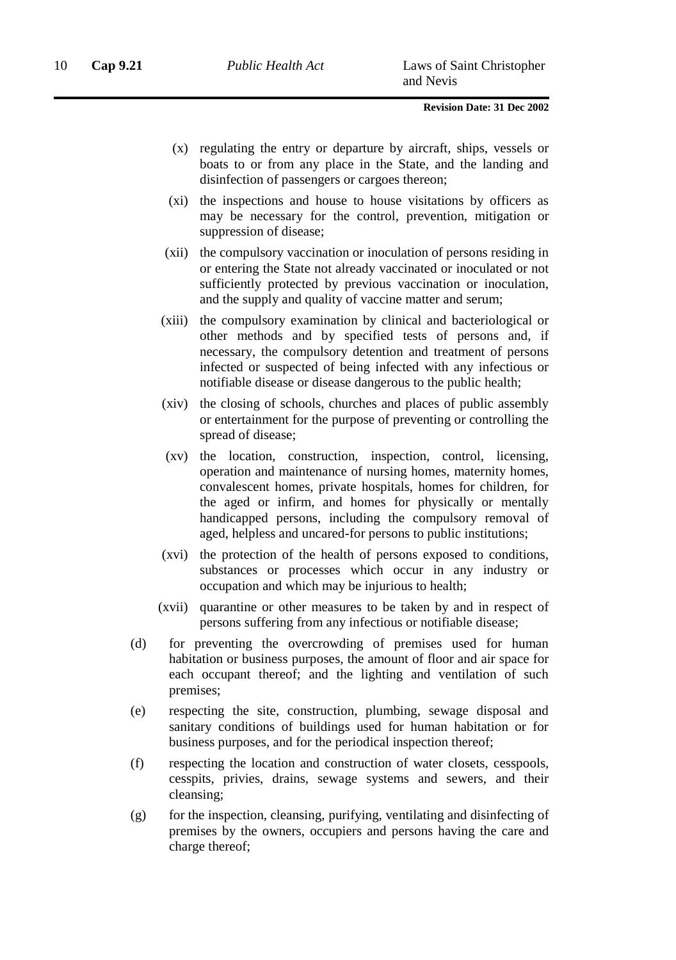- (x) regulating the entry or departure by aircraft, ships, vessels or boats to or from any place in the State, and the landing and disinfection of passengers or cargoes thereon;
- (xi) the inspections and house to house visitations by officers as may be necessary for the control, prevention, mitigation or suppression of disease;
- (xii) the compulsory vaccination or inoculation of persons residing in or entering the State not already vaccinated or inoculated or not sufficiently protected by previous vaccination or inoculation, and the supply and quality of vaccine matter and serum;
- (xiii) the compulsory examination by clinical and bacteriological or other methods and by specified tests of persons and, if necessary, the compulsory detention and treatment of persons infected or suspected of being infected with any infectious or notifiable disease or disease dangerous to the public health;
- (xiv) the closing of schools, churches and places of public assembly or entertainment for the purpose of preventing or controlling the spread of disease;
- (xv) the location, construction, inspection, control, licensing, operation and maintenance of nursing homes, maternity homes, convalescent homes, private hospitals, homes for children, for the aged or infirm, and homes for physically or mentally handicapped persons, including the compulsory removal of aged, helpless and uncared-for persons to public institutions;
- (xvi) the protection of the health of persons exposed to conditions, substances or processes which occur in any industry or occupation and which may be injurious to health;
- (xvii) quarantine or other measures to be taken by and in respect of persons suffering from any infectious or notifiable disease;
- (d) for preventing the overcrowding of premises used for human habitation or business purposes, the amount of floor and air space for each occupant thereof; and the lighting and ventilation of such premises;
- (e) respecting the site, construction, plumbing, sewage disposal and sanitary conditions of buildings used for human habitation or for business purposes, and for the periodical inspection thereof;
- (f) respecting the location and construction of water closets, cesspools, cesspits, privies, drains, sewage systems and sewers, and their cleansing;
- (g) for the inspection, cleansing, purifying, ventilating and disinfecting of premises by the owners, occupiers and persons having the care and charge thereof;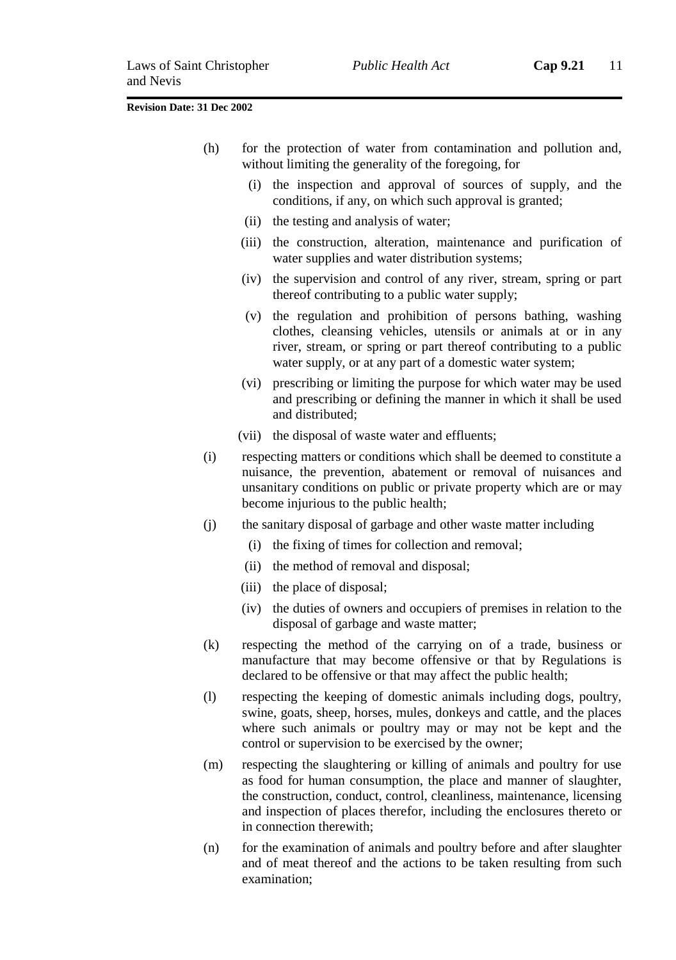- (h) for the protection of water from contamination and pollution and, without limiting the generality of the foregoing, for
	- (i) the inspection and approval of sources of supply, and the conditions, if any, on which such approval is granted;
	- (ii) the testing and analysis of water;
	- (iii) the construction, alteration, maintenance and purification of water supplies and water distribution systems;
	- (iv) the supervision and control of any river, stream, spring or part thereof contributing to a public water supply;
	- (v) the regulation and prohibition of persons bathing, washing clothes, cleansing vehicles, utensils or animals at or in any river, stream, or spring or part thereof contributing to a public water supply, or at any part of a domestic water system;
	- (vi) prescribing or limiting the purpose for which water may be used and prescribing or defining the manner in which it shall be used and distributed;
	- (vii) the disposal of waste water and effluents;
- (i) respecting matters or conditions which shall be deemed to constitute a nuisance, the prevention, abatement or removal of nuisances and unsanitary conditions on public or private property which are or may become injurious to the public health;
- (j) the sanitary disposal of garbage and other waste matter including
	- (i) the fixing of times for collection and removal;
	- (ii) the method of removal and disposal;
	- (iii) the place of disposal;
	- (iv) the duties of owners and occupiers of premises in relation to the disposal of garbage and waste matter;
- (k) respecting the method of the carrying on of a trade, business or manufacture that may become offensive or that by Regulations is declared to be offensive or that may affect the public health;
- (l) respecting the keeping of domestic animals including dogs, poultry, swine, goats, sheep, horses, mules, donkeys and cattle, and the places where such animals or poultry may or may not be kept and the control or supervision to be exercised by the owner;
- (m) respecting the slaughtering or killing of animals and poultry for use as food for human consumption, the place and manner of slaughter, the construction, conduct, control, cleanliness, maintenance, licensing and inspection of places therefor, including the enclosures thereto or in connection therewith;
- (n) for the examination of animals and poultry before and after slaughter and of meat thereof and the actions to be taken resulting from such examination;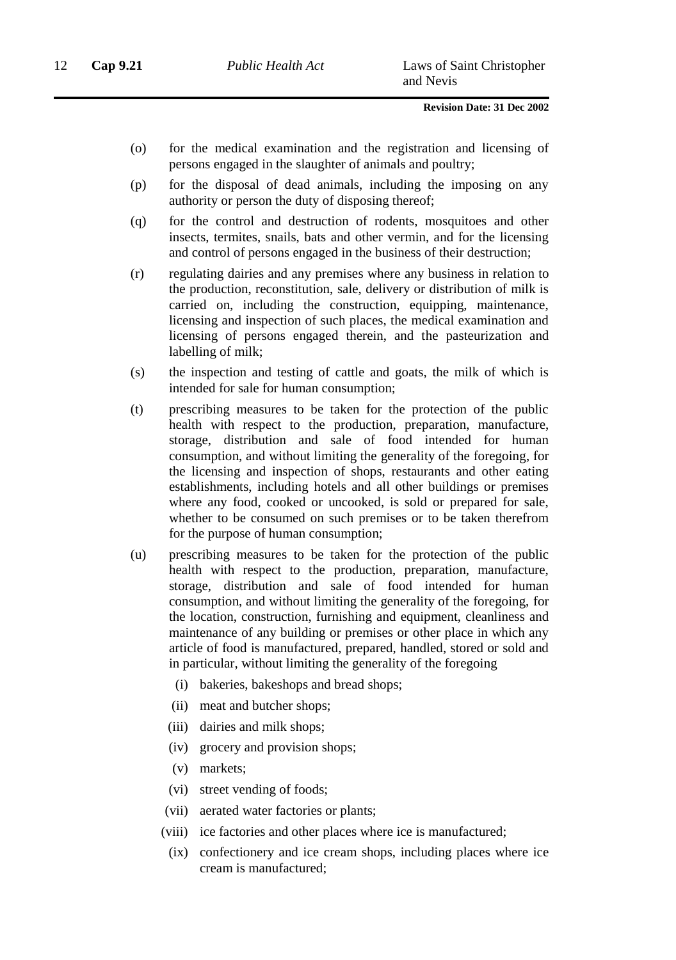- (o) for the medical examination and the registration and licensing of persons engaged in the slaughter of animals and poultry;
- (p) for the disposal of dead animals, including the imposing on any authority or person the duty of disposing thereof;
- (q) for the control and destruction of rodents, mosquitoes and other insects, termites, snails, bats and other vermin, and for the licensing and control of persons engaged in the business of their destruction;
- (r) regulating dairies and any premises where any business in relation to the production, reconstitution, sale, delivery or distribution of milk is carried on, including the construction, equipping, maintenance, licensing and inspection of such places, the medical examination and licensing of persons engaged therein, and the pasteurization and labelling of milk;
- (s) the inspection and testing of cattle and goats, the milk of which is intended for sale for human consumption;
- (t) prescribing measures to be taken for the protection of the public health with respect to the production, preparation, manufacture, storage, distribution and sale of food intended for human consumption, and without limiting the generality of the foregoing, for the licensing and inspection of shops, restaurants and other eating establishments, including hotels and all other buildings or premises where any food, cooked or uncooked, is sold or prepared for sale, whether to be consumed on such premises or to be taken therefrom for the purpose of human consumption;
- (u) prescribing measures to be taken for the protection of the public health with respect to the production, preparation, manufacture, storage, distribution and sale of food intended for human consumption, and without limiting the generality of the foregoing, for the location, construction, furnishing and equipment, cleanliness and maintenance of any building or premises or other place in which any article of food is manufactured, prepared, handled, stored or sold and in particular, without limiting the generality of the foregoing
	- (i) bakeries, bakeshops and bread shops;
	- (ii) meat and butcher shops;
	- (iii) dairies and milk shops;
	- (iv) grocery and provision shops;
	- (v) markets;
	- (vi) street vending of foods;
	- (vii) aerated water factories or plants;
	- (viii) ice factories and other places where ice is manufactured;
	- (ix) confectionery and ice cream shops, including places where ice cream is manufactured;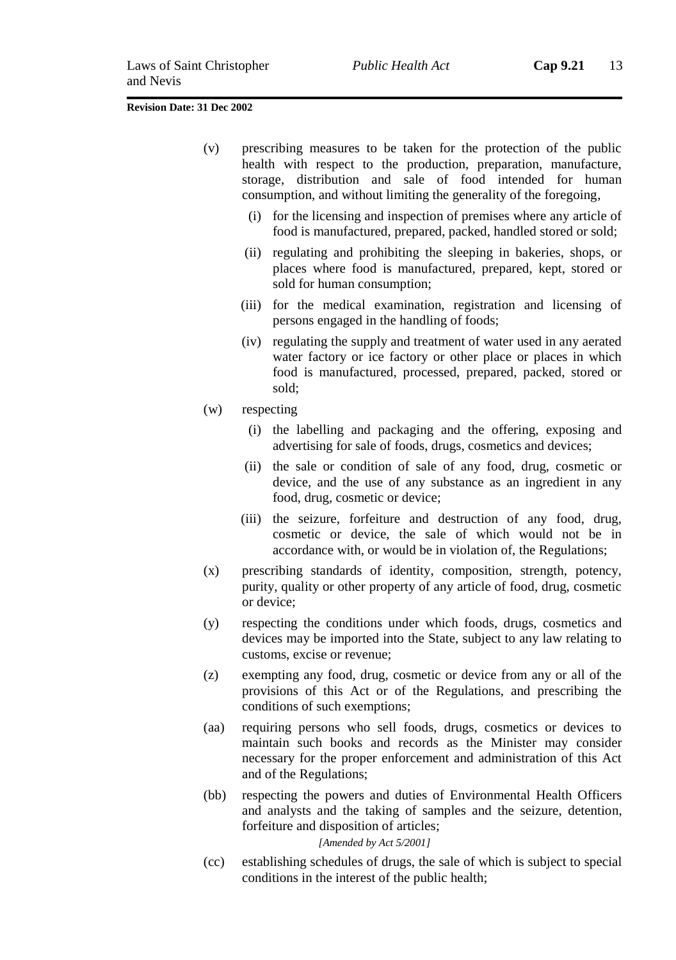- (v) prescribing measures to be taken for the protection of the public health with respect to the production, preparation, manufacture, storage, distribution and sale of food intended for human consumption, and without limiting the generality of the foregoing,
	- (i) for the licensing and inspection of premises where any article of food is manufactured, prepared, packed, handled stored or sold;
	- (ii) regulating and prohibiting the sleeping in bakeries, shops, or places where food is manufactured, prepared, kept, stored or sold for human consumption;
	- (iii) for the medical examination, registration and licensing of persons engaged in the handling of foods;
	- (iv) regulating the supply and treatment of water used in any aerated water factory or ice factory or other place or places in which food is manufactured, processed, prepared, packed, stored or sold;
- (w) respecting
	- (i) the labelling and packaging and the offering, exposing and advertising for sale of foods, drugs, cosmetics and devices;
	- (ii) the sale or condition of sale of any food, drug, cosmetic or device, and the use of any substance as an ingredient in any food, drug, cosmetic or device;
	- (iii) the seizure, forfeiture and destruction of any food, drug, cosmetic or device, the sale of which would not be in accordance with, or would be in violation of, the Regulations;
- (x) prescribing standards of identity, composition, strength, potency, purity, quality or other property of any article of food, drug, cosmetic or device;
- (y) respecting the conditions under which foods, drugs, cosmetics and devices may be imported into the State, subject to any law relating to customs, excise or revenue;
- (z) exempting any food, drug, cosmetic or device from any or all of the provisions of this Act or of the Regulations, and prescribing the conditions of such exemptions;
- (aa) requiring persons who sell foods, drugs, cosmetics or devices to maintain such books and records as the Minister may consider necessary for the proper enforcement and administration of this Act and of the Regulations;
- (bb) respecting the powers and duties of Environmental Health Officers and analysts and the taking of samples and the seizure, detention, forfeiture and disposition of articles;

#### *[Amended by Act 5/2001]*

(cc) establishing schedules of drugs, the sale of which is subject to special conditions in the interest of the public health;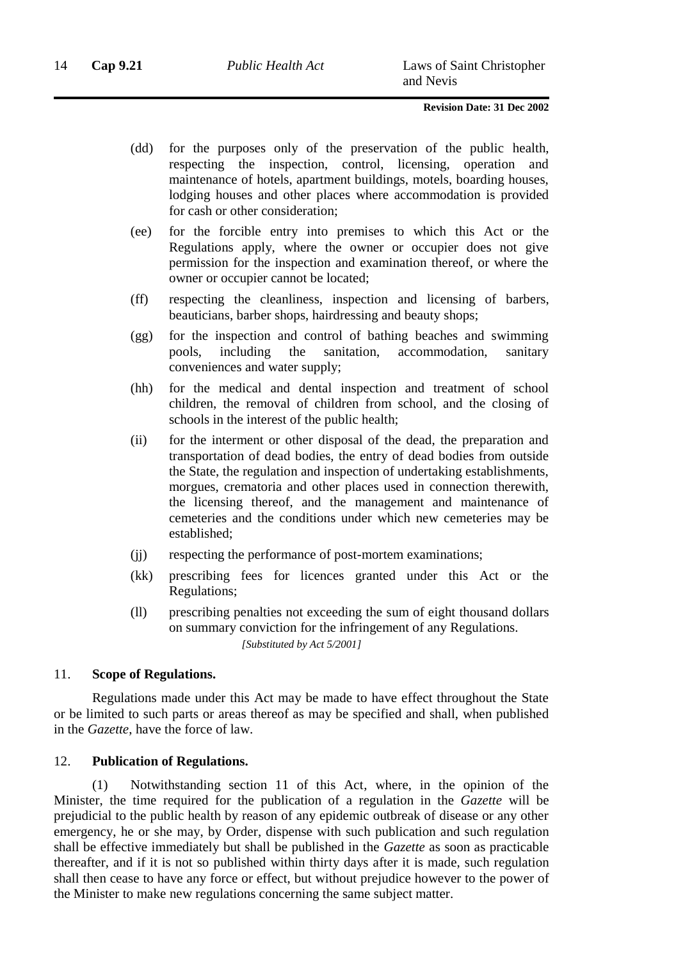- (dd) for the purposes only of the preservation of the public health, respecting the inspection, control, licensing, operation and maintenance of hotels, apartment buildings, motels, boarding houses, lodging houses and other places where accommodation is provided for cash or other consideration;
- (ee) for the forcible entry into premises to which this Act or the Regulations apply, where the owner or occupier does not give permission for the inspection and examination thereof, or where the owner or occupier cannot be located;
- (ff) respecting the cleanliness, inspection and licensing of barbers, beauticians, barber shops, hairdressing and beauty shops;
- (gg) for the inspection and control of bathing beaches and swimming pools, including the sanitation, accommodation, sanitary conveniences and water supply;
- (hh) for the medical and dental inspection and treatment of school children, the removal of children from school, and the closing of schools in the interest of the public health;
- (ii) for the interment or other disposal of the dead, the preparation and transportation of dead bodies, the entry of dead bodies from outside the State, the regulation and inspection of undertaking establishments, morgues, crematoria and other places used in connection therewith, the licensing thereof, and the management and maintenance of cemeteries and the conditions under which new cemeteries may be established;
- (jj) respecting the performance of post-mortem examinations;
- (kk) prescribing fees for licences granted under this Act or the Regulations;
- (ll) prescribing penalties not exceeding the sum of eight thousand dollars on summary conviction for the infringement of any Regulations. *[Substituted by Act 5/2001]*

#### 11. **Scope of Regulations.**

Regulations made under this Act may be made to have effect throughout the State or be limited to such parts or areas thereof as may be specified and shall, when published in the *Gazette*, have the force of law.

#### 12. **Publication of Regulations.**

(1) Notwithstanding section 11 of this Act, where, in the opinion of the Minister, the time required for the publication of a regulation in the *Gazette* will be prejudicial to the public health by reason of any epidemic outbreak of disease or any other emergency, he or she may, by Order, dispense with such publication and such regulation shall be effective immediately but shall be published in the *Gazette* as soon as practicable thereafter, and if it is not so published within thirty days after it is made, such regulation shall then cease to have any force or effect, but without prejudice however to the power of the Minister to make new regulations concerning the same subject matter.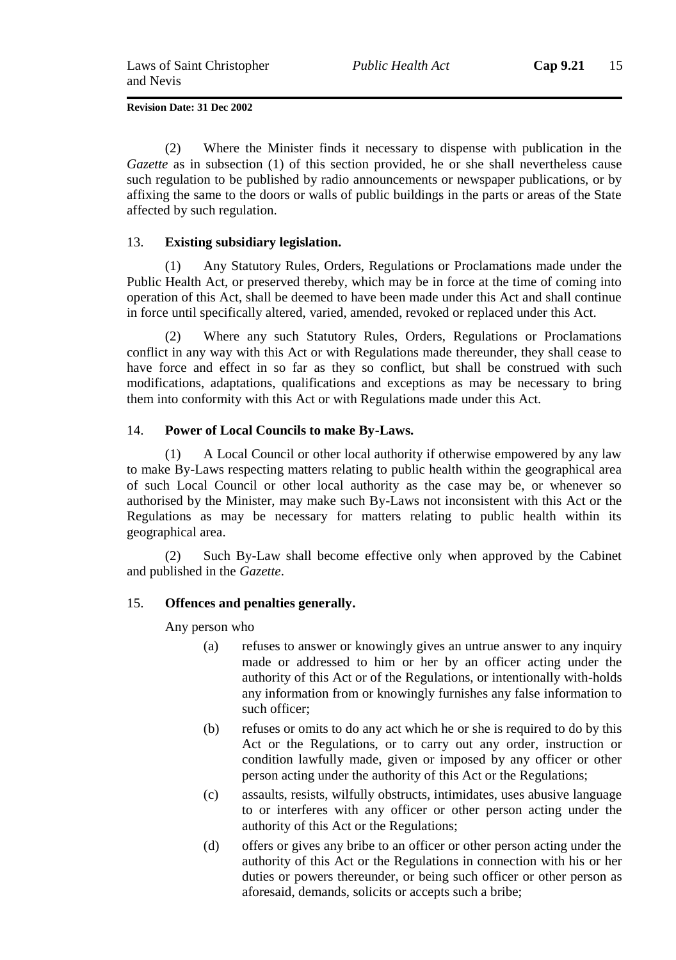(2) Where the Minister finds it necessary to dispense with publication in the *Gazette* as in subsection (1) of this section provided, he or she shall nevertheless cause such regulation to be published by radio announcements or newspaper publications, or by affixing the same to the doors or walls of public buildings in the parts or areas of the State affected by such regulation.

### 13. **Existing subsidiary legislation.**

(1) Any Statutory Rules, Orders, Regulations or Proclamations made under the Public Health Act, or preserved thereby, which may be in force at the time of coming into operation of this Act, shall be deemed to have been made under this Act and shall continue in force until specifically altered, varied, amended, revoked or replaced under this Act.

(2) Where any such Statutory Rules, Orders, Regulations or Proclamations conflict in any way with this Act or with Regulations made thereunder, they shall cease to have force and effect in so far as they so conflict, but shall be construed with such modifications, adaptations, qualifications and exceptions as may be necessary to bring them into conformity with this Act or with Regulations made under this Act.

### 14. **Power of Local Councils to make By-Laws.**

(1) A Local Council or other local authority if otherwise empowered by any law to make By-Laws respecting matters relating to public health within the geographical area of such Local Council or other local authority as the case may be, or whenever so authorised by the Minister, may make such By-Laws not inconsistent with this Act or the Regulations as may be necessary for matters relating to public health within its geographical area.

(2) Such By-Law shall become effective only when approved by the Cabinet and published in the *Gazette*.

### 15. **Offences and penalties generally.**

Any person who

- (a) refuses to answer or knowingly gives an untrue answer to any inquiry made or addressed to him or her by an officer acting under the authority of this Act or of the Regulations, or intentionally with-holds any information from or knowingly furnishes any false information to such officer;
- (b) refuses or omits to do any act which he or she is required to do by this Act or the Regulations, or to carry out any order, instruction or condition lawfully made, given or imposed by any officer or other person acting under the authority of this Act or the Regulations;
- (c) assaults, resists, wilfully obstructs, intimidates, uses abusive language to or interferes with any officer or other person acting under the authority of this Act or the Regulations;
- (d) offers or gives any bribe to an officer or other person acting under the authority of this Act or the Regulations in connection with his or her duties or powers thereunder, or being such officer or other person as aforesaid, demands, solicits or accepts such a bribe;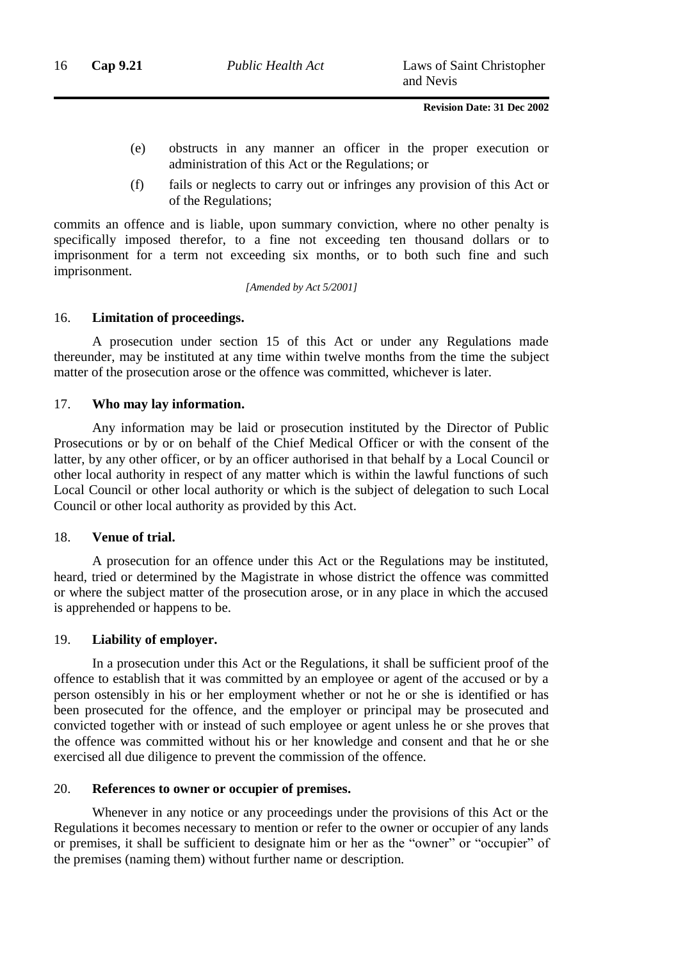- (e) obstructs in any manner an officer in the proper execution or administration of this Act or the Regulations; or
- (f) fails or neglects to carry out or infringes any provision of this Act or of the Regulations;

commits an offence and is liable, upon summary conviction, where no other penalty is specifically imposed therefor, to a fine not exceeding ten thousand dollars or to imprisonment for a term not exceeding six months, or to both such fine and such imprisonment.

*[Amended by Act 5/2001]*

### 16. **Limitation of proceedings.**

A prosecution under section 15 of this Act or under any Regulations made thereunder, may be instituted at any time within twelve months from the time the subject matter of the prosecution arose or the offence was committed, whichever is later.

#### 17. **Who may lay information.**

Any information may be laid or prosecution instituted by the Director of Public Prosecutions or by or on behalf of the Chief Medical Officer or with the consent of the latter, by any other officer, or by an officer authorised in that behalf by a Local Council or other local authority in respect of any matter which is within the lawful functions of such Local Council or other local authority or which is the subject of delegation to such Local Council or other local authority as provided by this Act.

### 18. **Venue of trial.**

A prosecution for an offence under this Act or the Regulations may be instituted, heard, tried or determined by the Magistrate in whose district the offence was committed or where the subject matter of the prosecution arose, or in any place in which the accused is apprehended or happens to be.

### 19. **Liability of employer.**

In a prosecution under this Act or the Regulations, it shall be sufficient proof of the offence to establish that it was committed by an employee or agent of the accused or by a person ostensibly in his or her employment whether or not he or she is identified or has been prosecuted for the offence, and the employer or principal may be prosecuted and convicted together with or instead of such employee or agent unless he or she proves that the offence was committed without his or her knowledge and consent and that he or she exercised all due diligence to prevent the commission of the offence.

### 20. **References to owner or occupier of premises.**

Whenever in any notice or any proceedings under the provisions of this Act or the Regulations it becomes necessary to mention or refer to the owner or occupier of any lands or premises, it shall be sufficient to designate him or her as the "owner" or "occupier" of the premises (naming them) without further name or description.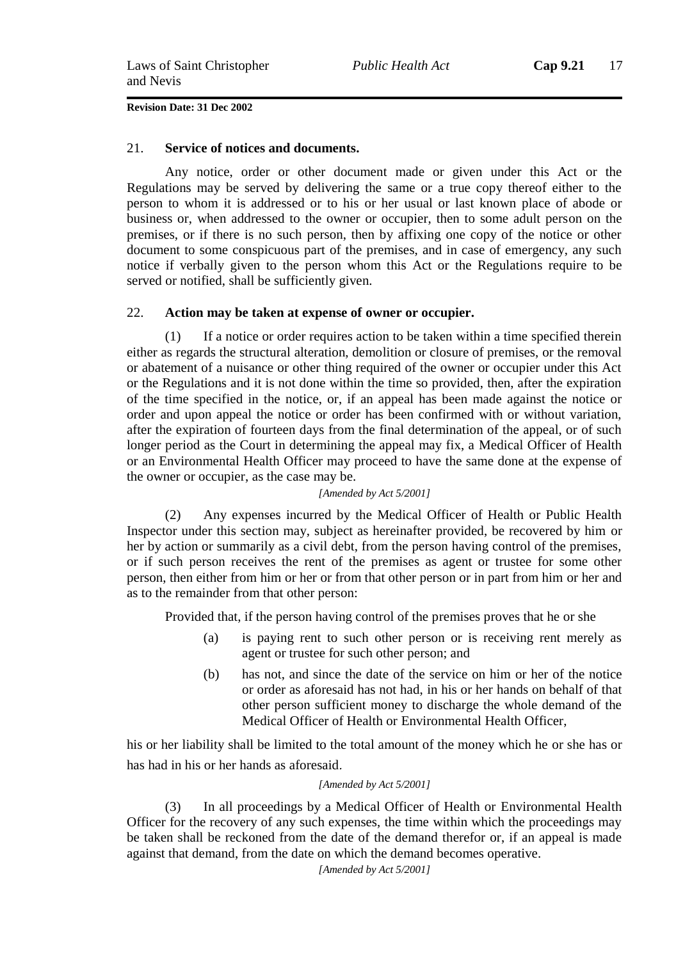### 21. **Service of notices and documents.**

Any notice, order or other document made or given under this Act or the Regulations may be served by delivering the same or a true copy thereof either to the person to whom it is addressed or to his or her usual or last known place of abode or business or, when addressed to the owner or occupier, then to some adult person on the premises, or if there is no such person, then by affixing one copy of the notice or other document to some conspicuous part of the premises, and in case of emergency, any such notice if verbally given to the person whom this Act or the Regulations require to be served or notified, shall be sufficiently given.

### 22. **Action may be taken at expense of owner or occupier.**

(1) If a notice or order requires action to be taken within a time specified therein either as regards the structural alteration, demolition or closure of premises, or the removal or abatement of a nuisance or other thing required of the owner or occupier under this Act or the Regulations and it is not done within the time so provided, then, after the expiration of the time specified in the notice, or, if an appeal has been made against the notice or order and upon appeal the notice or order has been confirmed with or without variation, after the expiration of fourteen days from the final determination of the appeal, or of such longer period as the Court in determining the appeal may fix, a Medical Officer of Health or an Environmental Health Officer may proceed to have the same done at the expense of the owner or occupier, as the case may be.

### *[Amended by Act 5/2001]*

(2) Any expenses incurred by the Medical Officer of Health or Public Health Inspector under this section may, subject as hereinafter provided, be recovered by him or her by action or summarily as a civil debt, from the person having control of the premises, or if such person receives the rent of the premises as agent or trustee for some other person, then either from him or her or from that other person or in part from him or her and as to the remainder from that other person:

Provided that, if the person having control of the premises proves that he or she

- (a) is paying rent to such other person or is receiving rent merely as agent or trustee for such other person; and
- (b) has not, and since the date of the service on him or her of the notice or order as aforesaid has not had, in his or her hands on behalf of that other person sufficient money to discharge the whole demand of the Medical Officer of Health or Environmental Health Officer,

his or her liability shall be limited to the total amount of the money which he or she has or has had in his or her hands as aforesaid.

#### *[Amended by Act 5/2001]*

(3) In all proceedings by a Medical Officer of Health or Environmental Health Officer for the recovery of any such expenses, the time within which the proceedings may be taken shall be reckoned from the date of the demand therefor or, if an appeal is made against that demand, from the date on which the demand becomes operative.

*[Amended by Act 5/2001]*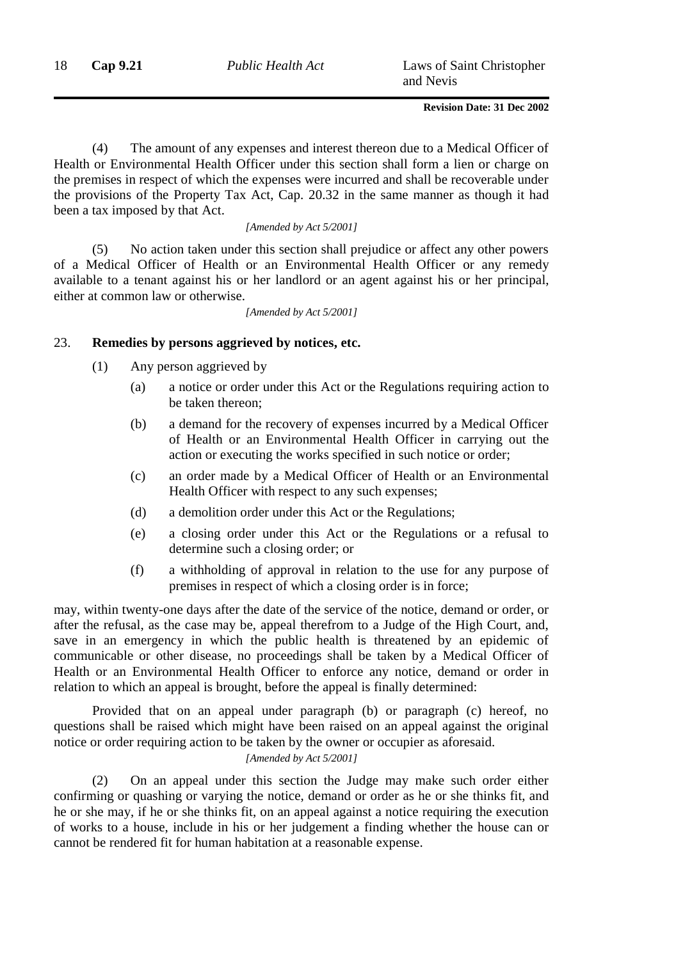(4) The amount of any expenses and interest thereon due to a Medical Officer of Health or Environmental Health Officer under this section shall form a lien or charge on the premises in respect of which the expenses were incurred and shall be recoverable under the provisions of the Property Tax Act, Cap. 20.32 in the same manner as though it had been a tax imposed by that Act.

#### *[Amended by Act 5/2001]*

(5) No action taken under this section shall prejudice or affect any other powers of a Medical Officer of Health or an Environmental Health Officer or any remedy available to a tenant against his or her landlord or an agent against his or her principal, either at common law or otherwise.

*[Amended by Act 5/2001]*

### 23. **Remedies by persons aggrieved by notices, etc.**

- (1) Any person aggrieved by
	- (a) a notice or order under this Act or the Regulations requiring action to be taken thereon;
	- (b) a demand for the recovery of expenses incurred by a Medical Officer of Health or an Environmental Health Officer in carrying out the action or executing the works specified in such notice or order;
	- (c) an order made by a Medical Officer of Health or an Environmental Health Officer with respect to any such expenses;
	- (d) a demolition order under this Act or the Regulations;
	- (e) a closing order under this Act or the Regulations or a refusal to determine such a closing order; or
	- (f) a withholding of approval in relation to the use for any purpose of premises in respect of which a closing order is in force;

may, within twenty-one days after the date of the service of the notice, demand or order, or after the refusal, as the case may be, appeal therefrom to a Judge of the High Court, and, save in an emergency in which the public health is threatened by an epidemic of communicable or other disease, no proceedings shall be taken by a Medical Officer of Health or an Environmental Health Officer to enforce any notice, demand or order in relation to which an appeal is brought, before the appeal is finally determined:

Provided that on an appeal under paragraph (b) or paragraph (c) hereof, no questions shall be raised which might have been raised on an appeal against the original notice or order requiring action to be taken by the owner or occupier as aforesaid. *[Amended by Act 5/2001]*

(2) On an appeal under this section the Judge may make such order either confirming or quashing or varying the notice, demand or order as he or she thinks fit, and he or she may, if he or she thinks fit, on an appeal against a notice requiring the execution of works to a house, include in his or her judgement a finding whether the house can or cannot be rendered fit for human habitation at a reasonable expense.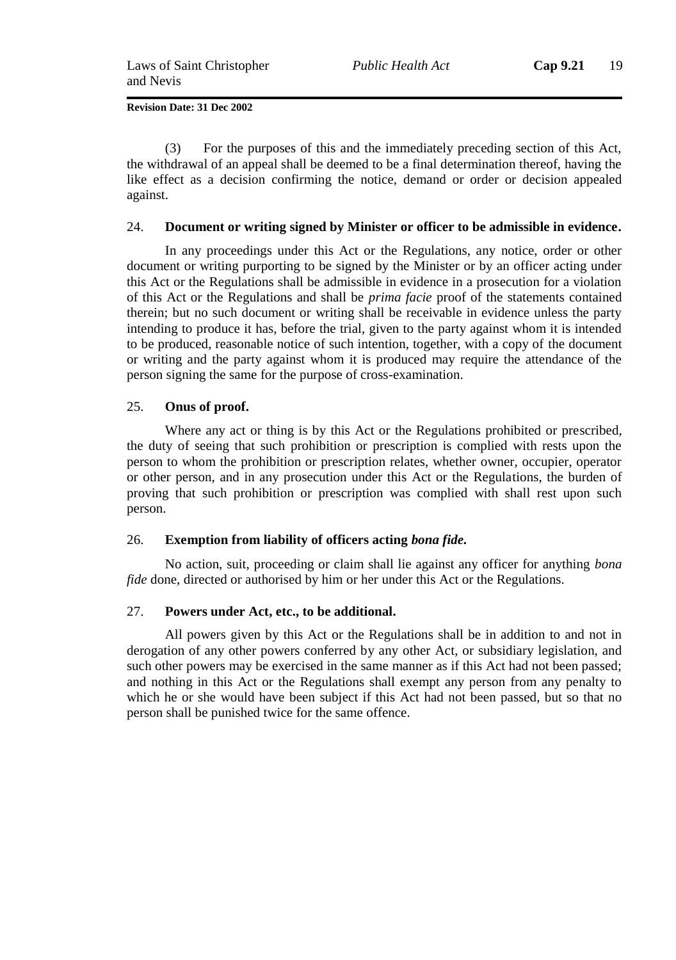(3) For the purposes of this and the immediately preceding section of this Act, the withdrawal of an appeal shall be deemed to be a final determination thereof, having the like effect as a decision confirming the notice, demand or order or decision appealed against.

### 24. **Document or writing signed by Minister or officer to be admissible in evidence.**

In any proceedings under this Act or the Regulations, any notice, order or other document or writing purporting to be signed by the Minister or by an officer acting under this Act or the Regulations shall be admissible in evidence in a prosecution for a violation of this Act or the Regulations and shall be *prima facie* proof of the statements contained therein; but no such document or writing shall be receivable in evidence unless the party intending to produce it has, before the trial, given to the party against whom it is intended to be produced, reasonable notice of such intention, together, with a copy of the document or writing and the party against whom it is produced may require the attendance of the person signing the same for the purpose of cross-examination.

### 25. **Onus of proof.**

Where any act or thing is by this Act or the Regulations prohibited or prescribed, the duty of seeing that such prohibition or prescription is complied with rests upon the person to whom the prohibition or prescription relates, whether owner, occupier, operator or other person, and in any prosecution under this Act or the Regulations, the burden of proving that such prohibition or prescription was complied with shall rest upon such person.

### 26. **Exemption from liability of officers acting** *bona fide.*

No action, suit, proceeding or claim shall lie against any officer for anything *bona fide* done, directed or authorised by him or her under this Act or the Regulations.

### 27. **Powers under Act, etc., to be additional.**

All powers given by this Act or the Regulations shall be in addition to and not in derogation of any other powers conferred by any other Act, or subsidiary legislation, and such other powers may be exercised in the same manner as if this Act had not been passed; and nothing in this Act or the Regulations shall exempt any person from any penalty to which he or she would have been subject if this Act had not been passed, but so that no person shall be punished twice for the same offence.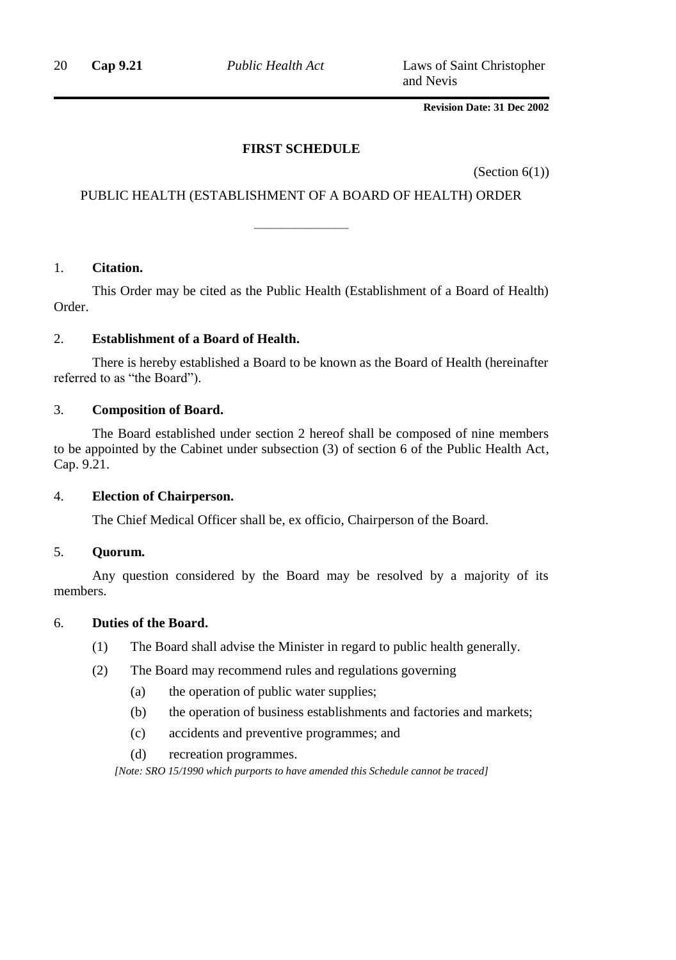20 **Cap 9.21** *Public Health Act* Laws of Saint Christopher and Nevis

### **Revision Date: 31 Dec 2002**

### **FIRST SCHEDULE**

(Section  $6(1)$ )

### PUBLIC HEALTH (ESTABLISHMENT OF A BOARD OF HEALTH) ORDER

———————

### 1. **Citation.**

This Order may be cited as the Public Health (Establishment of a Board of Health) Order.

### 2. **Establishment of a Board of Health.**

There is hereby established a Board to be known as the Board of Health (hereinafter referred to as "the Board").

### 3. **Composition of Board.**

The Board established under section 2 hereof shall be composed of nine members to be appointed by the Cabinet under subsection (3) of section 6 of the Public Health Act, Cap. 9.21.

### 4. **Election of Chairperson.**

The Chief Medical Officer shall be, ex officio, Chairperson of the Board.

### 5. **Quorum.**

Any question considered by the Board may be resolved by a majority of its members.

### 6. **Duties of the Board.**

- (1) The Board shall advise the Minister in regard to public health generally.
- (2) The Board may recommend rules and regulations governing
	- (a) the operation of public water supplies;
	- (b) the operation of business establishments and factories and markets;
	- (c) accidents and preventive programmes; and
	- (d) recreation programmes.

*[Note: SRO 15/1990 which purports to have amended this Schedule cannot be traced]*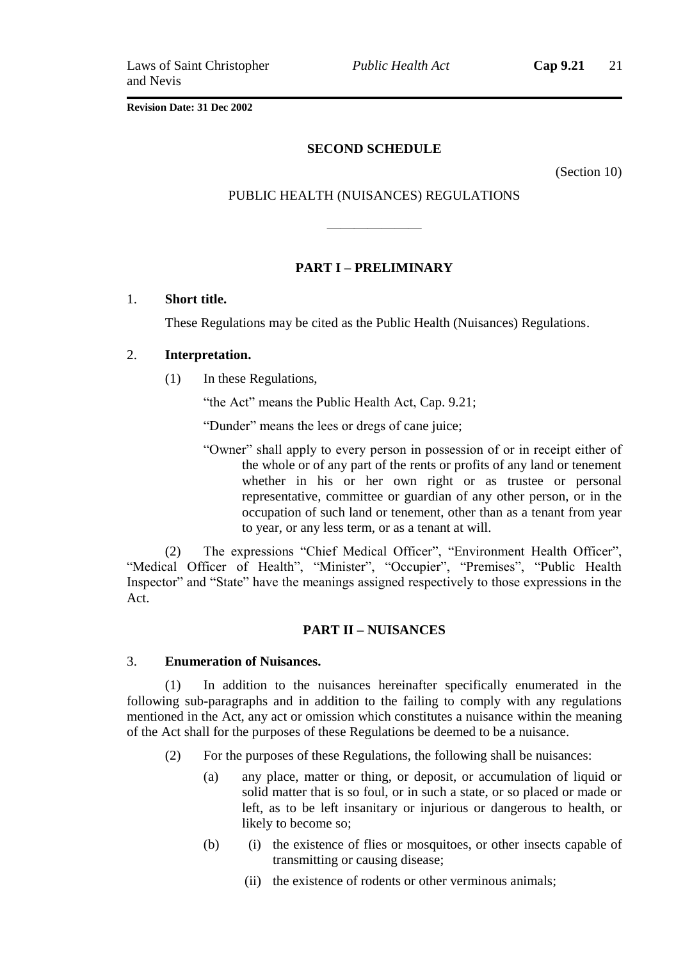*Public Health Act* **Cap 9.21** 21

**Revision Date: 31 Dec 2002**

### **SECOND SCHEDULE**

(Section 10)

### PUBLIC HEALTH (NUISANCES) REGULATIONS

———————

### **PART I – PRELIMINARY**

### 1. **Short title.**

These Regulations may be cited as the Public Health (Nuisances) Regulations.

### 2. **Interpretation.**

(1) In these Regulations,

"the Act" means the Public Health Act, Cap. 9.21;

"Dunder" means the lees or dregs of cane juice;

"Owner" shall apply to every person in possession of or in receipt either of the whole or of any part of the rents or profits of any land or tenement whether in his or her own right or as trustee or personal representative, committee or guardian of any other person, or in the occupation of such land or tenement, other than as a tenant from year to year, or any less term, or as a tenant at will.

(2) The expressions "Chief Medical Officer", "Environment Health Officer", "Medical Officer of Health", "Minister", "Occupier", "Premises", "Public Health Inspector" and "State" have the meanings assigned respectively to those expressions in the Act.

### **PART II – NUISANCES**

### 3. **Enumeration of Nuisances.**

(1) In addition to the nuisances hereinafter specifically enumerated in the following sub-paragraphs and in addition to the failing to comply with any regulations mentioned in the Act, any act or omission which constitutes a nuisance within the meaning of the Act shall for the purposes of these Regulations be deemed to be a nuisance.

- (2) For the purposes of these Regulations, the following shall be nuisances:
	- (a) any place, matter or thing, or deposit, or accumulation of liquid or solid matter that is so foul, or in such a state, or so placed or made or left, as to be left insanitary or injurious or dangerous to health, or likely to become so;
	- (b) (i) the existence of flies or mosquitoes, or other insects capable of transmitting or causing disease;
		- (ii) the existence of rodents or other verminous animals;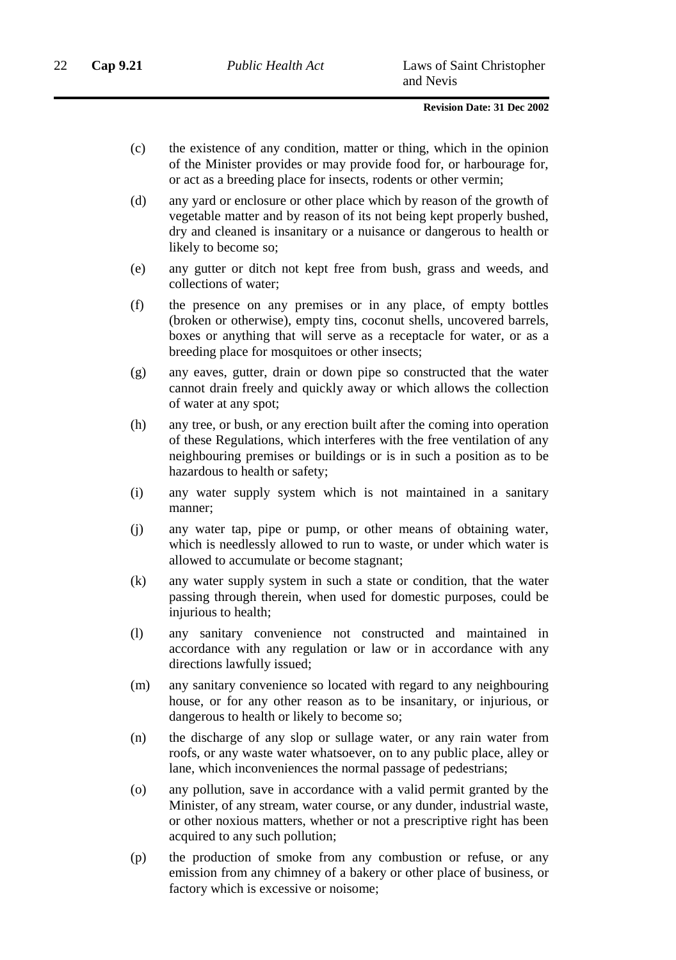- (c) the existence of any condition, matter or thing, which in the opinion of the Minister provides or may provide food for, or harbourage for, or act as a breeding place for insects, rodents or other vermin;
- (d) any yard or enclosure or other place which by reason of the growth of vegetable matter and by reason of its not being kept properly bushed, dry and cleaned is insanitary or a nuisance or dangerous to health or likely to become so;
- (e) any gutter or ditch not kept free from bush, grass and weeds, and collections of water;
- (f) the presence on any premises or in any place, of empty bottles (broken or otherwise), empty tins, coconut shells, uncovered barrels, boxes or anything that will serve as a receptacle for water, or as a breeding place for mosquitoes or other insects;
- (g) any eaves, gutter, drain or down pipe so constructed that the water cannot drain freely and quickly away or which allows the collection of water at any spot;
- (h) any tree, or bush, or any erection built after the coming into operation of these Regulations, which interferes with the free ventilation of any neighbouring premises or buildings or is in such a position as to be hazardous to health or safety;
- (i) any water supply system which is not maintained in a sanitary manner;
- (j) any water tap, pipe or pump, or other means of obtaining water, which is needlessly allowed to run to waste, or under which water is allowed to accumulate or become stagnant;
- (k) any water supply system in such a state or condition, that the water passing through therein, when used for domestic purposes, could be injurious to health;
- (l) any sanitary convenience not constructed and maintained in accordance with any regulation or law or in accordance with any directions lawfully issued;
- (m) any sanitary convenience so located with regard to any neighbouring house, or for any other reason as to be insanitary, or injurious, or dangerous to health or likely to become so;
- (n) the discharge of any slop or sullage water, or any rain water from roofs, or any waste water whatsoever, on to any public place, alley or lane, which inconveniences the normal passage of pedestrians;
- (o) any pollution, save in accordance with a valid permit granted by the Minister, of any stream, water course, or any dunder, industrial waste, or other noxious matters, whether or not a prescriptive right has been acquired to any such pollution;
- (p) the production of smoke from any combustion or refuse, or any emission from any chimney of a bakery or other place of business, or factory which is excessive or noisome;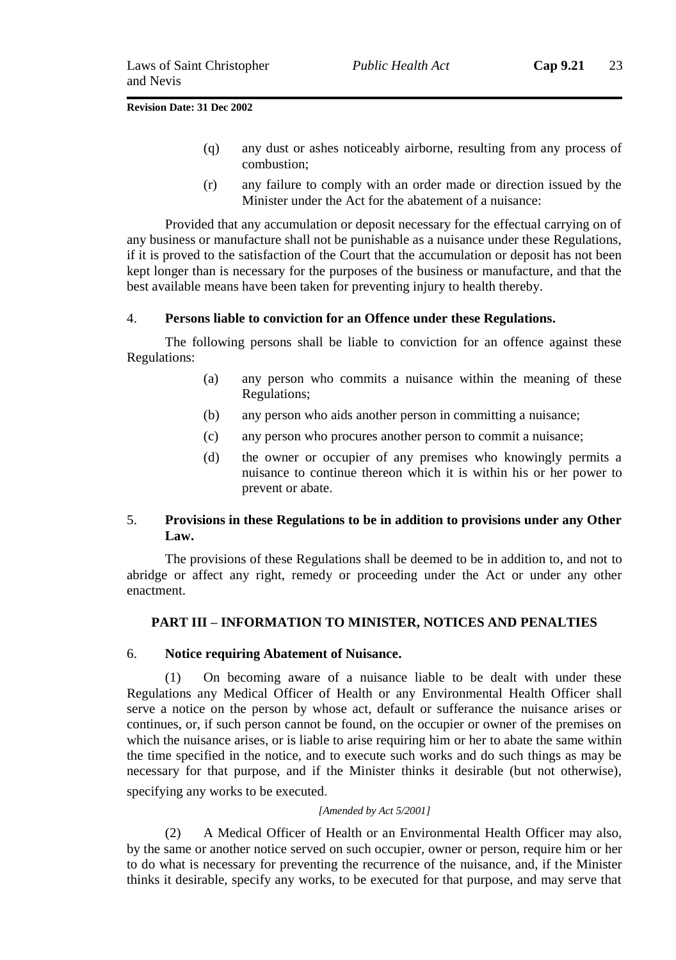- (q) any dust or ashes noticeably airborne, resulting from any process of combustion;
- (r) any failure to comply with an order made or direction issued by the Minister under the Act for the abatement of a nuisance:

Provided that any accumulation or deposit necessary for the effectual carrying on of any business or manufacture shall not be punishable as a nuisance under these Regulations, if it is proved to the satisfaction of the Court that the accumulation or deposit has not been kept longer than is necessary for the purposes of the business or manufacture, and that the best available means have been taken for preventing injury to health thereby.

### 4. **Persons liable to conviction for an Offence under these Regulations.**

The following persons shall be liable to conviction for an offence against these Regulations:

- (a) any person who commits a nuisance within the meaning of these Regulations;
- (b) any person who aids another person in committing a nuisance;
- (c) any person who procures another person to commit a nuisance;
- (d) the owner or occupier of any premises who knowingly permits a nuisance to continue thereon which it is within his or her power to prevent or abate.

### 5. **Provisions in these Regulations to be in addition to provisions under any Other Law.**

The provisions of these Regulations shall be deemed to be in addition to, and not to abridge or affect any right, remedy or proceeding under the Act or under any other enactment.

### **PART III – INFORMATION TO MINISTER, NOTICES AND PENALTIES**

#### 6. **Notice requiring Abatement of Nuisance.**

(1) On becoming aware of a nuisance liable to be dealt with under these Regulations any Medical Officer of Health or any Environmental Health Officer shall serve a notice on the person by whose act, default or sufferance the nuisance arises or continues, or, if such person cannot be found, on the occupier or owner of the premises on which the nuisance arises, or is liable to arise requiring him or her to abate the same within the time specified in the notice, and to execute such works and do such things as may be necessary for that purpose, and if the Minister thinks it desirable (but not otherwise), specifying any works to be executed.

#### *[Amended by Act 5/2001]*

(2) A Medical Officer of Health or an Environmental Health Officer may also, by the same or another notice served on such occupier, owner or person, require him or her to do what is necessary for preventing the recurrence of the nuisance, and, if the Minister thinks it desirable, specify any works, to be executed for that purpose, and may serve that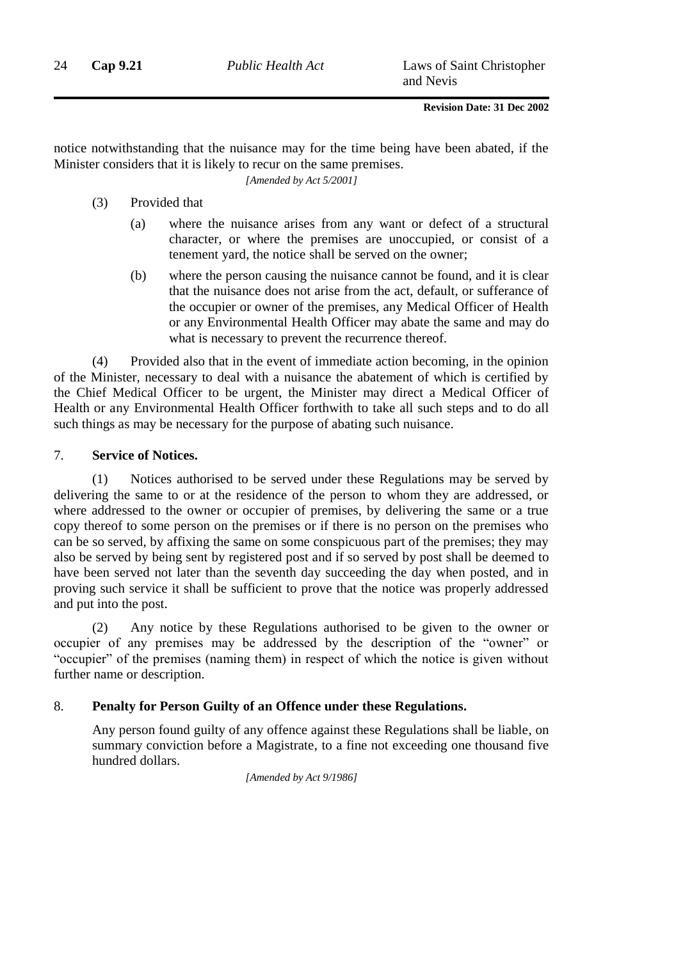notice notwithstanding that the nuisance may for the time being have been abated, if the Minister considers that it is likely to recur on the same premises.

*[Amended by Act 5/2001]*

- (3) Provided that
	- (a) where the nuisance arises from any want or defect of a structural character, or where the premises are unoccupied, or consist of a tenement yard, the notice shall be served on the owner;
	- (b) where the person causing the nuisance cannot be found, and it is clear that the nuisance does not arise from the act, default, or sufferance of the occupier or owner of the premises, any Medical Officer of Health or any Environmental Health Officer may abate the same and may do what is necessary to prevent the recurrence thereof.

(4) Provided also that in the event of immediate action becoming, in the opinion of the Minister, necessary to deal with a nuisance the abatement of which is certified by the Chief Medical Officer to be urgent, the Minister may direct a Medical Officer of Health or any Environmental Health Officer forthwith to take all such steps and to do all such things as may be necessary for the purpose of abating such nuisance.

### 7. **Service of Notices.**

(1) Notices authorised to be served under these Regulations may be served by delivering the same to or at the residence of the person to whom they are addressed, or where addressed to the owner or occupier of premises, by delivering the same or a true copy thereof to some person on the premises or if there is no person on the premises who can be so served, by affixing the same on some conspicuous part of the premises; they may also be served by being sent by registered post and if so served by post shall be deemed to have been served not later than the seventh day succeeding the day when posted, and in proving such service it shall be sufficient to prove that the notice was properly addressed and put into the post.

(2) Any notice by these Regulations authorised to be given to the owner or occupier of any premises may be addressed by the description of the "owner" or "occupier" of the premises (naming them) in respect of which the notice is given without further name or description.

### 8. **Penalty for Person Guilty of an Offence under these Regulations.**

Any person found guilty of any offence against these Regulations shall be liable, on summary conviction before a Magistrate, to a fine not exceeding one thousand five hundred dollars.

*[Amended by Act 9/1986]*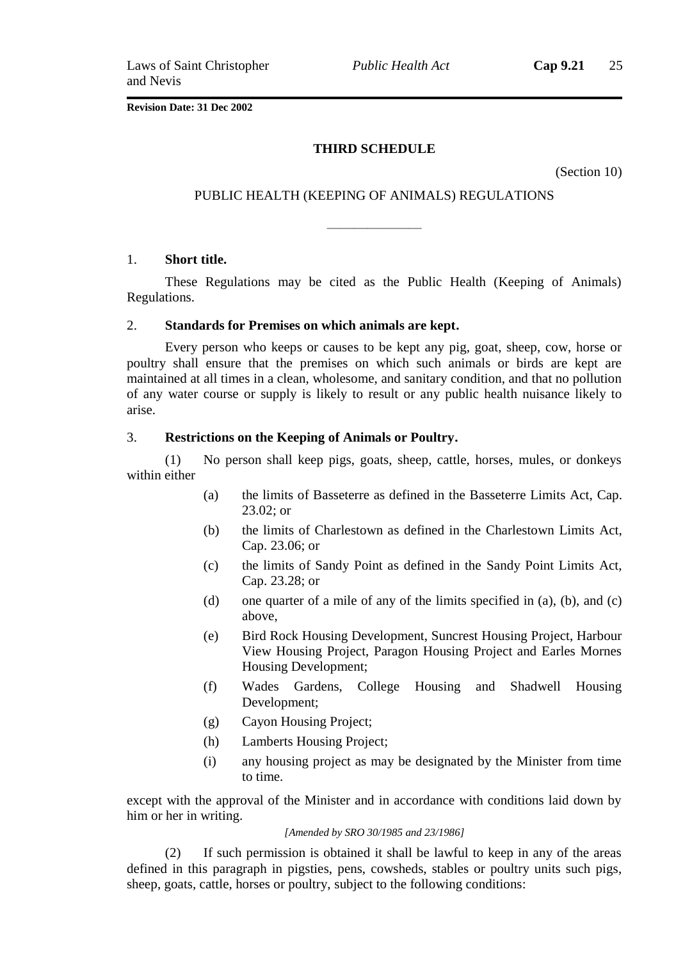*Public Health Act* **Cap 9.21** 25

**Revision Date: 31 Dec 2002**

### **THIRD SCHEDULE**

(Section 10)

### PUBLIC HEALTH (KEEPING OF ANIMALS) REGULATIONS

———————

#### 1. **Short title.**

These Regulations may be cited as the Public Health (Keeping of Animals) Regulations.

#### 2. **Standards for Premises on which animals are kept.**

Every person who keeps or causes to be kept any pig, goat, sheep, cow, horse or poultry shall ensure that the premises on which such animals or birds are kept are maintained at all times in a clean, wholesome, and sanitary condition, and that no pollution of any water course or supply is likely to result or any public health nuisance likely to arise.

#### 3. **Restrictions on the Keeping of Animals or Poultry.**

(1) No person shall keep pigs, goats, sheep, cattle, horses, mules, or donkeys within either

- (a) the limits of Basseterre as defined in the Basseterre Limits Act, Cap. 23.02; or
- (b) the limits of Charlestown as defined in the Charlestown Limits Act, Cap. 23.06; or
- (c) the limits of Sandy Point as defined in the Sandy Point Limits Act, Cap. 23.28; or
- (d) one quarter of a mile of any of the limits specified in (a), (b), and (c) above,
- (e) Bird Rock Housing Development, Suncrest Housing Project, Harbour View Housing Project, Paragon Housing Project and Earles Mornes Housing Development;
- (f) Wades Gardens, College Housing and Shadwell Housing Development;
- (g) Cayon Housing Project;
- (h) Lamberts Housing Project;
- (i) any housing project as may be designated by the Minister from time to time.

except with the approval of the Minister and in accordance with conditions laid down by him or her in writing.

#### *[Amended by SRO 30/1985 and 23/1986]*

(2) If such permission is obtained it shall be lawful to keep in any of the areas defined in this paragraph in pigsties, pens, cowsheds, stables or poultry units such pigs, sheep, goats, cattle, horses or poultry, subject to the following conditions: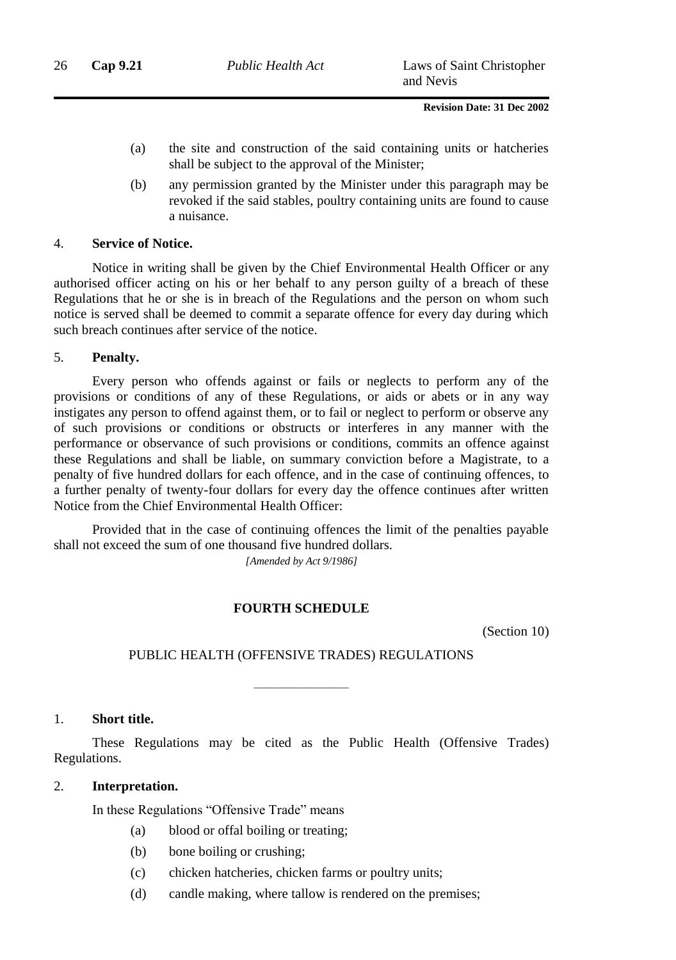- (a) the site and construction of the said containing units or hatcheries shall be subject to the approval of the Minister;
- (b) any permission granted by the Minister under this paragraph may be revoked if the said stables, poultry containing units are found to cause a nuisance.

### 4. **Service of Notice.**

Notice in writing shall be given by the Chief Environmental Health Officer or any authorised officer acting on his or her behalf to any person guilty of a breach of these Regulations that he or she is in breach of the Regulations and the person on whom such notice is served shall be deemed to commit a separate offence for every day during which such breach continues after service of the notice.

### 5. **Penalty.**

Every person who offends against or fails or neglects to perform any of the provisions or conditions of any of these Regulations, or aids or abets or in any way instigates any person to offend against them, or to fail or neglect to perform or observe any of such provisions or conditions or obstructs or interferes in any manner with the performance or observance of such provisions or conditions, commits an offence against these Regulations and shall be liable, on summary conviction before a Magistrate, to a penalty of five hundred dollars for each offence, and in the case of continuing offences, to a further penalty of twenty-four dollars for every day the offence continues after written Notice from the Chief Environmental Health Officer:

Provided that in the case of continuing offences the limit of the penalties payable shall not exceed the sum of one thousand five hundred dollars.

*[Amended by Act 9/1986]*

### **FOURTH SCHEDULE**

(Section 10)

### PUBLIC HEALTH (OFFENSIVE TRADES) REGULATIONS

———————

### 1. **Short title.**

These Regulations may be cited as the Public Health (Offensive Trades) Regulations.

### 2. **Interpretation.**

In these Regulations "Offensive Trade" means

- (a) blood or offal boiling or treating;
- (b) bone boiling or crushing;
- (c) chicken hatcheries, chicken farms or poultry units;
- (d) candle making, where tallow is rendered on the premises;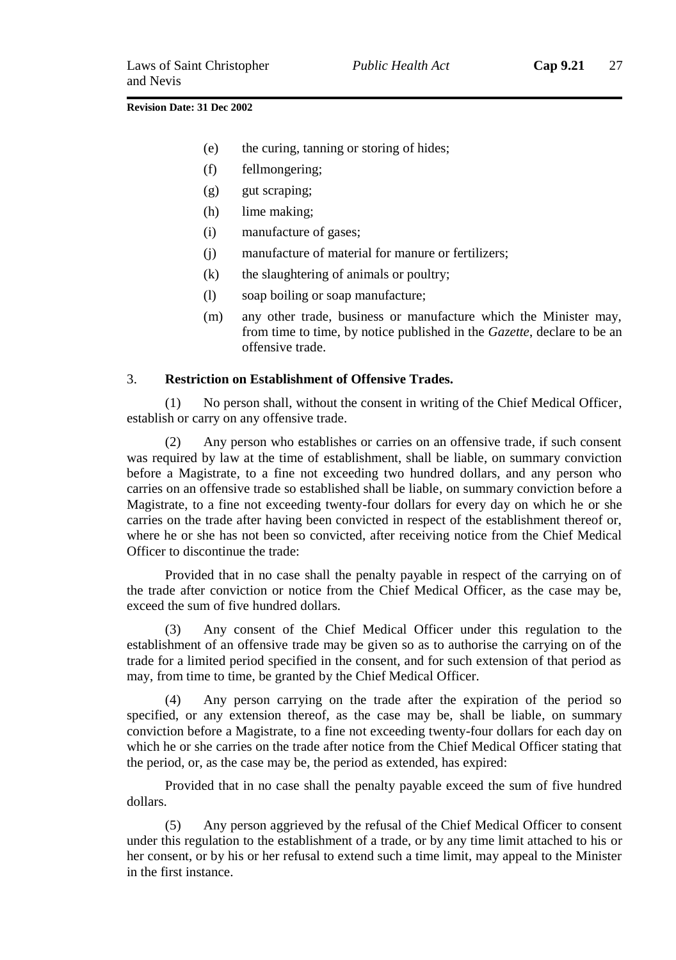- (e) the curing, tanning or storing of hides;
- (f) fellmongering;
- (g) gut scraping;
- (h) lime making;
- (i) manufacture of gases;
- (j) manufacture of material for manure or fertilizers;
- (k) the slaughtering of animals or poultry;
- (l) soap boiling or soap manufacture;
- (m) any other trade, business or manufacture which the Minister may, from time to time, by notice published in the *Gazette*, declare to be an offensive trade.

### 3. **Restriction on Establishment of Offensive Trades.**

(1) No person shall, without the consent in writing of the Chief Medical Officer, establish or carry on any offensive trade.

(2) Any person who establishes or carries on an offensive trade, if such consent was required by law at the time of establishment, shall be liable, on summary conviction before a Magistrate, to a fine not exceeding two hundred dollars, and any person who carries on an offensive trade so established shall be liable, on summary conviction before a Magistrate, to a fine not exceeding twenty-four dollars for every day on which he or she carries on the trade after having been convicted in respect of the establishment thereof or, where he or she has not been so convicted, after receiving notice from the Chief Medical Officer to discontinue the trade:

Provided that in no case shall the penalty payable in respect of the carrying on of the trade after conviction or notice from the Chief Medical Officer, as the case may be, exceed the sum of five hundred dollars.

Any consent of the Chief Medical Officer under this regulation to the establishment of an offensive trade may be given so as to authorise the carrying on of the trade for a limited period specified in the consent, and for such extension of that period as may, from time to time, be granted by the Chief Medical Officer.

Any person carrying on the trade after the expiration of the period so specified, or any extension thereof, as the case may be, shall be liable, on summary conviction before a Magistrate, to a fine not exceeding twenty-four dollars for each day on which he or she carries on the trade after notice from the Chief Medical Officer stating that the period, or, as the case may be, the period as extended, has expired:

Provided that in no case shall the penalty payable exceed the sum of five hundred dollars.

(5) Any person aggrieved by the refusal of the Chief Medical Officer to consent under this regulation to the establishment of a trade, or by any time limit attached to his or her consent, or by his or her refusal to extend such a time limit, may appeal to the Minister in the first instance.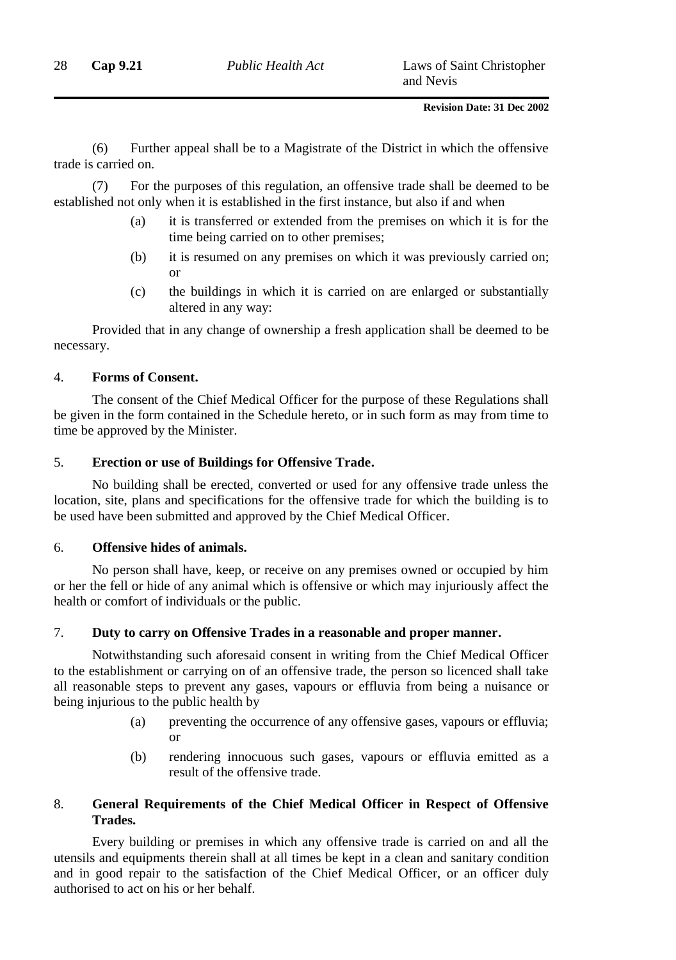(6) Further appeal shall be to a Magistrate of the District in which the offensive trade is carried on.

(7) For the purposes of this regulation, an offensive trade shall be deemed to be established not only when it is established in the first instance, but also if and when

- (a) it is transferred or extended from the premises on which it is for the time being carried on to other premises;
- (b) it is resumed on any premises on which it was previously carried on; or
- (c) the buildings in which it is carried on are enlarged or substantially altered in any way:

Provided that in any change of ownership a fresh application shall be deemed to be necessary.

### 4. **Forms of Consent.**

The consent of the Chief Medical Officer for the purpose of these Regulations shall be given in the form contained in the Schedule hereto, or in such form as may from time to time be approved by the Minister.

### 5. **Erection or use of Buildings for Offensive Trade.**

No building shall be erected, converted or used for any offensive trade unless the location, site, plans and specifications for the offensive trade for which the building is to be used have been submitted and approved by the Chief Medical Officer.

### 6. **Offensive hides of animals.**

No person shall have, keep, or receive on any premises owned or occupied by him or her the fell or hide of any animal which is offensive or which may injuriously affect the health or comfort of individuals or the public.

### 7. **Duty to carry on Offensive Trades in a reasonable and proper manner.**

Notwithstanding such aforesaid consent in writing from the Chief Medical Officer to the establishment or carrying on of an offensive trade, the person so licenced shall take all reasonable steps to prevent any gases, vapours or effluvia from being a nuisance or being injurious to the public health by

- (a) preventing the occurrence of any offensive gases, vapours or effluvia; or
- (b) rendering innocuous such gases, vapours or effluvia emitted as a result of the offensive trade.

### 8. **General Requirements of the Chief Medical Officer in Respect of Offensive Trades.**

Every building or premises in which any offensive trade is carried on and all the utensils and equipments therein shall at all times be kept in a clean and sanitary condition and in good repair to the satisfaction of the Chief Medical Officer, or an officer duly authorised to act on his or her behalf.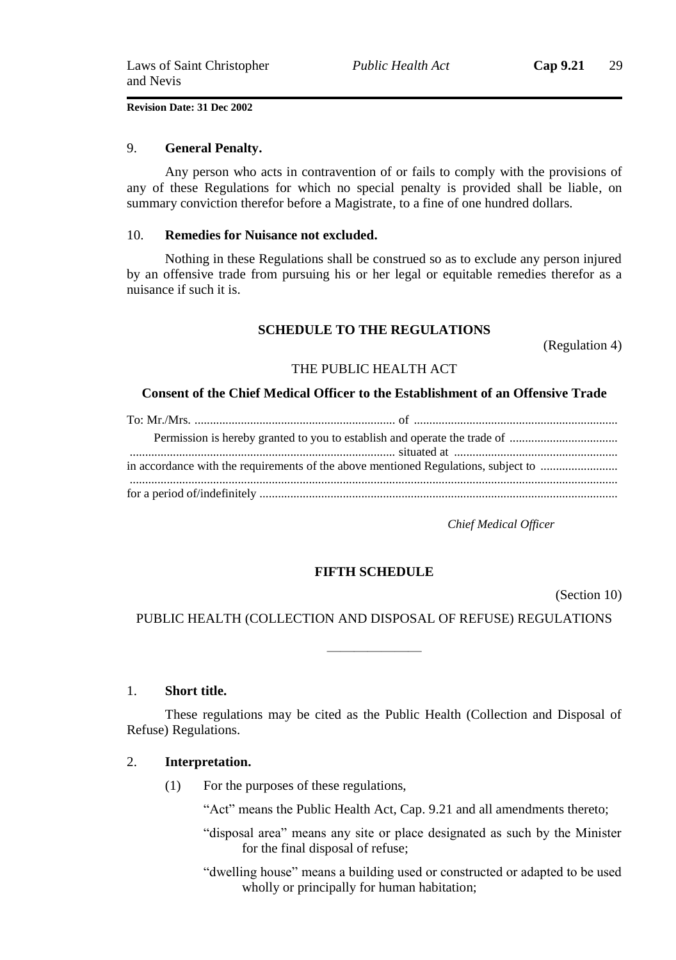#### 9. **General Penalty.**

Any person who acts in contravention of or fails to comply with the provisions of any of these Regulations for which no special penalty is provided shall be liable, on summary conviction therefor before a Magistrate, to a fine of one hundred dollars.

#### 10. **Remedies for Nuisance not excluded.**

Nothing in these Regulations shall be construed so as to exclude any person injured by an offensive trade from pursuing his or her legal or equitable remedies therefor as a nuisance if such it is.

### **SCHEDULE TO THE REGULATIONS**

(Regulation 4)

### THE PUBLIC HEALTH ACT

#### **Consent of the Chief Medical Officer to the Establishment of an Offensive Trade**

| in accordance with the requirements of the above mentioned Regulations, subject to |
|------------------------------------------------------------------------------------|
|                                                                                    |
|                                                                                    |
|                                                                                    |

*Chief Medical Officer*

### **FIFTH SCHEDULE**

(Section 10)

### PUBLIC HEALTH (COLLECTION AND DISPOSAL OF REFUSE) REGULATIONS

———————

#### 1. **Short title.**

These regulations may be cited as the Public Health (Collection and Disposal of Refuse) Regulations.

### 2. **Interpretation.**

(1) For the purposes of these regulations,

"Act" means the Public Health Act, Cap. 9.21 and all amendments thereto;

- "disposal area" means any site or place designated as such by the Minister for the final disposal of refuse;
- "dwelling house" means a building used or constructed or adapted to be used wholly or principally for human habitation;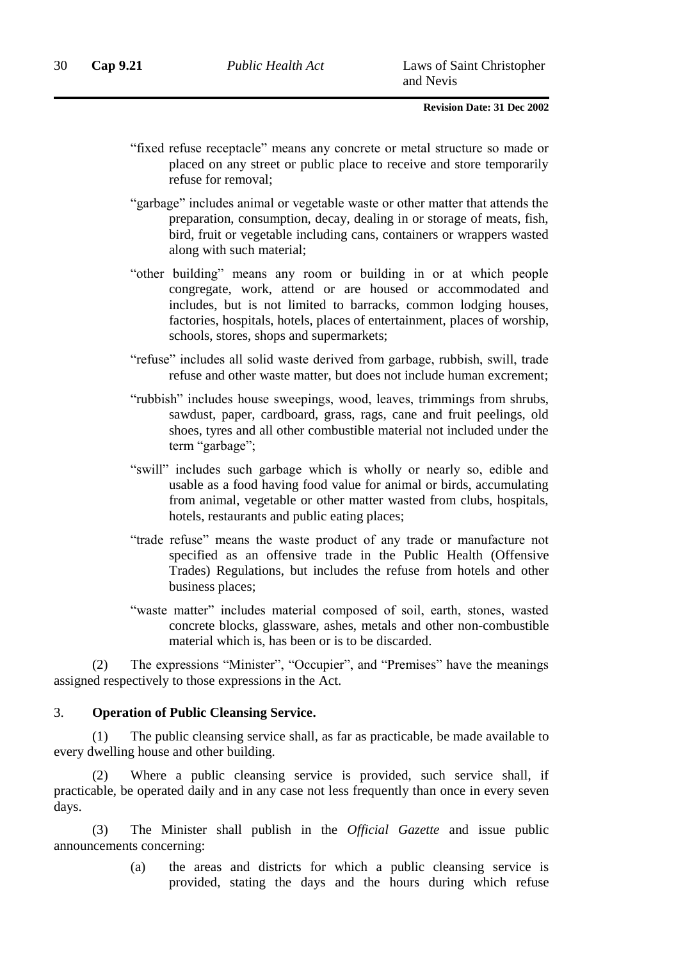- "fixed refuse receptacle" means any concrete or metal structure so made or placed on any street or public place to receive and store temporarily refuse for removal;
- "garbage" includes animal or vegetable waste or other matter that attends the preparation, consumption, decay, dealing in or storage of meats, fish, bird, fruit or vegetable including cans, containers or wrappers wasted along with such material;
- "other building" means any room or building in or at which people congregate, work, attend or are housed or accommodated and includes, but is not limited to barracks, common lodging houses, factories, hospitals, hotels, places of entertainment, places of worship, schools, stores, shops and supermarkets;
- "refuse" includes all solid waste derived from garbage, rubbish, swill, trade refuse and other waste matter, but does not include human excrement;
- "rubbish" includes house sweepings, wood, leaves, trimmings from shrubs, sawdust, paper, cardboard, grass, rags, cane and fruit peelings, old shoes, tyres and all other combustible material not included under the term "garbage";
- "swill" includes such garbage which is wholly or nearly so, edible and usable as a food having food value for animal or birds, accumulating from animal, vegetable or other matter wasted from clubs, hospitals, hotels, restaurants and public eating places;
- "trade refuse" means the waste product of any trade or manufacture not specified as an offensive trade in the Public Health (Offensive Trades) Regulations, but includes the refuse from hotels and other business places;
- "waste matter" includes material composed of soil, earth, stones, wasted concrete blocks, glassware, ashes, metals and other non-combustible material which is, has been or is to be discarded.

(2) The expressions "Minister", "Occupier", and "Premises" have the meanings assigned respectively to those expressions in the Act.

### 3. **Operation of Public Cleansing Service.**

(1) The public cleansing service shall, as far as practicable, be made available to every dwelling house and other building.

(2) Where a public cleansing service is provided, such service shall, if practicable, be operated daily and in any case not less frequently than once in every seven days.

(3) The Minister shall publish in the *Official Gazette* and issue public announcements concerning:

> (a) the areas and districts for which a public cleansing service is provided, stating the days and the hours during which refuse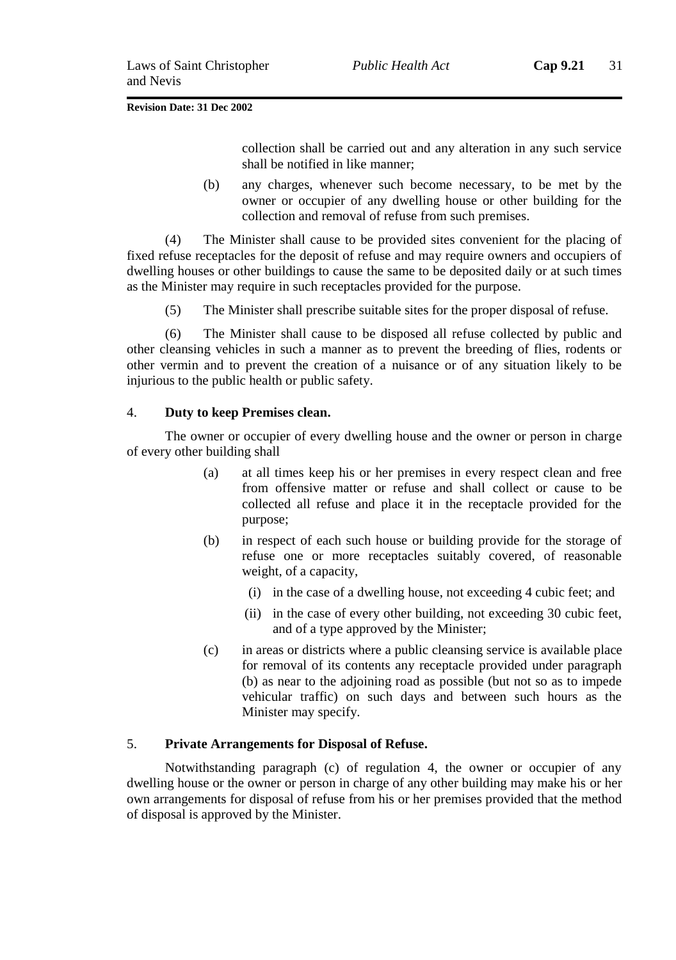collection shall be carried out and any alteration in any such service shall be notified in like manner;

(b) any charges, whenever such become necessary, to be met by the owner or occupier of any dwelling house or other building for the collection and removal of refuse from such premises.

(4) The Minister shall cause to be provided sites convenient for the placing of fixed refuse receptacles for the deposit of refuse and may require owners and occupiers of dwelling houses or other buildings to cause the same to be deposited daily or at such times as the Minister may require in such receptacles provided for the purpose.

(5) The Minister shall prescribe suitable sites for the proper disposal of refuse.

(6) The Minister shall cause to be disposed all refuse collected by public and other cleansing vehicles in such a manner as to prevent the breeding of flies, rodents or other vermin and to prevent the creation of a nuisance or of any situation likely to be injurious to the public health or public safety.

### 4. **Duty to keep Premises clean.**

The owner or occupier of every dwelling house and the owner or person in charge of every other building shall

- (a) at all times keep his or her premises in every respect clean and free from offensive matter or refuse and shall collect or cause to be collected all refuse and place it in the receptacle provided for the purpose;
- (b) in respect of each such house or building provide for the storage of refuse one or more receptacles suitably covered, of reasonable weight, of a capacity,
	- (i) in the case of a dwelling house, not exceeding 4 cubic feet; and
	- (ii) in the case of every other building, not exceeding 30 cubic feet, and of a type approved by the Minister;
- (c) in areas or districts where a public cleansing service is available place for removal of its contents any receptacle provided under paragraph (b) as near to the adjoining road as possible (but not so as to impede vehicular traffic) on such days and between such hours as the Minister may specify.

### 5. **Private Arrangements for Disposal of Refuse.**

Notwithstanding paragraph (c) of regulation 4, the owner or occupier of any dwelling house or the owner or person in charge of any other building may make his or her own arrangements for disposal of refuse from his or her premises provided that the method of disposal is approved by the Minister.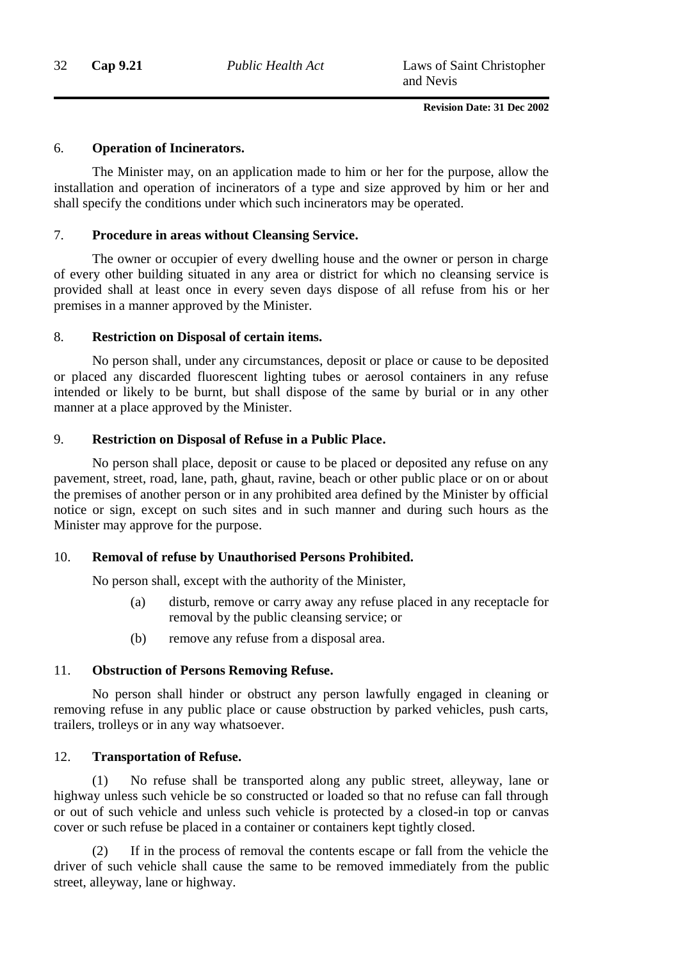### 6. **Operation of Incinerators.**

The Minister may, on an application made to him or her for the purpose, allow the installation and operation of incinerators of a type and size approved by him or her and shall specify the conditions under which such incinerators may be operated.

### 7. **Procedure in areas without Cleansing Service.**

The owner or occupier of every dwelling house and the owner or person in charge of every other building situated in any area or district for which no cleansing service is provided shall at least once in every seven days dispose of all refuse from his or her premises in a manner approved by the Minister.

### 8. **Restriction on Disposal of certain items.**

No person shall, under any circumstances, deposit or place or cause to be deposited or placed any discarded fluorescent lighting tubes or aerosol containers in any refuse intended or likely to be burnt, but shall dispose of the same by burial or in any other manner at a place approved by the Minister.

### 9. **Restriction on Disposal of Refuse in a Public Place.**

No person shall place, deposit or cause to be placed or deposited any refuse on any pavement, street, road, lane, path, ghaut, ravine, beach or other public place or on or about the premises of another person or in any prohibited area defined by the Minister by official notice or sign, except on such sites and in such manner and during such hours as the Minister may approve for the purpose.

### 10. **Removal of refuse by Unauthorised Persons Prohibited.**

No person shall, except with the authority of the Minister,

- (a) disturb, remove or carry away any refuse placed in any receptacle for removal by the public cleansing service; or
- (b) remove any refuse from a disposal area.

### 11. **Obstruction of Persons Removing Refuse.**

No person shall hinder or obstruct any person lawfully engaged in cleaning or removing refuse in any public place or cause obstruction by parked vehicles, push carts, trailers, trolleys or in any way whatsoever.

### 12. **Transportation of Refuse.**

(1) No refuse shall be transported along any public street, alleyway, lane or highway unless such vehicle be so constructed or loaded so that no refuse can fall through or out of such vehicle and unless such vehicle is protected by a closed-in top or canvas cover or such refuse be placed in a container or containers kept tightly closed.

(2) If in the process of removal the contents escape or fall from the vehicle the driver of such vehicle shall cause the same to be removed immediately from the public street, alleyway, lane or highway.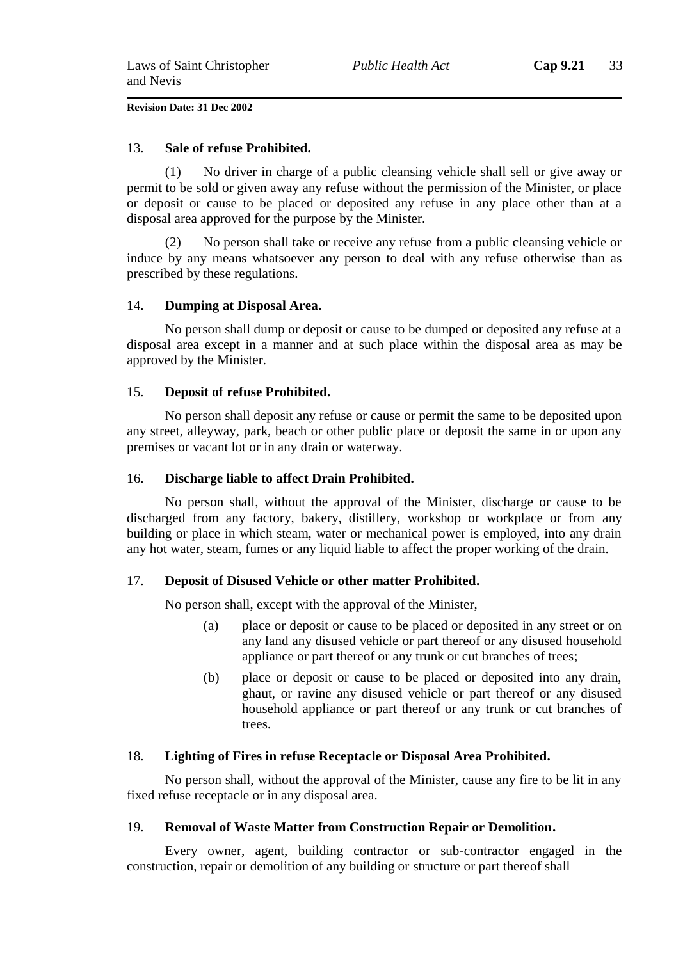### 13. **Sale of refuse Prohibited.**

(1) No driver in charge of a public cleansing vehicle shall sell or give away or permit to be sold or given away any refuse without the permission of the Minister, or place or deposit or cause to be placed or deposited any refuse in any place other than at a disposal area approved for the purpose by the Minister.

(2) No person shall take or receive any refuse from a public cleansing vehicle or induce by any means whatsoever any person to deal with any refuse otherwise than as prescribed by these regulations.

### 14. **Dumping at Disposal Area.**

No person shall dump or deposit or cause to be dumped or deposited any refuse at a disposal area except in a manner and at such place within the disposal area as may be approved by the Minister.

### 15. **Deposit of refuse Prohibited.**

No person shall deposit any refuse or cause or permit the same to be deposited upon any street, alleyway, park, beach or other public place or deposit the same in or upon any premises or vacant lot or in any drain or waterway.

### 16. **Discharge liable to affect Drain Prohibited.**

No person shall, without the approval of the Minister, discharge or cause to be discharged from any factory, bakery, distillery, workshop or workplace or from any building or place in which steam, water or mechanical power is employed, into any drain any hot water, steam, fumes or any liquid liable to affect the proper working of the drain.

### 17. **Deposit of Disused Vehicle or other matter Prohibited.**

No person shall, except with the approval of the Minister,

- (a) place or deposit or cause to be placed or deposited in any street or on any land any disused vehicle or part thereof or any disused household appliance or part thereof or any trunk or cut branches of trees;
- (b) place or deposit or cause to be placed or deposited into any drain, ghaut, or ravine any disused vehicle or part thereof or any disused household appliance or part thereof or any trunk or cut branches of trees.

### 18. **Lighting of Fires in refuse Receptacle or Disposal Area Prohibited.**

No person shall, without the approval of the Minister, cause any fire to be lit in any fixed refuse receptacle or in any disposal area.

### 19. **Removal of Waste Matter from Construction Repair or Demolition.**

Every owner, agent, building contractor or sub-contractor engaged in the construction, repair or demolition of any building or structure or part thereof shall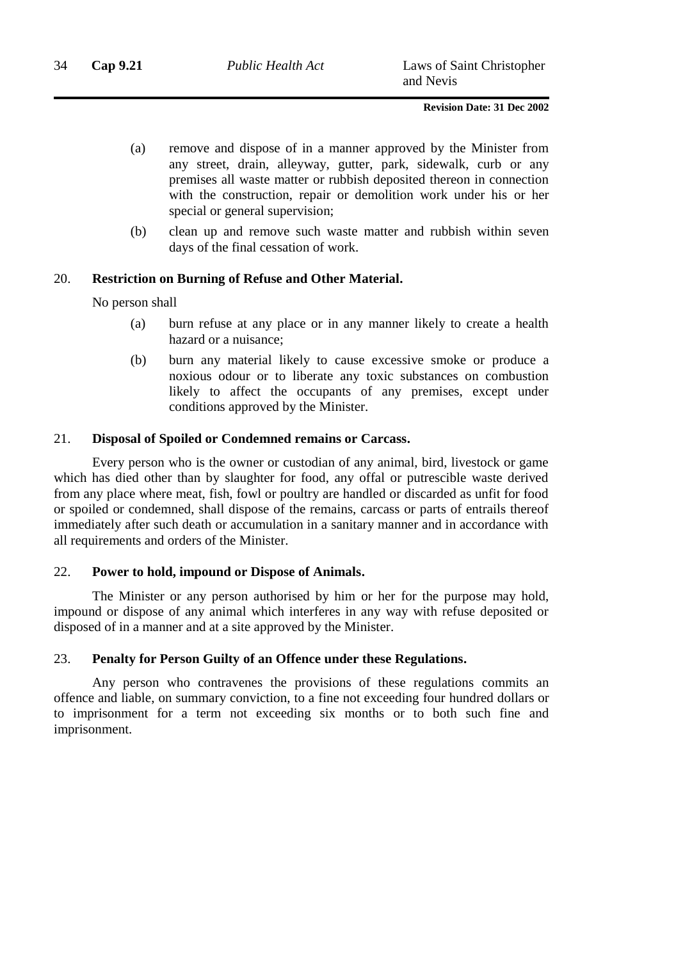- (a) remove and dispose of in a manner approved by the Minister from any street, drain, alleyway, gutter, park, sidewalk, curb or any premises all waste matter or rubbish deposited thereon in connection with the construction, repair or demolition work under his or her special or general supervision;
- (b) clean up and remove such waste matter and rubbish within seven days of the final cessation of work.

### 20. **Restriction on Burning of Refuse and Other Material.**

No person shall

- (a) burn refuse at any place or in any manner likely to create a health hazard or a nuisance;
- (b) burn any material likely to cause excessive smoke or produce a noxious odour or to liberate any toxic substances on combustion likely to affect the occupants of any premises, except under conditions approved by the Minister.

### 21. **Disposal of Spoiled or Condemned remains or Carcass.**

Every person who is the owner or custodian of any animal, bird, livestock or game which has died other than by slaughter for food, any offal or putrescible waste derived from any place where meat, fish, fowl or poultry are handled or discarded as unfit for food or spoiled or condemned, shall dispose of the remains, carcass or parts of entrails thereof immediately after such death or accumulation in a sanitary manner and in accordance with all requirements and orders of the Minister.

### 22. **Power to hold, impound or Dispose of Animals.**

The Minister or any person authorised by him or her for the purpose may hold, impound or dispose of any animal which interferes in any way with refuse deposited or disposed of in a manner and at a site approved by the Minister.

### 23. **Penalty for Person Guilty of an Offence under these Regulations.**

Any person who contravenes the provisions of these regulations commits an offence and liable, on summary conviction, to a fine not exceeding four hundred dollars or to imprisonment for a term not exceeding six months or to both such fine and imprisonment.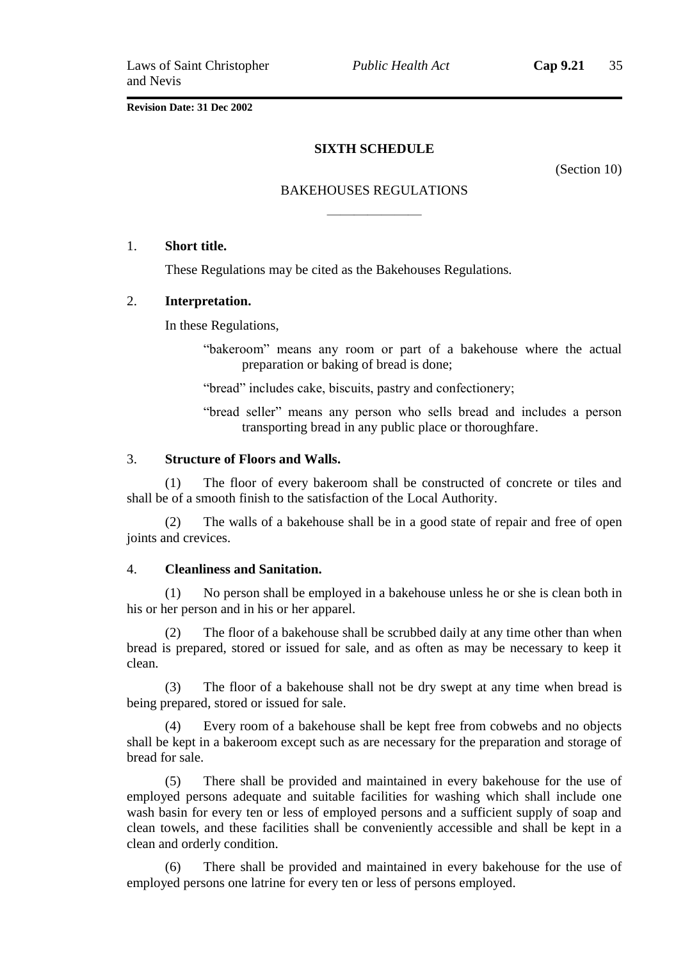### **SIXTH SCHEDULE**

(Section 10)

# BAKEHOUSES REGULATIONS ———————

### 1. **Short title.**

These Regulations may be cited as the Bakehouses Regulations.

### 2. **Interpretation.**

In these Regulations,

"bakeroom" means any room or part of a bakehouse where the actual preparation or baking of bread is done;

"bread" includes cake, biscuits, pastry and confectionery;

"bread seller" means any person who sells bread and includes a person transporting bread in any public place or thoroughfare.

### 3. **Structure of Floors and Walls.**

(1) The floor of every bakeroom shall be constructed of concrete or tiles and shall be of a smooth finish to the satisfaction of the Local Authority.

(2) The walls of a bakehouse shall be in a good state of repair and free of open joints and crevices.

### 4. **Cleanliness and Sanitation.**

(1) No person shall be employed in a bakehouse unless he or she is clean both in his or her person and in his or her apparel.

The floor of a bakehouse shall be scrubbed daily at any time other than when bread is prepared, stored or issued for sale, and as often as may be necessary to keep it clean.

(3) The floor of a bakehouse shall not be dry swept at any time when bread is being prepared, stored or issued for sale.

(4) Every room of a bakehouse shall be kept free from cobwebs and no objects shall be kept in a bakeroom except such as are necessary for the preparation and storage of bread for sale.

(5) There shall be provided and maintained in every bakehouse for the use of employed persons adequate and suitable facilities for washing which shall include one wash basin for every ten or less of employed persons and a sufficient supply of soap and clean towels, and these facilities shall be conveniently accessible and shall be kept in a clean and orderly condition.

There shall be provided and maintained in every bakehouse for the use of employed persons one latrine for every ten or less of persons employed.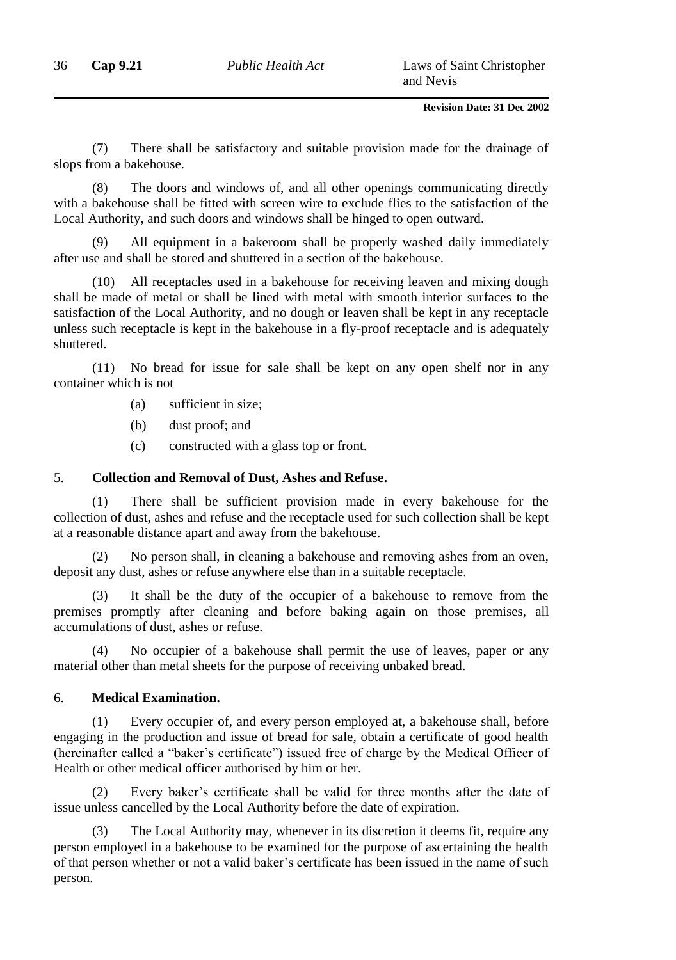36 **Cap 9.21** *Public Health Act* Laws of Saint Christopher and Nevis

**Revision Date: 31 Dec 2002**

(7) There shall be satisfactory and suitable provision made for the drainage of slops from a bakehouse.

(8) The doors and windows of, and all other openings communicating directly with a bakehouse shall be fitted with screen wire to exclude flies to the satisfaction of the Local Authority, and such doors and windows shall be hinged to open outward.

(9) All equipment in a bakeroom shall be properly washed daily immediately after use and shall be stored and shuttered in a section of the bakehouse.

(10) All receptacles used in a bakehouse for receiving leaven and mixing dough shall be made of metal or shall be lined with metal with smooth interior surfaces to the satisfaction of the Local Authority, and no dough or leaven shall be kept in any receptacle unless such receptacle is kept in the bakehouse in a fly-proof receptacle and is adequately shuttered.

(11) No bread for issue for sale shall be kept on any open shelf nor in any container which is not

- (a) sufficient in size;
- (b) dust proof; and
- (c) constructed with a glass top or front.

### 5. **Collection and Removal of Dust, Ashes and Refuse.**

(1) There shall be sufficient provision made in every bakehouse for the collection of dust, ashes and refuse and the receptacle used for such collection shall be kept at a reasonable distance apart and away from the bakehouse.

(2) No person shall, in cleaning a bakehouse and removing ashes from an oven, deposit any dust, ashes or refuse anywhere else than in a suitable receptacle.

(3) It shall be the duty of the occupier of a bakehouse to remove from the premises promptly after cleaning and before baking again on those premises, all accumulations of dust, ashes or refuse.

(4) No occupier of a bakehouse shall permit the use of leaves, paper or any material other than metal sheets for the purpose of receiving unbaked bread.

### 6. **Medical Examination.**

(1) Every occupier of, and every person employed at, a bakehouse shall, before engaging in the production and issue of bread for sale, obtain a certificate of good health (hereinafter called a "baker's certificate") issued free of charge by the Medical Officer of Health or other medical officer authorised by him or her.

(2) Every baker's certificate shall be valid for three months after the date of issue unless cancelled by the Local Authority before the date of expiration.

(3) The Local Authority may, whenever in its discretion it deems fit, require any person employed in a bakehouse to be examined for the purpose of ascertaining the health of that person whether or not a valid baker's certificate has been issued in the name of such person.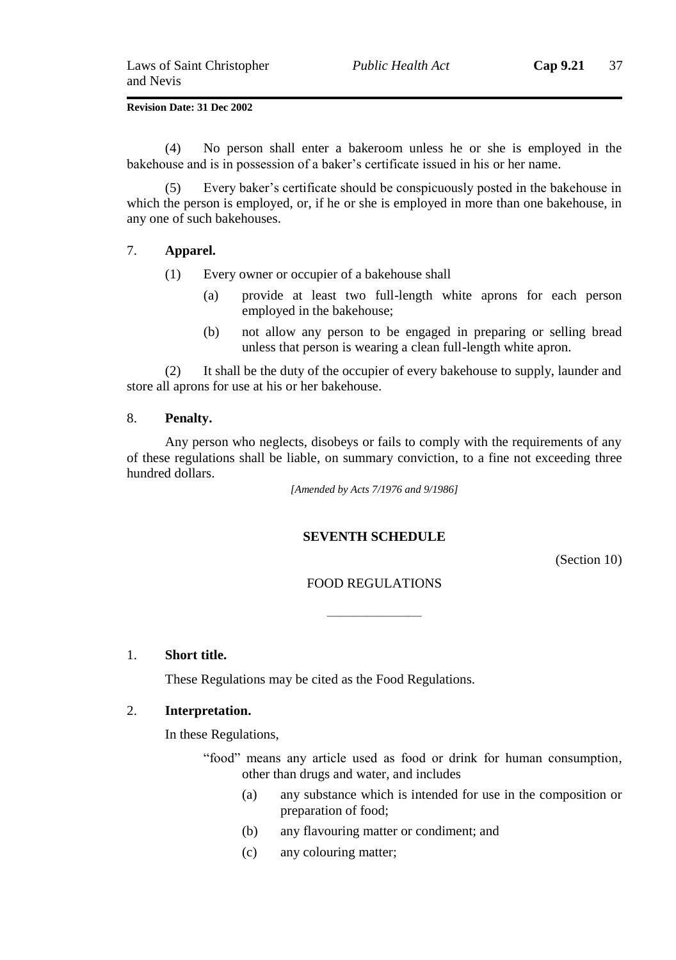(4) No person shall enter a bakeroom unless he or she is employed in the bakehouse and is in possession of a baker's certificate issued in his or her name.

(5) Every baker's certificate should be conspicuously posted in the bakehouse in which the person is employed, or, if he or she is employed in more than one bakehouse, in any one of such bakehouses.

### 7. **Apparel.**

- (1) Every owner or occupier of a bakehouse shall
	- (a) provide at least two full-length white aprons for each person employed in the bakehouse;
	- (b) not allow any person to be engaged in preparing or selling bread unless that person is wearing a clean full-length white apron.

(2) It shall be the duty of the occupier of every bakehouse to supply, launder and store all aprons for use at his or her bakehouse.

### 8. **Penalty.**

Any person who neglects, disobeys or fails to comply with the requirements of any of these regulations shall be liable, on summary conviction, to a fine not exceeding three hundred dollars.

*[Amended by Acts 7/1976 and 9/1986]*

### **SEVENTH SCHEDULE**

(Section 10)

### FOOD REGULATIONS

———————

#### 1. **Short title.**

These Regulations may be cited as the Food Regulations.

### 2. **Interpretation.**

In these Regulations,

"food" means any article used as food or drink for human consumption, other than drugs and water, and includes

- (a) any substance which is intended for use in the composition or preparation of food;
- (b) any flavouring matter or condiment; and
- (c) any colouring matter;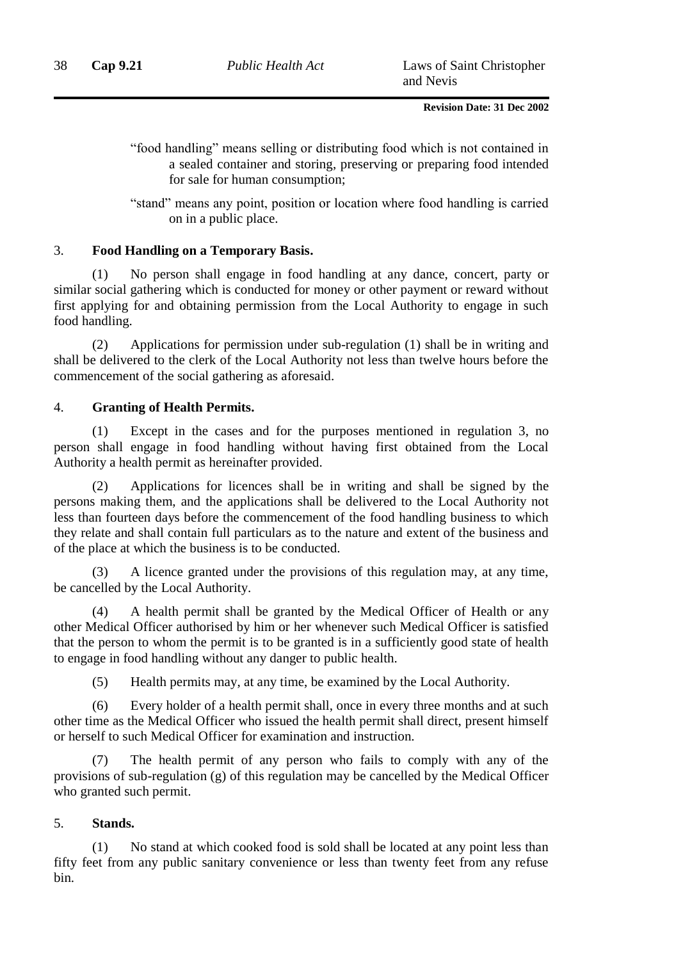"food handling" means selling or distributing food which is not contained in a sealed container and storing, preserving or preparing food intended for sale for human consumption;

"stand" means any point, position or location where food handling is carried on in a public place.

### 3. **Food Handling on a Temporary Basis.**

(1) No person shall engage in food handling at any dance, concert, party or similar social gathering which is conducted for money or other payment or reward without first applying for and obtaining permission from the Local Authority to engage in such food handling.

(2) Applications for permission under sub-regulation (1) shall be in writing and shall be delivered to the clerk of the Local Authority not less than twelve hours before the commencement of the social gathering as aforesaid.

### 4. **Granting of Health Permits.**

(1) Except in the cases and for the purposes mentioned in regulation 3, no person shall engage in food handling without having first obtained from the Local Authority a health permit as hereinafter provided.

(2) Applications for licences shall be in writing and shall be signed by the persons making them, and the applications shall be delivered to the Local Authority not less than fourteen days before the commencement of the food handling business to which they relate and shall contain full particulars as to the nature and extent of the business and of the place at which the business is to be conducted.

A licence granted under the provisions of this regulation may, at any time, be cancelled by the Local Authority.

(4) A health permit shall be granted by the Medical Officer of Health or any other Medical Officer authorised by him or her whenever such Medical Officer is satisfied that the person to whom the permit is to be granted is in a sufficiently good state of health to engage in food handling without any danger to public health.

(5) Health permits may, at any time, be examined by the Local Authority.

(6) Every holder of a health permit shall, once in every three months and at such other time as the Medical Officer who issued the health permit shall direct, present himself or herself to such Medical Officer for examination and instruction.

The health permit of any person who fails to comply with any of the provisions of sub-regulation (g) of this regulation may be cancelled by the Medical Officer who granted such permit.

### 5. **Stands.**

(1) No stand at which cooked food is sold shall be located at any point less than fifty feet from any public sanitary convenience or less than twenty feet from any refuse bin.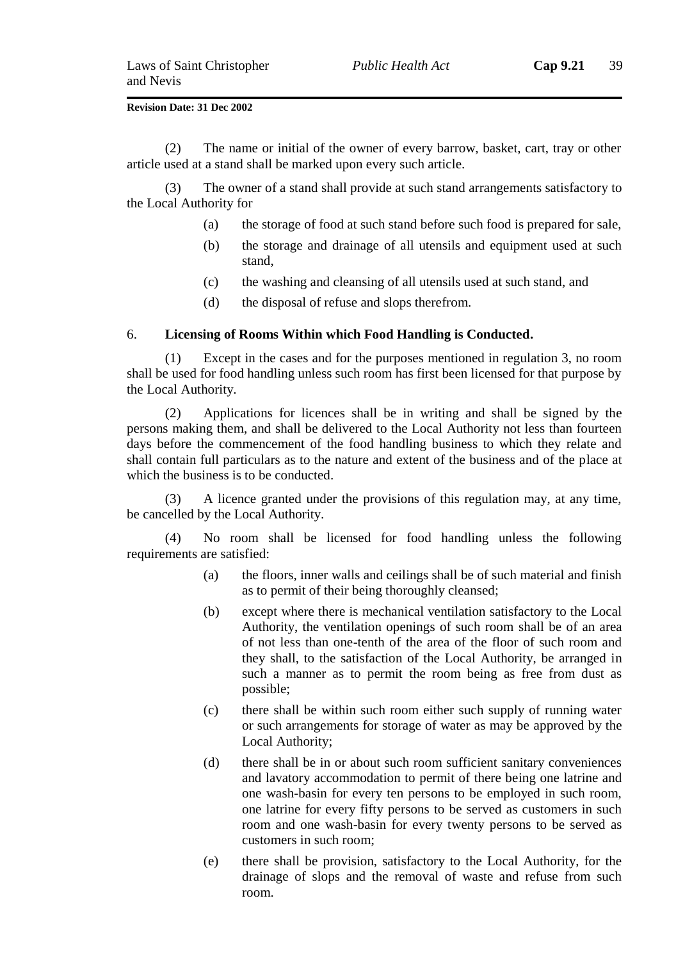(2) The name or initial of the owner of every barrow, basket, cart, tray or other article used at a stand shall be marked upon every such article.

(3) The owner of a stand shall provide at such stand arrangements satisfactory to the Local Authority for

- (a) the storage of food at such stand before such food is prepared for sale,
- (b) the storage and drainage of all utensils and equipment used at such stand,
- (c) the washing and cleansing of all utensils used at such stand, and
- (d) the disposal of refuse and slops therefrom.

#### 6. **Licensing of Rooms Within which Food Handling is Conducted.**

(1) Except in the cases and for the purposes mentioned in regulation 3, no room shall be used for food handling unless such room has first been licensed for that purpose by the Local Authority.

(2) Applications for licences shall be in writing and shall be signed by the persons making them, and shall be delivered to the Local Authority not less than fourteen days before the commencement of the food handling business to which they relate and shall contain full particulars as to the nature and extent of the business and of the place at which the business is to be conducted.

(3) A licence granted under the provisions of this regulation may, at any time, be cancelled by the Local Authority.

(4) No room shall be licensed for food handling unless the following requirements are satisfied:

- (a) the floors, inner walls and ceilings shall be of such material and finish as to permit of their being thoroughly cleansed;
- (b) except where there is mechanical ventilation satisfactory to the Local Authority, the ventilation openings of such room shall be of an area of not less than one-tenth of the area of the floor of such room and they shall, to the satisfaction of the Local Authority, be arranged in such a manner as to permit the room being as free from dust as possible;
- (c) there shall be within such room either such supply of running water or such arrangements for storage of water as may be approved by the Local Authority;
- (d) there shall be in or about such room sufficient sanitary conveniences and lavatory accommodation to permit of there being one latrine and one wash-basin for every ten persons to be employed in such room, one latrine for every fifty persons to be served as customers in such room and one wash-basin for every twenty persons to be served as customers in such room;
- (e) there shall be provision, satisfactory to the Local Authority, for the drainage of slops and the removal of waste and refuse from such room.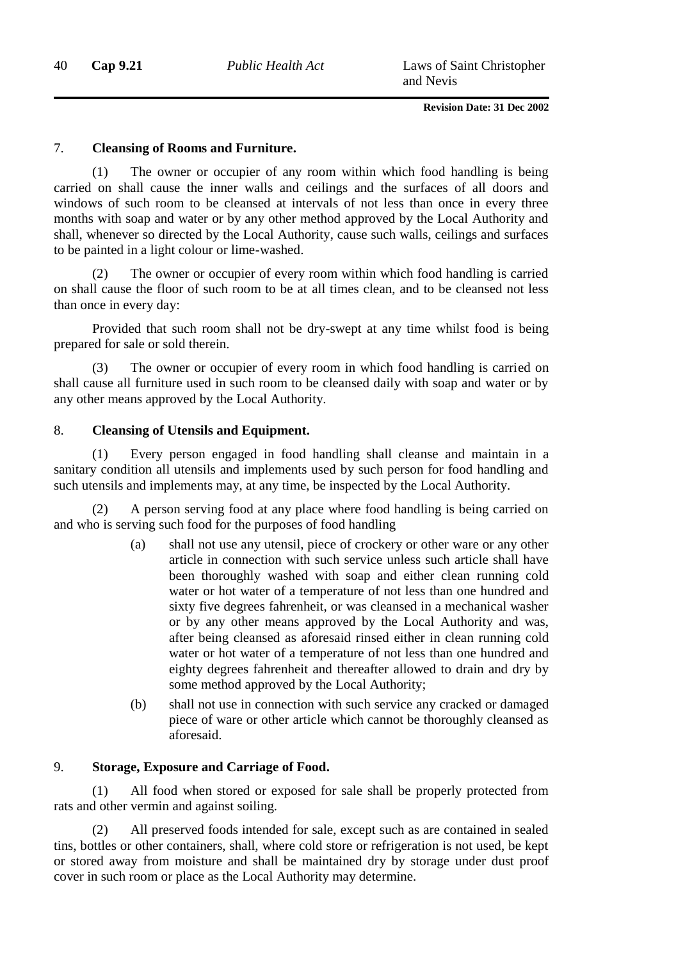### 7. **Cleansing of Rooms and Furniture.**

(1) The owner or occupier of any room within which food handling is being carried on shall cause the inner walls and ceilings and the surfaces of all doors and windows of such room to be cleansed at intervals of not less than once in every three months with soap and water or by any other method approved by the Local Authority and shall, whenever so directed by the Local Authority, cause such walls, ceilings and surfaces to be painted in a light colour or lime-washed.

(2) The owner or occupier of every room within which food handling is carried on shall cause the floor of such room to be at all times clean, and to be cleansed not less than once in every day:

Provided that such room shall not be dry-swept at any time whilst food is being prepared for sale or sold therein.

(3) The owner or occupier of every room in which food handling is carried on shall cause all furniture used in such room to be cleansed daily with soap and water or by any other means approved by the Local Authority.

### 8. **Cleansing of Utensils and Equipment.**

(1) Every person engaged in food handling shall cleanse and maintain in a sanitary condition all utensils and implements used by such person for food handling and such utensils and implements may, at any time, be inspected by the Local Authority.

(2) A person serving food at any place where food handling is being carried on and who is serving such food for the purposes of food handling

- (a) shall not use any utensil, piece of crockery or other ware or any other article in connection with such service unless such article shall have been thoroughly washed with soap and either clean running cold water or hot water of a temperature of not less than one hundred and sixty five degrees fahrenheit, or was cleansed in a mechanical washer or by any other means approved by the Local Authority and was, after being cleansed as aforesaid rinsed either in clean running cold water or hot water of a temperature of not less than one hundred and eighty degrees fahrenheit and thereafter allowed to drain and dry by some method approved by the Local Authority;
- (b) shall not use in connection with such service any cracked or damaged piece of ware or other article which cannot be thoroughly cleansed as aforesaid.

### 9. **Storage, Exposure and Carriage of Food.**

(1) All food when stored or exposed for sale shall be properly protected from rats and other vermin and against soiling.

(2) All preserved foods intended for sale, except such as are contained in sealed tins, bottles or other containers, shall, where cold store or refrigeration is not used, be kept or stored away from moisture and shall be maintained dry by storage under dust proof cover in such room or place as the Local Authority may determine.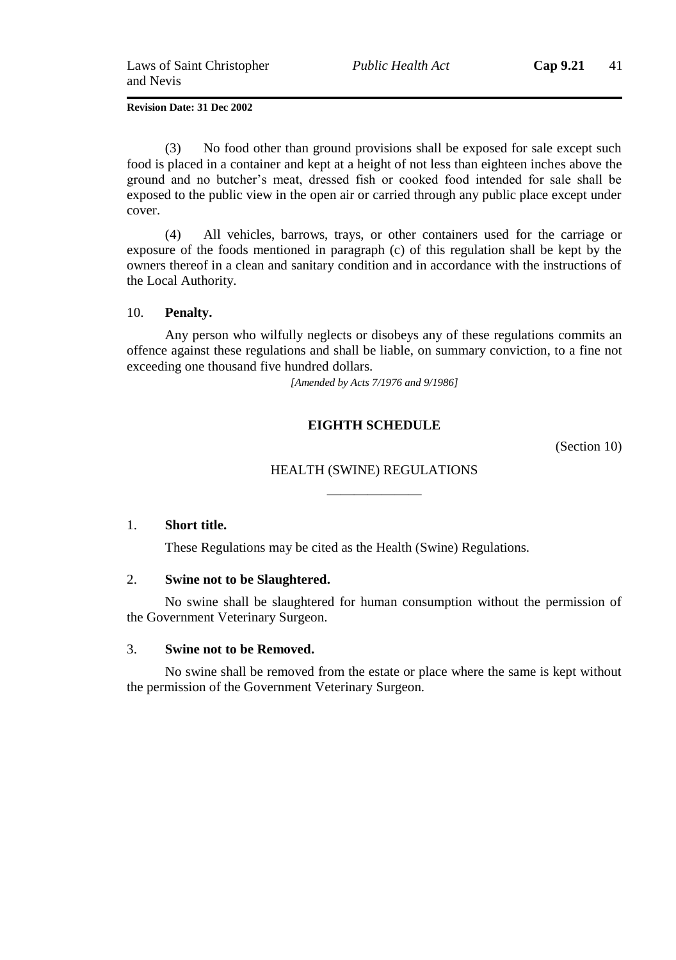(3) No food other than ground provisions shall be exposed for sale except such food is placed in a container and kept at a height of not less than eighteen inches above the ground and no butcher's meat, dressed fish or cooked food intended for sale shall be exposed to the public view in the open air or carried through any public place except under cover.

(4) All vehicles, barrows, trays, or other containers used for the carriage or exposure of the foods mentioned in paragraph (c) of this regulation shall be kept by the owners thereof in a clean and sanitary condition and in accordance with the instructions of the Local Authority.

### 10. **Penalty.**

Any person who wilfully neglects or disobeys any of these regulations commits an offence against these regulations and shall be liable, on summary conviction, to a fine not exceeding one thousand five hundred dollars.

*[Amended by Acts 7/1976 and 9/1986]*

### **EIGHTH SCHEDULE**

(Section 10)

## HEALTH (SWINE) REGULATIONS ———————

### 1. **Short title.**

These Regulations may be cited as the Health (Swine) Regulations.

### 2. **Swine not to be Slaughtered.**

No swine shall be slaughtered for human consumption without the permission of the Government Veterinary Surgeon.

### 3. **Swine not to be Removed.**

No swine shall be removed from the estate or place where the same is kept without the permission of the Government Veterinary Surgeon.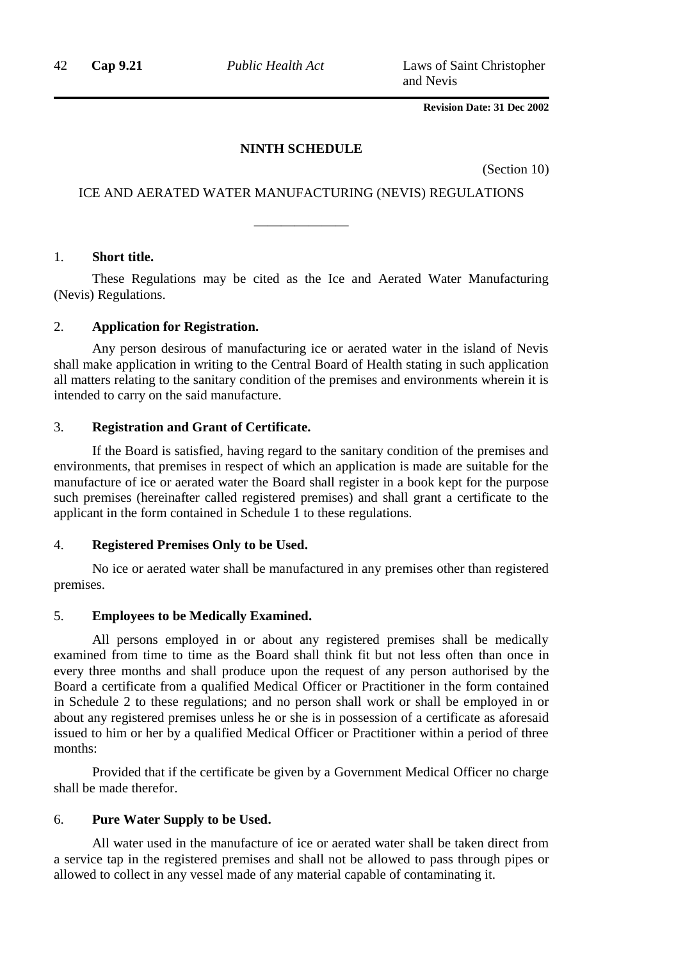42 **Cap 9.21** *Public Health Act* Laws of Saint Christopher and Nevis

**Revision Date: 31 Dec 2002**

#### **NINTH SCHEDULE**

(Section 10)

### ICE AND AERATED WATER MANUFACTURING (NEVIS) REGULATIONS

———————

1. **Short title.**

These Regulations may be cited as the Ice and Aerated Water Manufacturing (Nevis) Regulations.

### 2. **Application for Registration.**

Any person desirous of manufacturing ice or aerated water in the island of Nevis shall make application in writing to the Central Board of Health stating in such application all matters relating to the sanitary condition of the premises and environments wherein it is intended to carry on the said manufacture.

### 3. **Registration and Grant of Certificate.**

If the Board is satisfied, having regard to the sanitary condition of the premises and environments, that premises in respect of which an application is made are suitable for the manufacture of ice or aerated water the Board shall register in a book kept for the purpose such premises (hereinafter called registered premises) and shall grant a certificate to the applicant in the form contained in Schedule 1 to these regulations.

### 4. **Registered Premises Only to be Used.**

No ice or aerated water shall be manufactured in any premises other than registered premises.

### 5. **Employees to be Medically Examined.**

All persons employed in or about any registered premises shall be medically examined from time to time as the Board shall think fit but not less often than once in every three months and shall produce upon the request of any person authorised by the Board a certificate from a qualified Medical Officer or Practitioner in the form contained in Schedule 2 to these regulations; and no person shall work or shall be employed in or about any registered premises unless he or she is in possession of a certificate as aforesaid issued to him or her by a qualified Medical Officer or Practitioner within a period of three months:

Provided that if the certificate be given by a Government Medical Officer no charge shall be made therefor.

### 6. **Pure Water Supply to be Used.**

All water used in the manufacture of ice or aerated water shall be taken direct from a service tap in the registered premises and shall not be allowed to pass through pipes or allowed to collect in any vessel made of any material capable of contaminating it.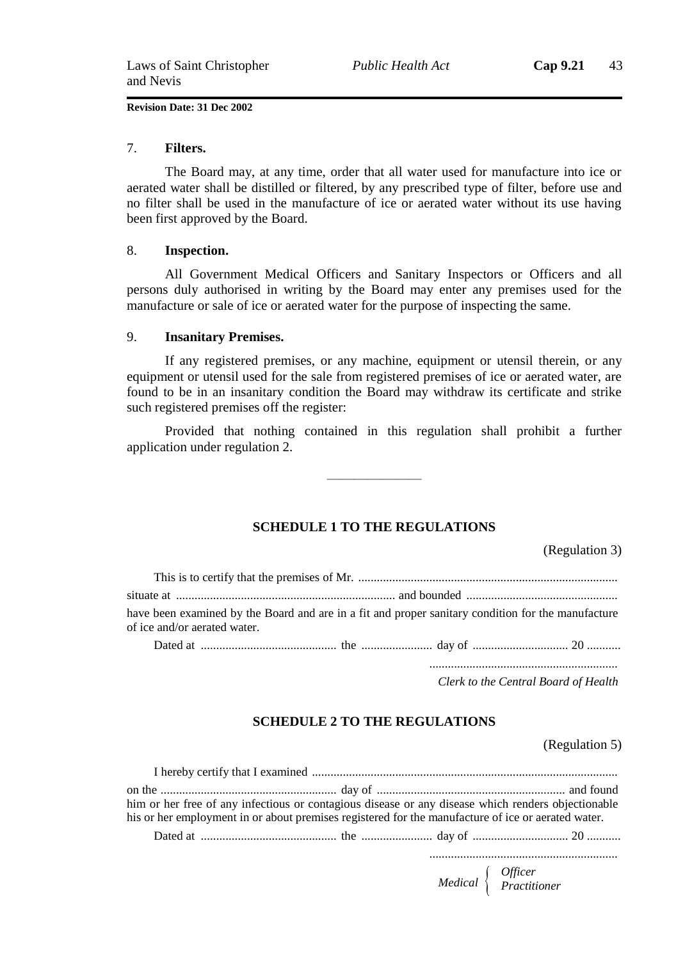#### 7. **Filters.**

The Board may, at any time, order that all water used for manufacture into ice or aerated water shall be distilled or filtered, by any prescribed type of filter, before use and no filter shall be used in the manufacture of ice or aerated water without its use having been first approved by the Board.

#### 8. **Inspection.**

All Government Medical Officers and Sanitary Inspectors or Officers and all persons duly authorised in writing by the Board may enter any premises used for the manufacture or sale of ice or aerated water for the purpose of inspecting the same.

#### 9. **Insanitary Premises.**

If any registered premises, or any machine, equipment or utensil therein, or any equipment or utensil used for the sale from registered premises of ice or aerated water, are found to be in an insanitary condition the Board may withdraw its certificate and strike such registered premises off the register:

Provided that nothing contained in this regulation shall prohibit a further application under regulation 2.

———————

### **SCHEDULE 1 TO THE REGULATIONS**

(Regulation 3)

| have been examined by the Board and are in a fit and proper sanitary condition for the manufacture<br>of ice and/or aerated water. |  |  |  |  |  |
|------------------------------------------------------------------------------------------------------------------------------------|--|--|--|--|--|
|                                                                                                                                    |  |  |  |  |  |

............................................................. *Clerk to the Central Board of Health*

### **SCHEDULE 2 TO THE REGULATIONS**

(Regulation 5)

| him or her free of any infectious or contagious disease or any disease which renders objectionable |  |  |
|----------------------------------------------------------------------------------------------------|--|--|
| his or her employment in or about premises registered for the manufacture of ice or aerated water. |  |  |
|                                                                                                    |  |  |
|                                                                                                    |  |  |

*Medical Officer Practitioner*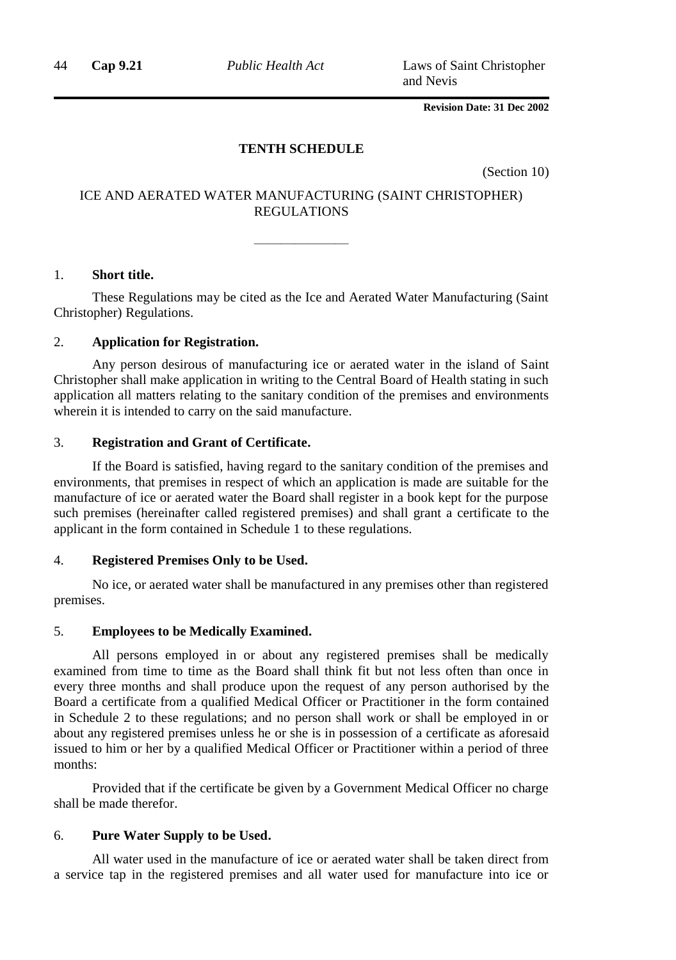44 **Cap 9.21** *Public Health Act* Laws of Saint Christopher and Nevis

**Revision Date: 31 Dec 2002**

### **TENTH SCHEDULE**

(Section 10)

### ICE AND AERATED WATER MANUFACTURING (SAINT CHRISTOPHER) REGULATIONS

———————

### 1. **Short title.**

These Regulations may be cited as the Ice and Aerated Water Manufacturing (Saint Christopher) Regulations.

### 2. **Application for Registration.**

Any person desirous of manufacturing ice or aerated water in the island of Saint Christopher shall make application in writing to the Central Board of Health stating in such application all matters relating to the sanitary condition of the premises and environments wherein it is intended to carry on the said manufacture.

### 3. **Registration and Grant of Certificate.**

If the Board is satisfied, having regard to the sanitary condition of the premises and environments, that premises in respect of which an application is made are suitable for the manufacture of ice or aerated water the Board shall register in a book kept for the purpose such premises (hereinafter called registered premises) and shall grant a certificate to the applicant in the form contained in Schedule 1 to these regulations.

### 4. **Registered Premises Only to be Used.**

No ice, or aerated water shall be manufactured in any premises other than registered premises.

### 5. **Employees to be Medically Examined.**

All persons employed in or about any registered premises shall be medically examined from time to time as the Board shall think fit but not less often than once in every three months and shall produce upon the request of any person authorised by the Board a certificate from a qualified Medical Officer or Practitioner in the form contained in Schedule 2 to these regulations; and no person shall work or shall be employed in or about any registered premises unless he or she is in possession of a certificate as aforesaid issued to him or her by a qualified Medical Officer or Practitioner within a period of three months:

Provided that if the certificate be given by a Government Medical Officer no charge shall be made therefor.

### 6. **Pure Water Supply to be Used.**

All water used in the manufacture of ice or aerated water shall be taken direct from a service tap in the registered premises and all water used for manufacture into ice or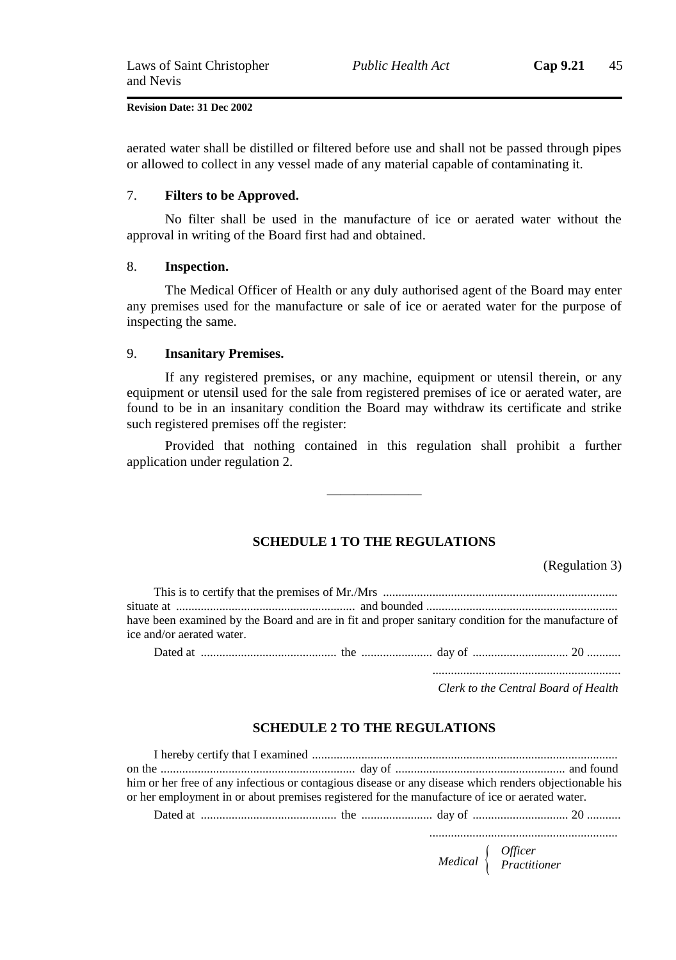aerated water shall be distilled or filtered before use and shall not be passed through pipes or allowed to collect in any vessel made of any material capable of contaminating it.

#### 7. **Filters to be Approved.**

No filter shall be used in the manufacture of ice or aerated water without the approval in writing of the Board first had and obtained.

### 8. **Inspection.**

The Medical Officer of Health or any duly authorised agent of the Board may enter any premises used for the manufacture or sale of ice or aerated water for the purpose of inspecting the same.

### 9. **Insanitary Premises.**

If any registered premises, or any machine, equipment or utensil therein, or any equipment or utensil used for the sale from registered premises of ice or aerated water, are found to be in an insanitary condition the Board may withdraw its certificate and strike such registered premises off the register:

Provided that nothing contained in this regulation shall prohibit a further application under regulation 2.

———————

### **SCHEDULE 1 TO THE REGULATIONS**

(Regulation 3)

|                           | have been examined by the Board and are in fit and proper sanitary condition for the manufacture of |
|---------------------------|-----------------------------------------------------------------------------------------------------|
| ice and/or aerated water. |                                                                                                     |
|                           |                                                                                                     |

Dated at ............................................ the ....................... day of ............................... 20 ...........

............................................................. *Clerk to the Central Board of Health*

### **SCHEDULE 2 TO THE REGULATIONS**

I hereby certify that I examined ................................................................................................... on the ............................................................... day of ....................................................... and found him or her free of any infectious or contagious disease or any disease which renders objectionable his or her employment in or about premises registered for the manufacture of ice or aerated water. Dated at ............................................ the ....................... day of ............................... 20 ...........

> *Medical Officer Practitioner*

.............................................................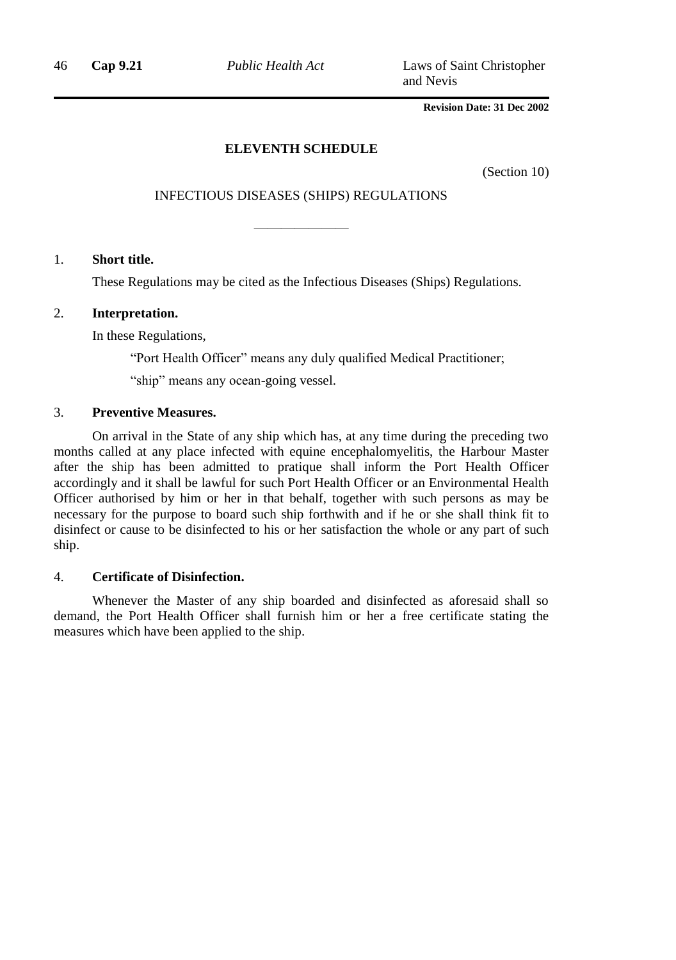46 **Cap 9.21** *Public Health Act* Laws of Saint Christopher and Nevis

### **Revision Date: 31 Dec 2002**

### **ELEVENTH SCHEDULE**

(Section 10)

### INFECTIOUS DISEASES (SHIPS) REGULATIONS

———————

### 1. **Short title.**

These Regulations may be cited as the Infectious Diseases (Ships) Regulations.

### 2. **Interpretation.**

In these Regulations,

"Port Health Officer" means any duly qualified Medical Practitioner;

"ship" means any ocean-going vessel.

### 3. **Preventive Measures.**

On arrival in the State of any ship which has, at any time during the preceding two months called at any place infected with equine encephalomyelitis, the Harbour Master after the ship has been admitted to pratique shall inform the Port Health Officer accordingly and it shall be lawful for such Port Health Officer or an Environmental Health Officer authorised by him or her in that behalf, together with such persons as may be necessary for the purpose to board such ship forthwith and if he or she shall think fit to disinfect or cause to be disinfected to his or her satisfaction the whole or any part of such ship.

### 4. **Certificate of Disinfection.**

Whenever the Master of any ship boarded and disinfected as aforesaid shall so demand, the Port Health Officer shall furnish him or her a free certificate stating the measures which have been applied to the ship.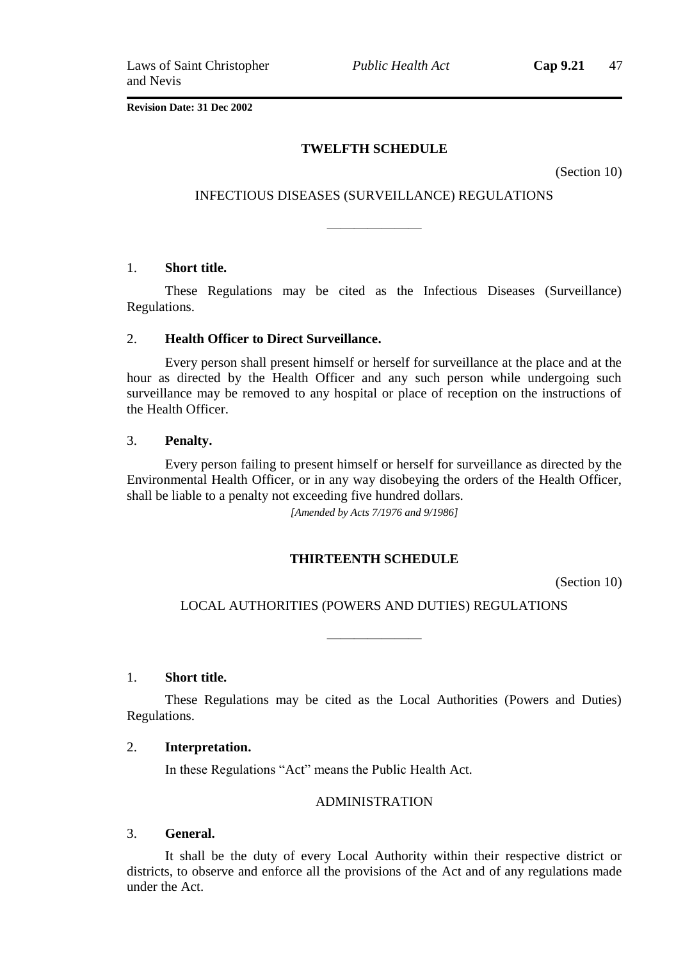*Public Health Act* **Cap 9.21** 47

**Revision Date: 31 Dec 2002**

### **TWELFTH SCHEDULE**

(Section 10)

### INFECTIOUS DISEASES (SURVEILLANCE) REGULATIONS

———————

### 1. **Short title.**

These Regulations may be cited as the Infectious Diseases (Surveillance) Regulations.

### 2. **Health Officer to Direct Surveillance.**

Every person shall present himself or herself for surveillance at the place and at the hour as directed by the Health Officer and any such person while undergoing such surveillance may be removed to any hospital or place of reception on the instructions of the Health Officer.

### 3. **Penalty.**

Every person failing to present himself or herself for surveillance as directed by the Environmental Health Officer, or in any way disobeying the orders of the Health Officer, shall be liable to a penalty not exceeding five hundred dollars.

*[Amended by Acts 7/1976 and 9/1986]*

### **THIRTEENTH SCHEDULE**

(Section 10)

### LOCAL AUTHORITIES (POWERS AND DUTIES) REGULATIONS

———————

### 1. **Short title.**

These Regulations may be cited as the Local Authorities (Powers and Duties) Regulations.

### 2. **Interpretation.**

In these Regulations "Act" means the Public Health Act.

### ADMINISTRATION

### 3. **General.**

It shall be the duty of every Local Authority within their respective district or districts, to observe and enforce all the provisions of the Act and of any regulations made under the Act.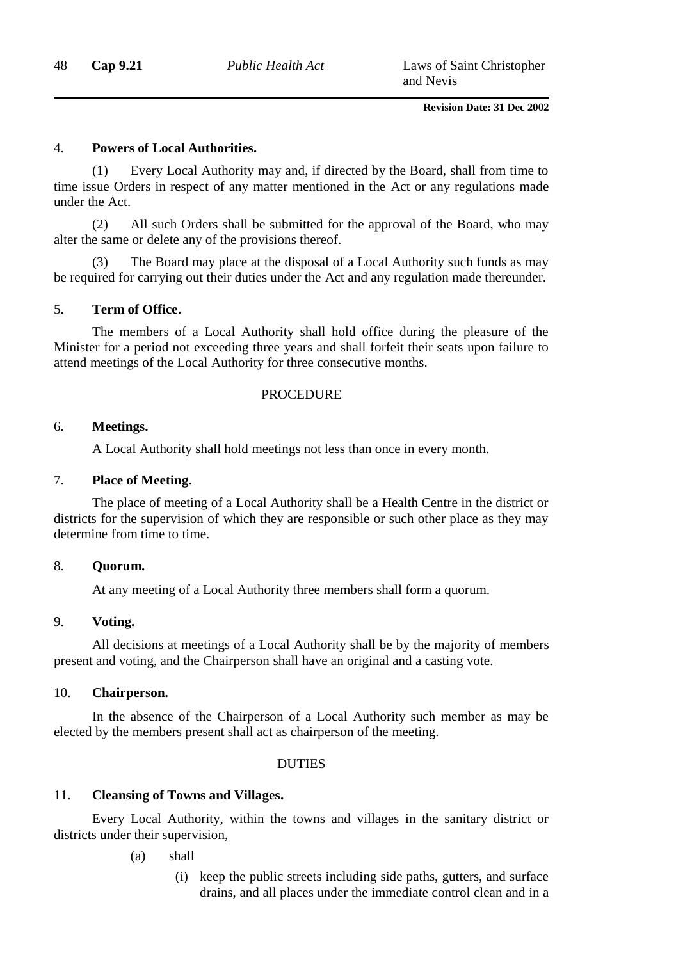### 4. **Powers of Local Authorities.**

(1) Every Local Authority may and, if directed by the Board, shall from time to time issue Orders in respect of any matter mentioned in the Act or any regulations made under the Act.

(2) All such Orders shall be submitted for the approval of the Board, who may alter the same or delete any of the provisions thereof.

The Board may place at the disposal of a Local Authority such funds as may be required for carrying out their duties under the Act and any regulation made thereunder.

### 5. **Term of Office.**

The members of a Local Authority shall hold office during the pleasure of the Minister for a period not exceeding three years and shall forfeit their seats upon failure to attend meetings of the Local Authority for three consecutive months.

### **PROCEDURE**

### 6. **Meetings.**

A Local Authority shall hold meetings not less than once in every month.

### 7. **Place of Meeting.**

The place of meeting of a Local Authority shall be a Health Centre in the district or districts for the supervision of which they are responsible or such other place as they may determine from time to time.

### 8. **Quorum.**

At any meeting of a Local Authority three members shall form a quorum.

### 9. **Voting.**

All decisions at meetings of a Local Authority shall be by the majority of members present and voting, and the Chairperson shall have an original and a casting vote.

### 10. **Chairperson.**

In the absence of the Chairperson of a Local Authority such member as may be elected by the members present shall act as chairperson of the meeting.

### DUTIES

### 11. **Cleansing of Towns and Villages.**

Every Local Authority, within the towns and villages in the sanitary district or districts under their supervision,

(a) shall

(i) keep the public streets including side paths, gutters, and surface drains, and all places under the immediate control clean and in a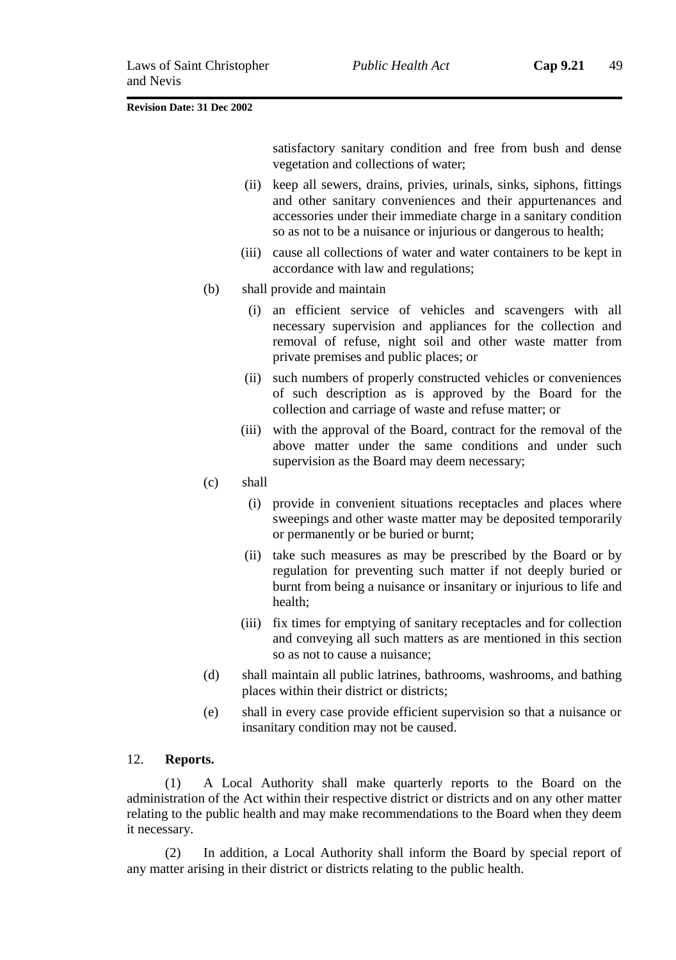satisfactory sanitary condition and free from bush and dense vegetation and collections of water;

- (ii) keep all sewers, drains, privies, urinals, sinks, siphons, fittings and other sanitary conveniences and their appurtenances and accessories under their immediate charge in a sanitary condition so as not to be a nuisance or injurious or dangerous to health;
- (iii) cause all collections of water and water containers to be kept in accordance with law and regulations;
- (b) shall provide and maintain
	- (i) an efficient service of vehicles and scavengers with all necessary supervision and appliances for the collection and removal of refuse, night soil and other waste matter from private premises and public places; or
	- (ii) such numbers of properly constructed vehicles or conveniences of such description as is approved by the Board for the collection and carriage of waste and refuse matter; or
	- (iii) with the approval of the Board, contract for the removal of the above matter under the same conditions and under such supervision as the Board may deem necessary;
- (c) shall
	- (i) provide in convenient situations receptacles and places where sweepings and other waste matter may be deposited temporarily or permanently or be buried or burnt;
	- (ii) take such measures as may be prescribed by the Board or by regulation for preventing such matter if not deeply buried or burnt from being a nuisance or insanitary or injurious to life and health;
	- (iii) fix times for emptying of sanitary receptacles and for collection and conveying all such matters as are mentioned in this section so as not to cause a nuisance;
- (d) shall maintain all public latrines, bathrooms, washrooms, and bathing places within their district or districts;
- (e) shall in every case provide efficient supervision so that a nuisance or insanitary condition may not be caused.

### 12. **Reports.**

(1) A Local Authority shall make quarterly reports to the Board on the administration of the Act within their respective district or districts and on any other matter relating to the public health and may make recommendations to the Board when they deem it necessary.

(2) In addition, a Local Authority shall inform the Board by special report of any matter arising in their district or districts relating to the public health.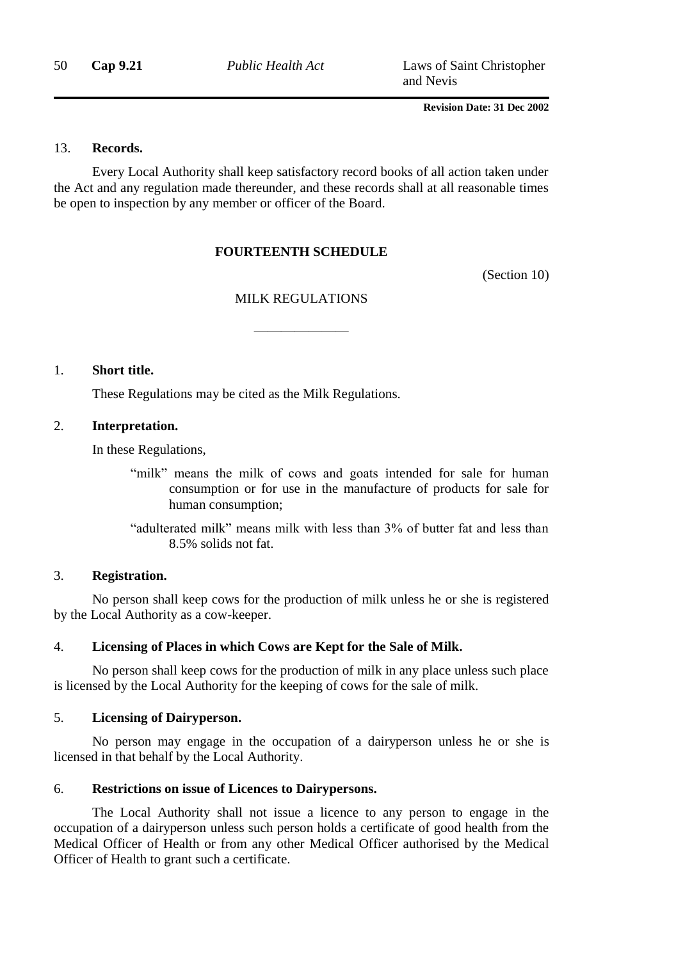50 **Cap 9.21** *Public Health Act* Laws of Saint Christopher and Nevis

**Revision Date: 31 Dec 2002**

### 13. **Records.**

Every Local Authority shall keep satisfactory record books of all action taken under the Act and any regulation made thereunder, and these records shall at all reasonable times be open to inspection by any member or officer of the Board.

### **FOURTEENTH SCHEDULE**

(Section 10)

### MILK REGULATIONS

———————

1. **Short title.**

These Regulations may be cited as the Milk Regulations.

### 2. **Interpretation.**

In these Regulations,

"milk" means the milk of cows and goats intended for sale for human consumption or for use in the manufacture of products for sale for human consumption;

"adulterated milk" means milk with less than 3% of butter fat and less than 8.5% solids not fat.

### 3. **Registration.**

No person shall keep cows for the production of milk unless he or she is registered by the Local Authority as a cow-keeper.

### 4. **Licensing of Places in which Cows are Kept for the Sale of Milk.**

No person shall keep cows for the production of milk in any place unless such place is licensed by the Local Authority for the keeping of cows for the sale of milk.

### 5. **Licensing of Dairyperson.**

No person may engage in the occupation of a dairyperson unless he or she is licensed in that behalf by the Local Authority.

### 6. **Restrictions on issue of Licences to Dairypersons.**

The Local Authority shall not issue a licence to any person to engage in the occupation of a dairyperson unless such person holds a certificate of good health from the Medical Officer of Health or from any other Medical Officer authorised by the Medical Officer of Health to grant such a certificate.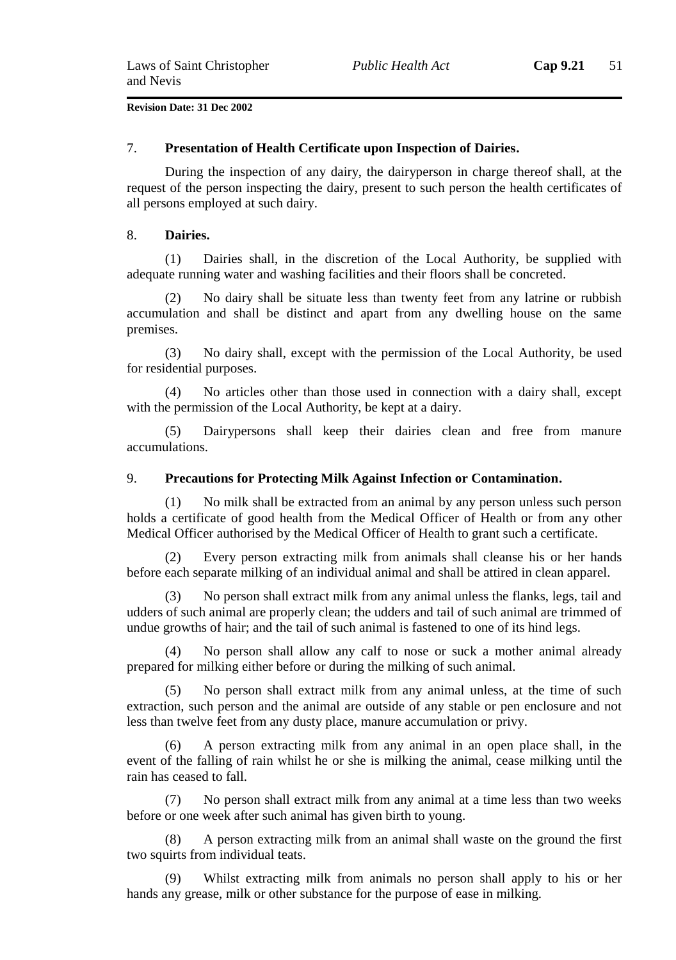#### 7. **Presentation of Health Certificate upon Inspection of Dairies.**

During the inspection of any dairy, the dairyperson in charge thereof shall, at the request of the person inspecting the dairy, present to such person the health certificates of all persons employed at such dairy.

### 8. **Dairies.**

(1) Dairies shall, in the discretion of the Local Authority, be supplied with adequate running water and washing facilities and their floors shall be concreted.

(2) No dairy shall be situate less than twenty feet from any latrine or rubbish accumulation and shall be distinct and apart from any dwelling house on the same premises.

(3) No dairy shall, except with the permission of the Local Authority, be used for residential purposes.

(4) No articles other than those used in connection with a dairy shall, except with the permission of the Local Authority, be kept at a dairy.

(5) Dairypersons shall keep their dairies clean and free from manure accumulations.

### 9. **Precautions for Protecting Milk Against Infection or Contamination.**

(1) No milk shall be extracted from an animal by any person unless such person holds a certificate of good health from the Medical Officer of Health or from any other Medical Officer authorised by the Medical Officer of Health to grant such a certificate.

Every person extracting milk from animals shall cleanse his or her hands before each separate milking of an individual animal and shall be attired in clean apparel.

(3) No person shall extract milk from any animal unless the flanks, legs, tail and udders of such animal are properly clean; the udders and tail of such animal are trimmed of undue growths of hair; and the tail of such animal is fastened to one of its hind legs.

(4) No person shall allow any calf to nose or suck a mother animal already prepared for milking either before or during the milking of such animal.

(5) No person shall extract milk from any animal unless, at the time of such extraction, such person and the animal are outside of any stable or pen enclosure and not less than twelve feet from any dusty place, manure accumulation or privy.

(6) A person extracting milk from any animal in an open place shall, in the event of the falling of rain whilst he or she is milking the animal, cease milking until the rain has ceased to fall.

(7) No person shall extract milk from any animal at a time less than two weeks before or one week after such animal has given birth to young.

(8) A person extracting milk from an animal shall waste on the ground the first two squirts from individual teats.

(9) Whilst extracting milk from animals no person shall apply to his or her hands any grease, milk or other substance for the purpose of ease in milking.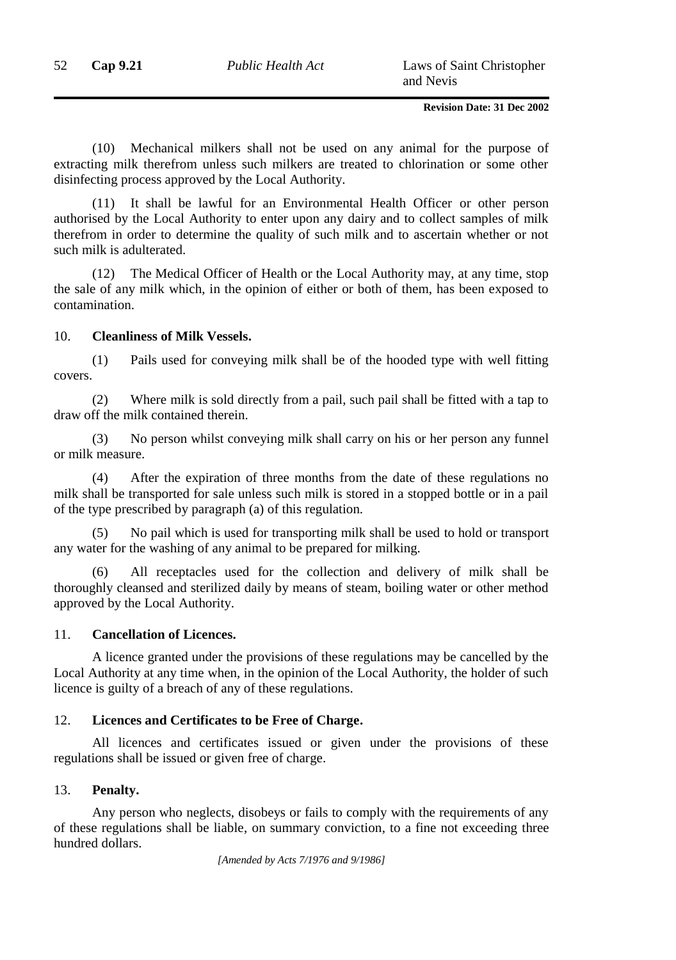(10) Mechanical milkers shall not be used on any animal for the purpose of extracting milk therefrom unless such milkers are treated to chlorination or some other disinfecting process approved by the Local Authority.

(11) It shall be lawful for an Environmental Health Officer or other person authorised by the Local Authority to enter upon any dairy and to collect samples of milk therefrom in order to determine the quality of such milk and to ascertain whether or not such milk is adulterated.

(12) The Medical Officer of Health or the Local Authority may, at any time, stop the sale of any milk which, in the opinion of either or both of them, has been exposed to contamination.

### 10. **Cleanliness of Milk Vessels.**

(1) Pails used for conveying milk shall be of the hooded type with well fitting covers.

(2) Where milk is sold directly from a pail, such pail shall be fitted with a tap to draw off the milk contained therein.

(3) No person whilst conveying milk shall carry on his or her person any funnel or milk measure.

(4) After the expiration of three months from the date of these regulations no milk shall be transported for sale unless such milk is stored in a stopped bottle or in a pail of the type prescribed by paragraph (a) of this regulation.

(5) No pail which is used for transporting milk shall be used to hold or transport any water for the washing of any animal to be prepared for milking.

(6) All receptacles used for the collection and delivery of milk shall be thoroughly cleansed and sterilized daily by means of steam, boiling water or other method approved by the Local Authority.

### 11. **Cancellation of Licences.**

A licence granted under the provisions of these regulations may be cancelled by the Local Authority at any time when, in the opinion of the Local Authority, the holder of such licence is guilty of a breach of any of these regulations.

### 12. **Licences and Certificates to be Free of Charge.**

All licences and certificates issued or given under the provisions of these regulations shall be issued or given free of charge.

### 13. **Penalty.**

Any person who neglects, disobeys or fails to comply with the requirements of any of these regulations shall be liable, on summary conviction, to a fine not exceeding three hundred dollars.

*[Amended by Acts 7/1976 and 9/1986]*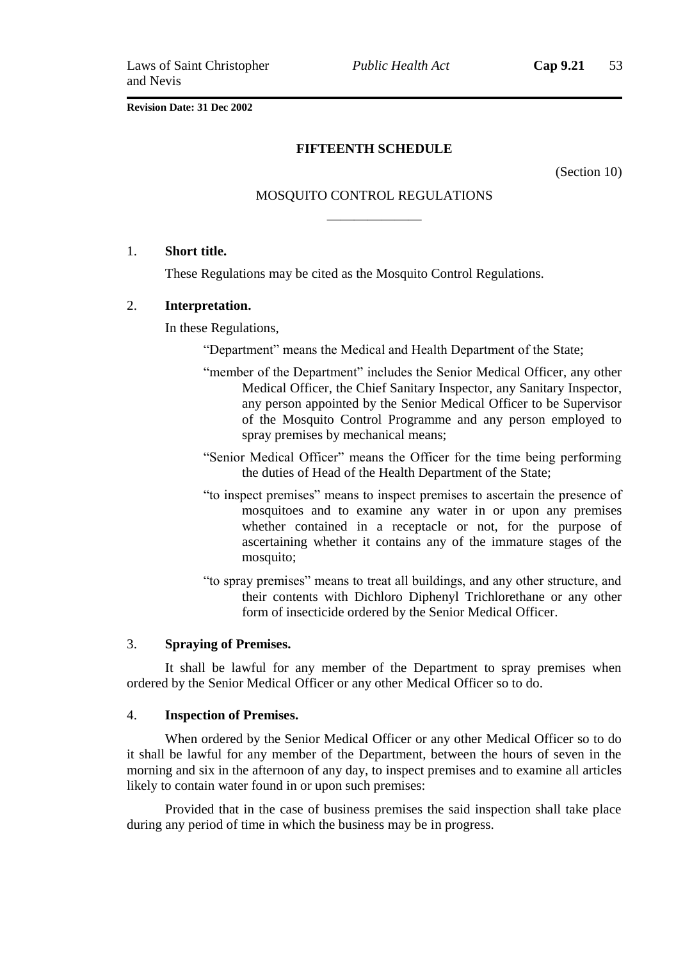*Public Health Act* **Cap 9.21** 53

**Revision Date: 31 Dec 2002**

### **FIFTEENTH SCHEDULE**

(Section 10)

# MOSQUITO CONTROL REGULATIONS ———————

### 1. **Short title.**

These Regulations may be cited as the Mosquito Control Regulations.

### 2. **Interpretation.**

In these Regulations,

"Department" means the Medical and Health Department of the State;

- "member of the Department" includes the Senior Medical Officer, any other Medical Officer, the Chief Sanitary Inspector, any Sanitary Inspector, any person appointed by the Senior Medical Officer to be Supervisor of the Mosquito Control Programme and any person employed to spray premises by mechanical means;
- "Senior Medical Officer" means the Officer for the time being performing the duties of Head of the Health Department of the State;
- "to inspect premises" means to inspect premises to ascertain the presence of mosquitoes and to examine any water in or upon any premises whether contained in a receptacle or not, for the purpose of ascertaining whether it contains any of the immature stages of the mosquito;
- "to spray premises" means to treat all buildings, and any other structure, and their contents with Dichloro Diphenyl Trichlorethane or any other form of insecticide ordered by the Senior Medical Officer.

### 3. **Spraying of Premises.**

It shall be lawful for any member of the Department to spray premises when ordered by the Senior Medical Officer or any other Medical Officer so to do.

### 4. **Inspection of Premises.**

When ordered by the Senior Medical Officer or any other Medical Officer so to do it shall be lawful for any member of the Department, between the hours of seven in the morning and six in the afternoon of any day, to inspect premises and to examine all articles likely to contain water found in or upon such premises:

Provided that in the case of business premises the said inspection shall take place during any period of time in which the business may be in progress.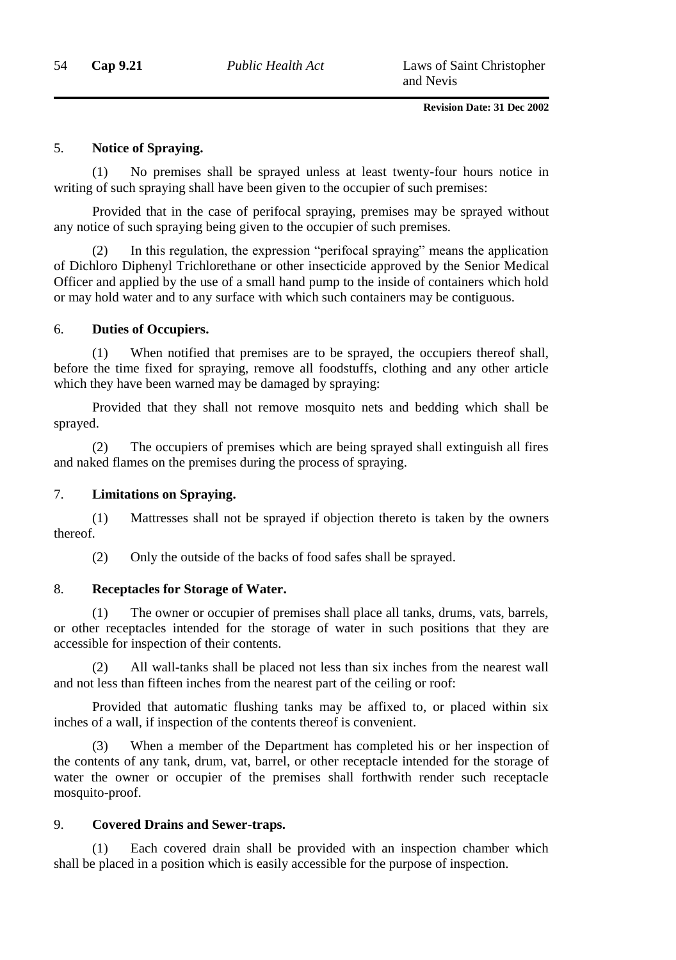### 5. **Notice of Spraying.**

(1) No premises shall be sprayed unless at least twenty-four hours notice in writing of such spraying shall have been given to the occupier of such premises:

Provided that in the case of perifocal spraying, premises may be sprayed without any notice of such spraying being given to the occupier of such premises.

(2) In this regulation, the expression "perifocal spraying" means the application of Dichloro Diphenyl Trichlorethane or other insecticide approved by the Senior Medical Officer and applied by the use of a small hand pump to the inside of containers which hold or may hold water and to any surface with which such containers may be contiguous.

### 6. **Duties of Occupiers.**

(1) When notified that premises are to be sprayed, the occupiers thereof shall, before the time fixed for spraying, remove all foodstuffs, clothing and any other article which they have been warned may be damaged by spraying:

Provided that they shall not remove mosquito nets and bedding which shall be sprayed.

(2) The occupiers of premises which are being sprayed shall extinguish all fires and naked flames on the premises during the process of spraying.

### 7. **Limitations on Spraying.**

(1) Mattresses shall not be sprayed if objection thereto is taken by the owners thereof.

(2) Only the outside of the backs of food safes shall be sprayed.

### 8. **Receptacles for Storage of Water.**

(1) The owner or occupier of premises shall place all tanks, drums, vats, barrels, or other receptacles intended for the storage of water in such positions that they are accessible for inspection of their contents.

(2) All wall-tanks shall be placed not less than six inches from the nearest wall and not less than fifteen inches from the nearest part of the ceiling or roof:

Provided that automatic flushing tanks may be affixed to, or placed within six inches of a wall, if inspection of the contents thereof is convenient.

(3) When a member of the Department has completed his or her inspection of the contents of any tank, drum, vat, barrel, or other receptacle intended for the storage of water the owner or occupier of the premises shall forthwith render such receptacle mosquito-proof.

### 9. **Covered Drains and Sewer-traps.**

(1) Each covered drain shall be provided with an inspection chamber which shall be placed in a position which is easily accessible for the purpose of inspection.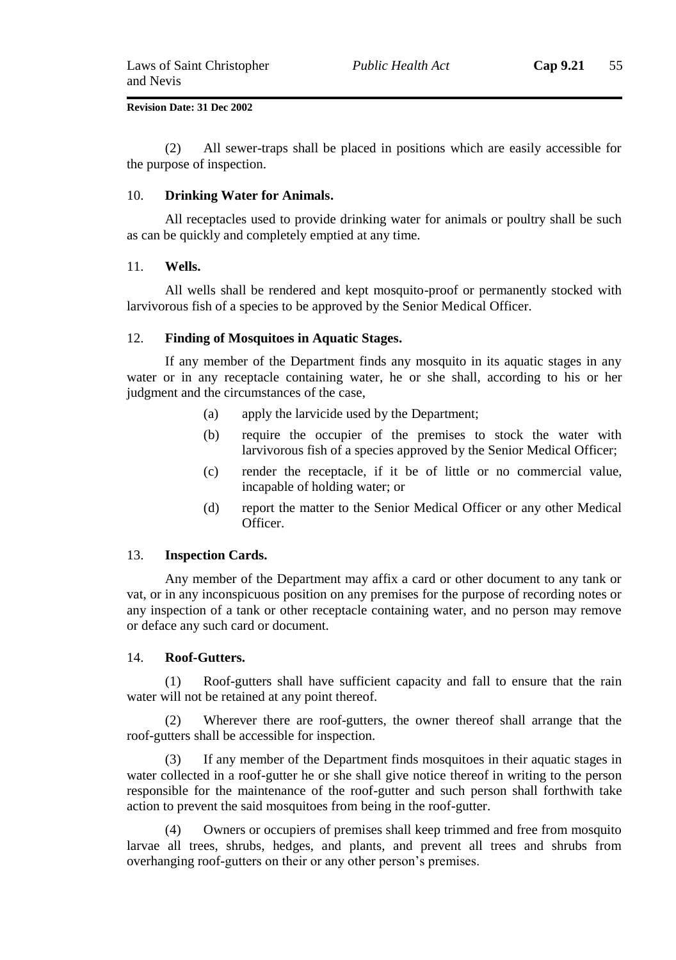(2) All sewer-traps shall be placed in positions which are easily accessible for the purpose of inspection.

### 10. **Drinking Water for Animals.**

All receptacles used to provide drinking water for animals or poultry shall be such as can be quickly and completely emptied at any time.

### 11. **Wells.**

All wells shall be rendered and kept mosquito-proof or permanently stocked with larvivorous fish of a species to be approved by the Senior Medical Officer.

### 12. **Finding of Mosquitoes in Aquatic Stages.**

If any member of the Department finds any mosquito in its aquatic stages in any water or in any receptacle containing water, he or she shall, according to his or her judgment and the circumstances of the case,

- (a) apply the larvicide used by the Department;
- (b) require the occupier of the premises to stock the water with larvivorous fish of a species approved by the Senior Medical Officer;
- (c) render the receptacle, if it be of little or no commercial value, incapable of holding water; or
- (d) report the matter to the Senior Medical Officer or any other Medical **Officer**

#### 13. **Inspection Cards.**

Any member of the Department may affix a card or other document to any tank or vat, or in any inconspicuous position on any premises for the purpose of recording notes or any inspection of a tank or other receptacle containing water, and no person may remove or deface any such card or document.

#### 14. **Roof-Gutters.**

(1) Roof-gutters shall have sufficient capacity and fall to ensure that the rain water will not be retained at any point thereof.

(2) Wherever there are roof-gutters, the owner thereof shall arrange that the roof-gutters shall be accessible for inspection.

(3) If any member of the Department finds mosquitoes in their aquatic stages in water collected in a roof-gutter he or she shall give notice thereof in writing to the person responsible for the maintenance of the roof-gutter and such person shall forthwith take action to prevent the said mosquitoes from being in the roof-gutter.

(4) Owners or occupiers of premises shall keep trimmed and free from mosquito larvae all trees, shrubs, hedges, and plants, and prevent all trees and shrubs from overhanging roof-gutters on their or any other person's premises.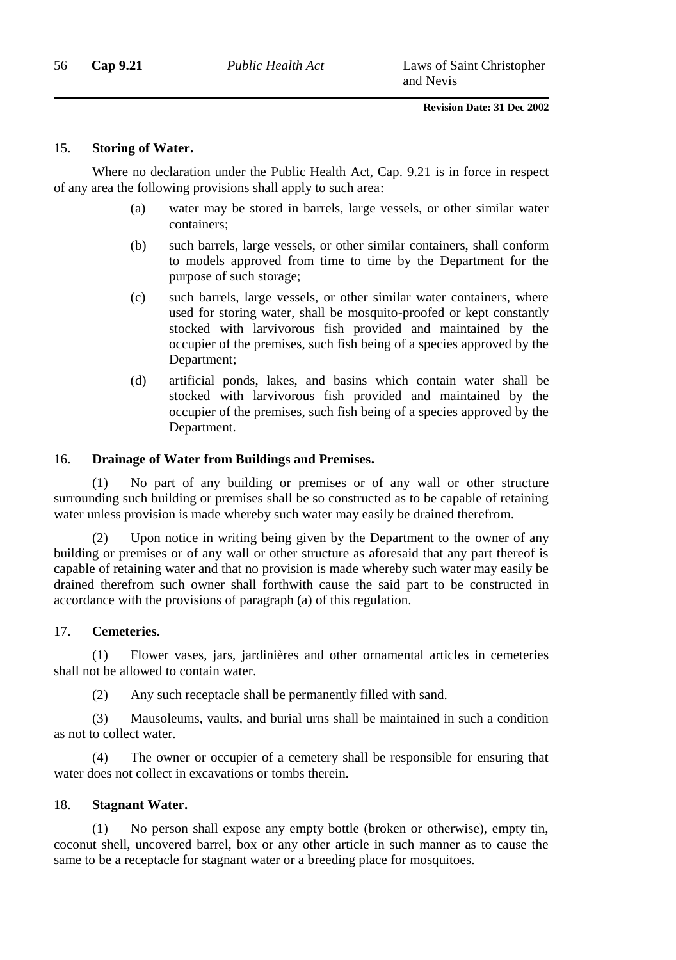### 15. **Storing of Water.**

Where no declaration under the Public Health Act, Cap. 9.21 is in force in respect of any area the following provisions shall apply to such area:

- (a) water may be stored in barrels, large vessels, or other similar water containers;
- (b) such barrels, large vessels, or other similar containers, shall conform to models approved from time to time by the Department for the purpose of such storage;
- (c) such barrels, large vessels, or other similar water containers, where used for storing water, shall be mosquito-proofed or kept constantly stocked with larvivorous fish provided and maintained by the occupier of the premises, such fish being of a species approved by the Department;
- (d) artificial ponds, lakes, and basins which contain water shall be stocked with larvivorous fish provided and maintained by the occupier of the premises, such fish being of a species approved by the Department.

### 16. **Drainage of Water from Buildings and Premises.**

No part of any building or premises or of any wall or other structure surrounding such building or premises shall be so constructed as to be capable of retaining water unless provision is made whereby such water may easily be drained therefrom.

(2) Upon notice in writing being given by the Department to the owner of any building or premises or of any wall or other structure as aforesaid that any part thereof is capable of retaining water and that no provision is made whereby such water may easily be drained therefrom such owner shall forthwith cause the said part to be constructed in accordance with the provisions of paragraph (a) of this regulation.

### 17. **Cemeteries.**

(1) Flower vases, jars, jardinières and other ornamental articles in cemeteries shall not be allowed to contain water.

(2) Any such receptacle shall be permanently filled with sand.

(3) Mausoleums, vaults, and burial urns shall be maintained in such a condition as not to collect water.

(4) The owner or occupier of a cemetery shall be responsible for ensuring that water does not collect in excavations or tombs therein.

### 18. **Stagnant Water.**

(1) No person shall expose any empty bottle (broken or otherwise), empty tin, coconut shell, uncovered barrel, box or any other article in such manner as to cause the same to be a receptacle for stagnant water or a breeding place for mosquitoes.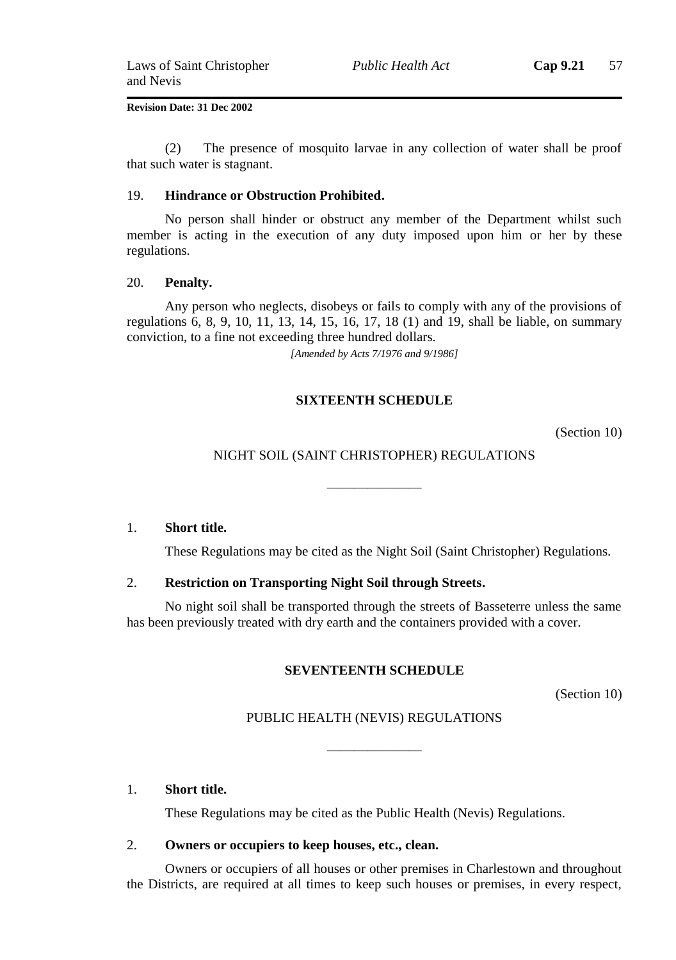(2) The presence of mosquito larvae in any collection of water shall be proof that such water is stagnant.

#### 19. **Hindrance or Obstruction Prohibited.**

No person shall hinder or obstruct any member of the Department whilst such member is acting in the execution of any duty imposed upon him or her by these regulations.

#### 20. **Penalty.**

Any person who neglects, disobeys or fails to comply with any of the provisions of regulations 6, 8, 9, 10, 11, 13, 14, 15, 16, 17, 18 (1) and 19, shall be liable, on summary conviction, to a fine not exceeding three hundred dollars.

*[Amended by Acts 7/1976 and 9/1986]*

### **SIXTEENTH SCHEDULE**

(Section 10)

### NIGHT SOIL (SAINT CHRISTOPHER) REGULATIONS

———————

1. **Short title.**

These Regulations may be cited as the Night Soil (Saint Christopher) Regulations.

### 2. **Restriction on Transporting Night Soil through Streets.**

No night soil shall be transported through the streets of Basseterre unless the same has been previously treated with dry earth and the containers provided with a cover.

### **SEVENTEENTH SCHEDULE**

(Section 10)

### PUBLIC HEALTH (NEVIS) REGULATIONS

———————

### 1. **Short title.**

These Regulations may be cited as the Public Health (Nevis) Regulations.

### 2. **Owners or occupiers to keep houses, etc., clean.**

Owners or occupiers of all houses or other premises in Charlestown and throughout the Districts, are required at all times to keep such houses or premises, in every respect,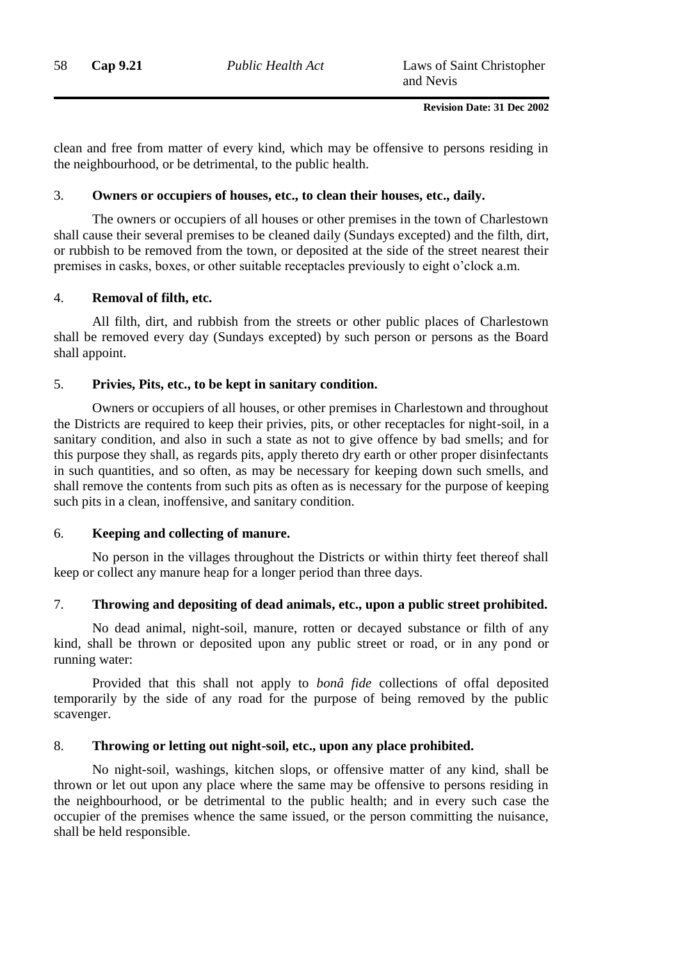clean and free from matter of every kind, which may be offensive to persons residing in the neighbourhood, or be detrimental, to the public health.

### 3. **Owners or occupiers of houses, etc., to clean their houses, etc., daily.**

The owners or occupiers of all houses or other premises in the town of Charlestown shall cause their several premises to be cleaned daily (Sundays excepted) and the filth, dirt, or rubbish to be removed from the town, or deposited at the side of the street nearest their premises in casks, boxes, or other suitable receptacles previously to eight o'clock a.m.

### 4. **Removal of filth, etc.**

All filth, dirt, and rubbish from the streets or other public places of Charlestown shall be removed every day (Sundays excepted) by such person or persons as the Board shall appoint.

### 5. **Privies, Pits, etc., to be kept in sanitary condition.**

Owners or occupiers of all houses, or other premises in Charlestown and throughout the Districts are required to keep their privies, pits, or other receptacles for night-soil, in a sanitary condition, and also in such a state as not to give offence by bad smells; and for this purpose they shall, as regards pits, apply thereto dry earth or other proper disinfectants in such quantities, and so often, as may be necessary for keeping down such smells, and shall remove the contents from such pits as often as is necessary for the purpose of keeping such pits in a clean, inoffensive, and sanitary condition.

### 6. **Keeping and collecting of manure.**

No person in the villages throughout the Districts or within thirty feet thereof shall keep or collect any manure heap for a longer period than three days.

### 7. **Throwing and depositing of dead animals, etc., upon a public street prohibited.**

No dead animal, night-soil, manure, rotten or decayed substance or filth of any kind, shall be thrown or deposited upon any public street or road, or in any pond or running water:

Provided that this shall not apply to *bonâ fide* collections of offal deposited temporarily by the side of any road for the purpose of being removed by the public scavenger.

### 8. **Throwing or letting out night-soil, etc., upon any place prohibited.**

No night-soil, washings, kitchen slops, or offensive matter of any kind, shall be thrown or let out upon any place where the same may be offensive to persons residing in the neighbourhood, or be detrimental to the public health; and in every such case the occupier of the premises whence the same issued, or the person committing the nuisance, shall be held responsible.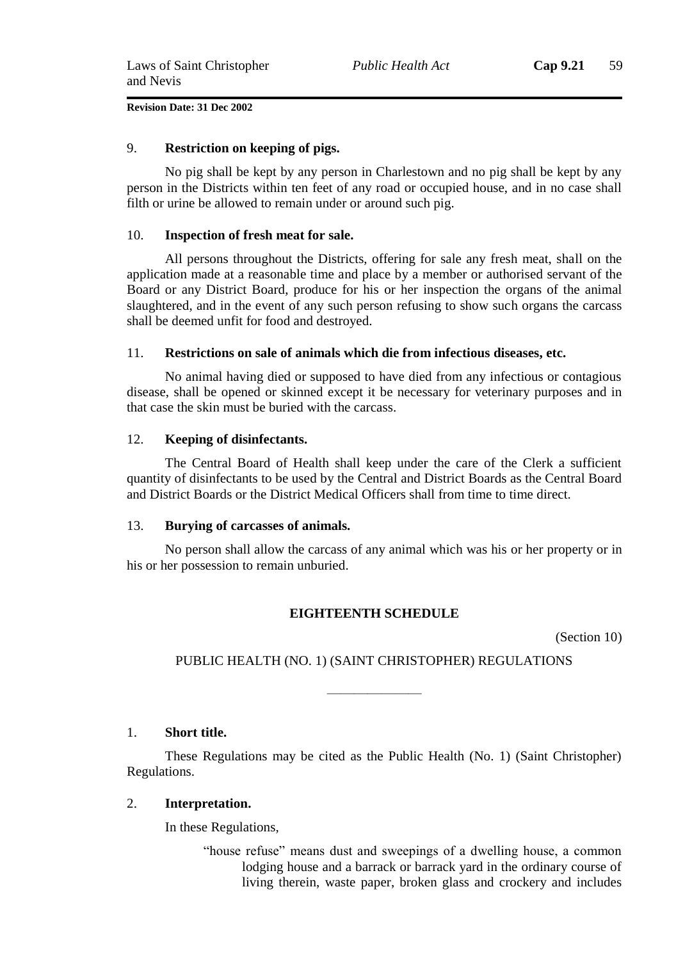### 9. **Restriction on keeping of pigs.**

No pig shall be kept by any person in Charlestown and no pig shall be kept by any person in the Districts within ten feet of any road or occupied house, and in no case shall filth or urine be allowed to remain under or around such pig.

### 10. **Inspection of fresh meat for sale.**

All persons throughout the Districts, offering for sale any fresh meat, shall on the application made at a reasonable time and place by a member or authorised servant of the Board or any District Board, produce for his or her inspection the organs of the animal slaughtered, and in the event of any such person refusing to show such organs the carcass shall be deemed unfit for food and destroyed.

### 11. **Restrictions on sale of animals which die from infectious diseases, etc.**

No animal having died or supposed to have died from any infectious or contagious disease, shall be opened or skinned except it be necessary for veterinary purposes and in that case the skin must be buried with the carcass.

### 12. **Keeping of disinfectants.**

The Central Board of Health shall keep under the care of the Clerk a sufficient quantity of disinfectants to be used by the Central and District Boards as the Central Board and District Boards or the District Medical Officers shall from time to time direct.

### 13. **Burying of carcasses of animals.**

No person shall allow the carcass of any animal which was his or her property or in his or her possession to remain unburied.

### **EIGHTEENTH SCHEDULE**

(Section 10)

### PUBLIC HEALTH (NO. 1) (SAINT CHRISTOPHER) REGULATIONS

———————

### 1. **Short title.**

These Regulations may be cited as the Public Health (No. 1) (Saint Christopher) Regulations.

### 2. **Interpretation.**

In these Regulations,

"house refuse" means dust and sweepings of a dwelling house, a common lodging house and a barrack or barrack yard in the ordinary course of living therein, waste paper, broken glass and crockery and includes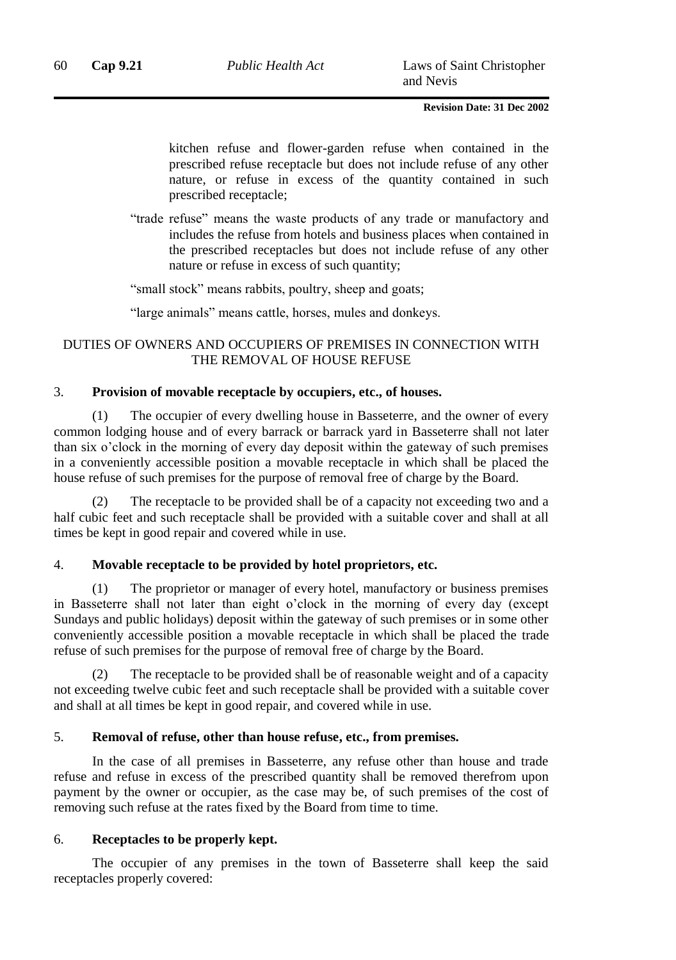kitchen refuse and flower-garden refuse when contained in the prescribed refuse receptacle but does not include refuse of any other nature, or refuse in excess of the quantity contained in such prescribed receptacle;

"trade refuse" means the waste products of any trade or manufactory and includes the refuse from hotels and business places when contained in the prescribed receptacles but does not include refuse of any other nature or refuse in excess of such quantity;

"small stock" means rabbits, poultry, sheep and goats;

"large animals" means cattle, horses, mules and donkeys.

### DUTIES OF OWNERS AND OCCUPIERS OF PREMISES IN CONNECTION WITH THE REMOVAL OF HOUSE REFUSE

### 3. **Provision of movable receptacle by occupiers, etc., of houses.**

(1) The occupier of every dwelling house in Basseterre, and the owner of every common lodging house and of every barrack or barrack yard in Basseterre shall not later than six o'clock in the morning of every day deposit within the gateway of such premises in a conveniently accessible position a movable receptacle in which shall be placed the house refuse of such premises for the purpose of removal free of charge by the Board.

The receptacle to be provided shall be of a capacity not exceeding two and a half cubic feet and such receptacle shall be provided with a suitable cover and shall at all times be kept in good repair and covered while in use.

### 4. **Movable receptacle to be provided by hotel proprietors, etc.**

(1) The proprietor or manager of every hotel, manufactory or business premises in Basseterre shall not later than eight o'clock in the morning of every day (except Sundays and public holidays) deposit within the gateway of such premises or in some other conveniently accessible position a movable receptacle in which shall be placed the trade refuse of such premises for the purpose of removal free of charge by the Board.

The receptacle to be provided shall be of reasonable weight and of a capacity not exceeding twelve cubic feet and such receptacle shall be provided with a suitable cover and shall at all times be kept in good repair, and covered while in use.

### 5. **Removal of refuse, other than house refuse, etc., from premises.**

In the case of all premises in Basseterre, any refuse other than house and trade refuse and refuse in excess of the prescribed quantity shall be removed therefrom upon payment by the owner or occupier, as the case may be, of such premises of the cost of removing such refuse at the rates fixed by the Board from time to time.

### 6. **Receptacles to be properly kept.**

The occupier of any premises in the town of Basseterre shall keep the said receptacles properly covered: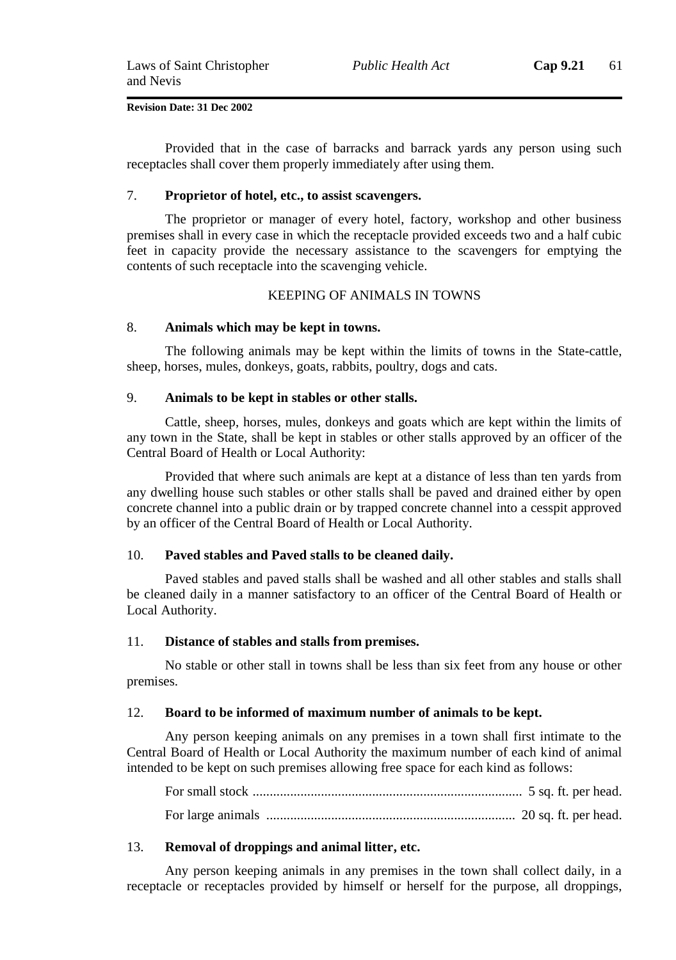Provided that in the case of barracks and barrack yards any person using such receptacles shall cover them properly immediately after using them.

#### 7. **Proprietor of hotel, etc., to assist scavengers.**

The proprietor or manager of every hotel, factory, workshop and other business premises shall in every case in which the receptacle provided exceeds two and a half cubic feet in capacity provide the necessary assistance to the scavengers for emptying the contents of such receptacle into the scavenging vehicle.

### KEEPING OF ANIMALS IN TOWNS

### 8. **Animals which may be kept in towns.**

The following animals may be kept within the limits of towns in the State-cattle, sheep, horses, mules, donkeys, goats, rabbits, poultry, dogs and cats.

#### 9. **Animals to be kept in stables or other stalls.**

Cattle, sheep, horses, mules, donkeys and goats which are kept within the limits of any town in the State, shall be kept in stables or other stalls approved by an officer of the Central Board of Health or Local Authority:

Provided that where such animals are kept at a distance of less than ten yards from any dwelling house such stables or other stalls shall be paved and drained either by open concrete channel into a public drain or by trapped concrete channel into a cesspit approved by an officer of the Central Board of Health or Local Authority.

### 10. **Paved stables and Paved stalls to be cleaned daily.**

Paved stables and paved stalls shall be washed and all other stables and stalls shall be cleaned daily in a manner satisfactory to an officer of the Central Board of Health or Local Authority.

#### 11. **Distance of stables and stalls from premises.**

No stable or other stall in towns shall be less than six feet from any house or other premises.

#### 12. **Board to be informed of maximum number of animals to be kept.**

Any person keeping animals on any premises in a town shall first intimate to the Central Board of Health or Local Authority the maximum number of each kind of animal intended to be kept on such premises allowing free space for each kind as follows:

For small stock ............................................................................... 5 sq. ft. per head. For large animals ......................................................................... 20 sq. ft. per head.

#### 13. **Removal of droppings and animal litter, etc.**

Any person keeping animals in any premises in the town shall collect daily, in a receptacle or receptacles provided by himself or herself for the purpose, all droppings,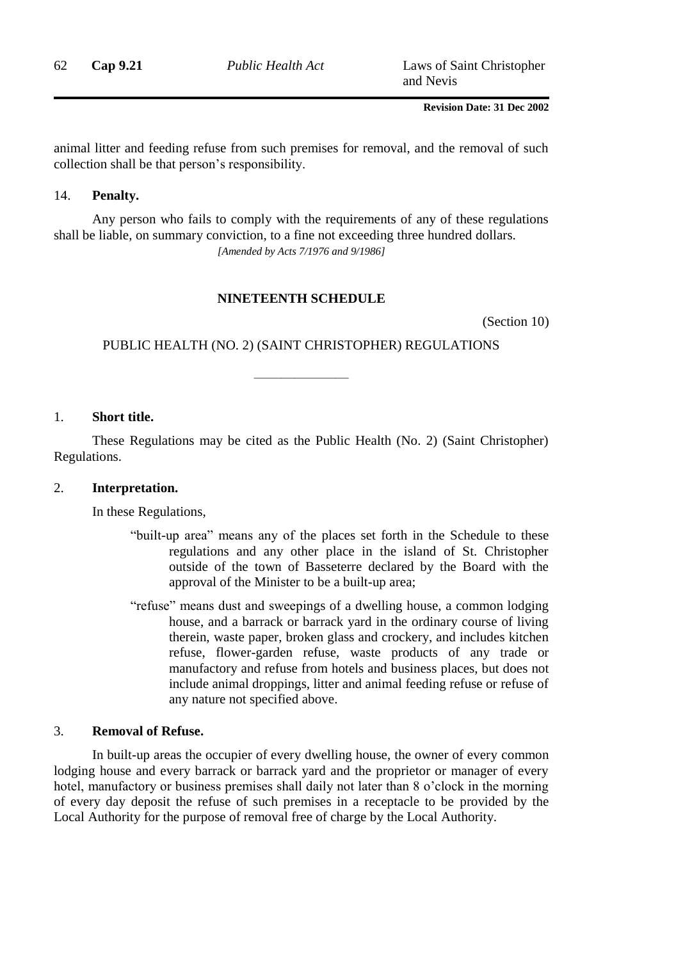62 **Cap 9.21** *Public Health Act* Laws of Saint Christopher and Nevis

### **Revision Date: 31 Dec 2002**

animal litter and feeding refuse from such premises for removal, and the removal of such collection shall be that person's responsibility.

#### 14. **Penalty.**

Any person who fails to comply with the requirements of any of these regulations shall be liable, on summary conviction, to a fine not exceeding three hundred dollars. *[Amended by Acts 7/1976 and 9/1986]*

### **NINETEENTH SCHEDULE**

(Section 10)

PUBLIC HEALTH (NO. 2) (SAINT CHRISTOPHER) REGULATIONS

———————

#### 1. **Short title.**

These Regulations may be cited as the Public Health (No. 2) (Saint Christopher) Regulations.

#### 2. **Interpretation.**

In these Regulations,

- "built-up area" means any of the places set forth in the Schedule to these regulations and any other place in the island of St. Christopher outside of the town of Basseterre declared by the Board with the approval of the Minister to be a built-up area;
- "refuse" means dust and sweepings of a dwelling house, a common lodging house, and a barrack or barrack yard in the ordinary course of living therein, waste paper, broken glass and crockery, and includes kitchen refuse, flower-garden refuse, waste products of any trade or manufactory and refuse from hotels and business places, but does not include animal droppings, litter and animal feeding refuse or refuse of any nature not specified above.

#### 3. **Removal of Refuse.**

In built-up areas the occupier of every dwelling house, the owner of every common lodging house and every barrack or barrack yard and the proprietor or manager of every hotel, manufactory or business premises shall daily not later than 8 o'clock in the morning of every day deposit the refuse of such premises in a receptacle to be provided by the Local Authority for the purpose of removal free of charge by the Local Authority.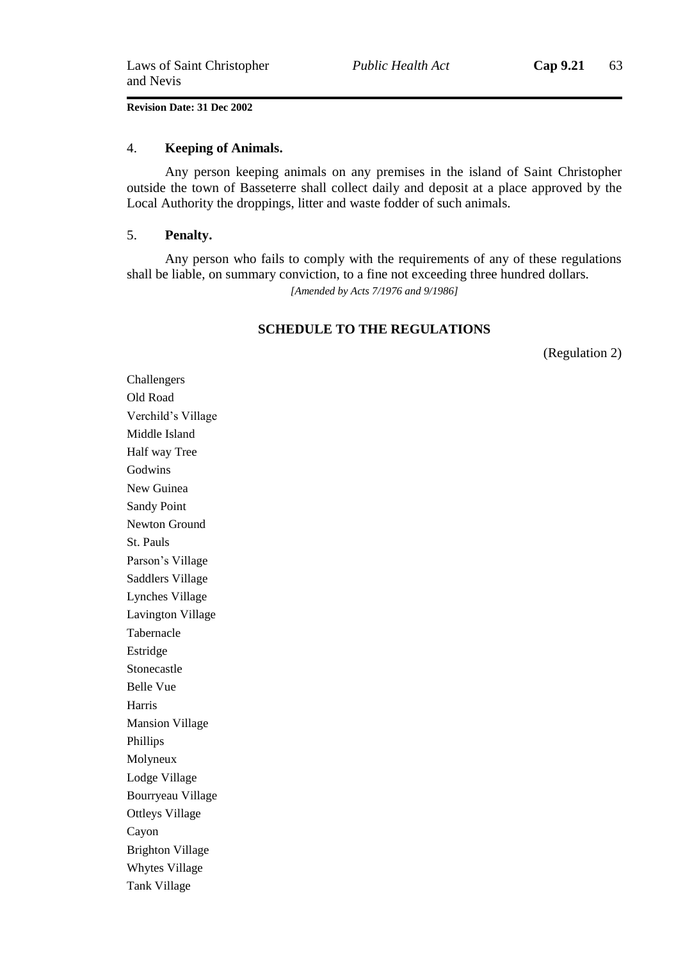### 4. **Keeping of Animals.**

Any person keeping animals on any premises in the island of Saint Christopher outside the town of Basseterre shall collect daily and deposit at a place approved by the Local Authority the droppings, litter and waste fodder of such animals.

#### 5. **Penalty.**

Any person who fails to comply with the requirements of any of these regulations shall be liable, on summary conviction, to a fine not exceeding three hundred dollars. *[Amended by Acts 7/1976 and 9/1986]*

#### **SCHEDULE TO THE REGULATIONS**

(Regulation 2)

Challengers Old Road Verchild's Village Middle Island Half way Tree Godwins New Guinea Sandy Point Newton Ground St. Pauls Parson's Village Saddlers Village Lynches Village Lavington Village Tabernacle Estridge Stonecastle Belle Vue Harris Mansion Village Phillips Molyneux Lodge Village Bourryeau Village Ottleys Village Cayon Brighton Village Whytes Village Tank Village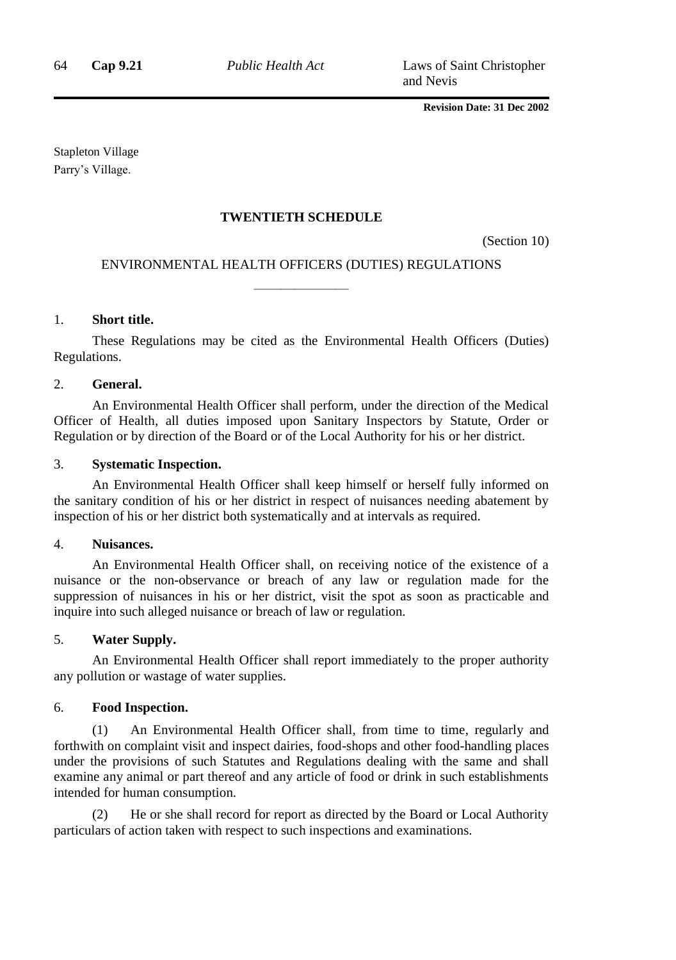Stapleton Village Parry's Village.

### **TWENTIETH SCHEDULE**

(Section 10)

## ENVIRONMENTAL HEALTH OFFICERS (DUTIES) REGULATIONS ———————

### 1. **Short title.**

These Regulations may be cited as the Environmental Health Officers (Duties) Regulations.

#### 2. **General.**

An Environmental Health Officer shall perform, under the direction of the Medical Officer of Health, all duties imposed upon Sanitary Inspectors by Statute, Order or Regulation or by direction of the Board or of the Local Authority for his or her district.

#### 3. **Systematic Inspection.**

An Environmental Health Officer shall keep himself or herself fully informed on the sanitary condition of his or her district in respect of nuisances needing abatement by inspection of his or her district both systematically and at intervals as required.

#### 4. **Nuisances.**

An Environmental Health Officer shall, on receiving notice of the existence of a nuisance or the non-observance or breach of any law or regulation made for the suppression of nuisances in his or her district, visit the spot as soon as practicable and inquire into such alleged nuisance or breach of law or regulation.

### 5. **Water Supply.**

An Environmental Health Officer shall report immediately to the proper authority any pollution or wastage of water supplies.

### 6. **Food Inspection.**

(1) An Environmental Health Officer shall, from time to time, regularly and forthwith on complaint visit and inspect dairies, food-shops and other food-handling places under the provisions of such Statutes and Regulations dealing with the same and shall examine any animal or part thereof and any article of food or drink in such establishments intended for human consumption.

He or she shall record for report as directed by the Board or Local Authority particulars of action taken with respect to such inspections and examinations.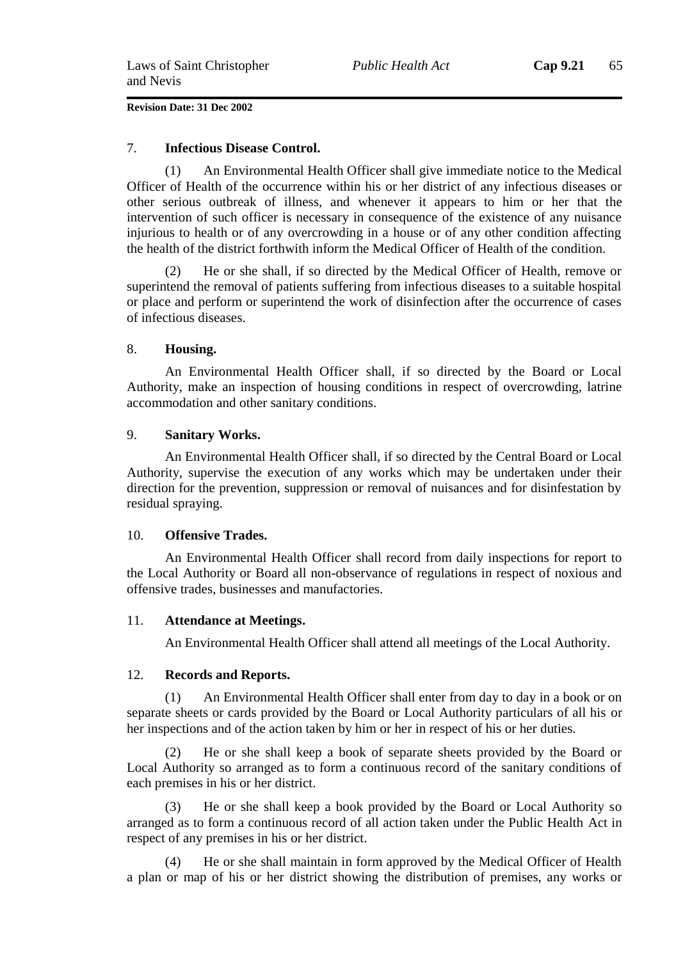### 7. **Infectious Disease Control.**

(1) An Environmental Health Officer shall give immediate notice to the Medical Officer of Health of the occurrence within his or her district of any infectious diseases or other serious outbreak of illness, and whenever it appears to him or her that the intervention of such officer is necessary in consequence of the existence of any nuisance injurious to health or of any overcrowding in a house or of any other condition affecting the health of the district forthwith inform the Medical Officer of Health of the condition.

(2) He or she shall, if so directed by the Medical Officer of Health, remove or superintend the removal of patients suffering from infectious diseases to a suitable hospital or place and perform or superintend the work of disinfection after the occurrence of cases of infectious diseases.

### 8. **Housing.**

An Environmental Health Officer shall, if so directed by the Board or Local Authority, make an inspection of housing conditions in respect of overcrowding, latrine accommodation and other sanitary conditions.

### 9. **Sanitary Works.**

An Environmental Health Officer shall, if so directed by the Central Board or Local Authority, supervise the execution of any works which may be undertaken under their direction for the prevention, suppression or removal of nuisances and for disinfestation by residual spraying.

### 10. **Offensive Trades.**

An Environmental Health Officer shall record from daily inspections for report to the Local Authority or Board all non-observance of regulations in respect of noxious and offensive trades, businesses and manufactories.

### 11. **Attendance at Meetings.**

An Environmental Health Officer shall attend all meetings of the Local Authority.

### 12. **Records and Reports.**

(1) An Environmental Health Officer shall enter from day to day in a book or on separate sheets or cards provided by the Board or Local Authority particulars of all his or her inspections and of the action taken by him or her in respect of his or her duties.

(2) He or she shall keep a book of separate sheets provided by the Board or Local Authority so arranged as to form a continuous record of the sanitary conditions of each premises in his or her district.

(3) He or she shall keep a book provided by the Board or Local Authority so arranged as to form a continuous record of all action taken under the Public Health Act in respect of any premises in his or her district.

He or she shall maintain in form approved by the Medical Officer of Health a plan or map of his or her district showing the distribution of premises, any works or